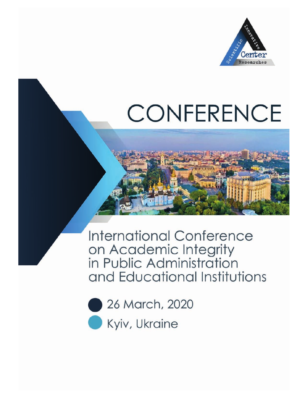

# **CONFERENCE**

**International Conference** on Academic Integrity<br>in Public Administration and Educational Institutions

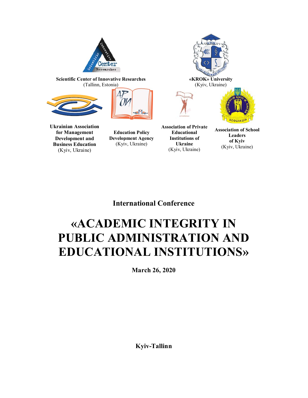

**Scientific Center of Innovative Researches** (Tallinn, Estonia)







**Ukrainian Association for Management Development and Business Education**  (Kyiv, Ukraine)

**Education Policy Development Agency**  (Kyiv, Ukraine)

**Association of Private Educational Institutions of Ukraine**  (Kyiv, Ukraine)

**Association of School Leaders of Kyiv**  (Kyiv, Ukraine)

**International Conference** 

# **«ACADEMIC INTEGRITY IN PUBLIC ADMINISTRATION AND EDUCATIONAL INSTITUTIONS»**

**March 26, 2020** 

**Kyiv-Tallinn**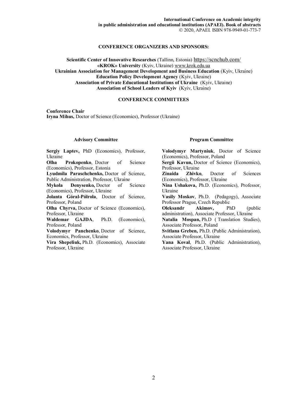#### **CONFERENCE ORGANIZERS AND SPONSORS:**

**Scientific Center of Innovative Researches** (Tallinn, Estonia) https://scnchub.com/ **«KROK» University** (Kyiv, Ukraine) www.krok.edu.ua **Ukrainian Association for Management Development and Business Education** (Kyiv, Ukraine) **Education Policy Development Agency** (Kyiv, Ukraine) **Association of Private Educational Institutions of Ukraine** (Kyiv, Ukraine) **Association of School Leaders of Kyiv** (Kyiv, Ukraine)

#### **CONFERENCE COMMITTEES**

**Conference Chair Iryna Mihus,** Doctor of Science (Economics), Professor (Ukraine)

#### **Advisory Committee**

**Sergiy Laptev,** PhD (Economics), Professor, Ukraine

**Olha Prokopenko**, Doctor of Science (Economics), Professor, Estonia

**Lyudmila Paraschchenko,** Doctor of Science, Public Administration, Professor, Ukraine

**Mykola Denysenko,** Doctor of Science (Economics), Professor, Ukraine

**Jolanta Góral-Półrola**, Doctor of Science, Professor, Poland

**Olha Chyrva,** Doctor of Science (Economics), Professor, Ukraine

**Waldemar GAJDA**, Ph.D. (Economics), Professor, Poland

**Volodymyr Panchenko**, Doctor of Science, Economics, Professor, Ukraine

**Vira Shepeliuk,** Ph.D. (Economics), Associate Professor, Ukraine

#### **Program Committee**

**Volodymyr Martyniuk**, Doctor of Science (Economics), Professor, Poland **Sergii Kavun,** Doctor of Science (Economics), Professor, Ukraine **Zinaida Zhivko**, Doctor of Sciences (Economics), Professor, Ukraine **Nina Ushakova,** Ph.D. (Economics), Professor, Ukraine **Vasily Moskov**, Ph.D. (Pedagogy), Associate Professor Prague, Czech Republic **Oleksandr Akimov,** PhD (public administration), Associate Professor, Ukraine **Natalia Mospan,** Ph.D ( Translation Studies), Associate Professor, Poland **Svitlana Greben,** Ph.D. (Public Administration), Associate Professor, Ukraine **Yana Koval**, Ph.D. (Public Administration), Associate Professor, Ukraine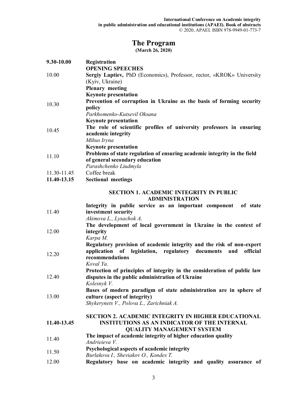# **The Program**

**(March 26, 2020)** 

| 9.30-10.00  | Registration                                                                                     |
|-------------|--------------------------------------------------------------------------------------------------|
| 10.00       | <b>OPENING SPEECHES</b><br>Sergiy Laptiev, PhD (Economics), Professor, rector, «KROK» University |
|             | (Kyiv, Ukraine)                                                                                  |
|             | <b>Plenary</b> meeting                                                                           |
|             | <b>Keynote presentation</b>                                                                      |
|             | Prevention of corruption in Ukraine as the basis of forming security                             |
| 10.30       | policy                                                                                           |
|             | Parkhomenko-Kutsevil Oksana                                                                      |
|             | <b>Keynote presentation</b>                                                                      |
| 10.45       | The role of scientific profiles of university professors in ensuring<br>academic integrity       |
|             | Mihus Iryna                                                                                      |
|             | <b>Keynote presentation</b>                                                                      |
| 11.10       | Problems of state regulation of ensuring academic integrity in the field                         |
|             | of general secondary education                                                                   |
|             | Parashchenko Liudmyla                                                                            |
| 11.30-11.45 | Coffee break                                                                                     |
| 11.40-13.15 | <b>Sectional meetings</b>                                                                        |
|             | <b>SECTION 1. ACADEMIC INTEGRITY IN PUBLIC</b><br><b>ADMINISTRATION</b>                          |
|             | Integrity in public service as an important component<br>of state                                |
| 11.40       | investment security                                                                              |
|             | Akimova L., Lysachok A.                                                                          |
|             | The development of local government in Ukraine in the context of                                 |
| 12.00       | integrity                                                                                        |
|             | Karpa M.                                                                                         |

12.20 **Regulatory provision of academic integrity and the risk of non-expert application of legislation, regulatory documents and official recommendations**  *Koval Ya.* 

12.40 **Protection of principles of integrity in the consideration of public law disputes in the public administration of Ukraine**  *Kolesnyk V.* 

13.00 **Bases of modern paradigm of state administration are in sphere of culture (aspect of integrity)** 

*Shykerynets V., Polova L., Zarichniak A.*

#### **11.40-13.45 SECTION 2. ACADEMIC INTEGRITY IN HIGHER EDUCATIONAL INSTITUTIONS AS AN INDICATOR OF THE INTERNAL QUALITY MANAGEMENT SYSTEM**

- 
- 11.40 **The impact of academic integrity of higher education quality** *Andrieieva V.*
- 11.50 **Psychological aspects of academic integrity**
- *Burlakova I., Sheviakov O., Kondes T.*
- 12.00 **Regulatory base on academic integrity and quality assurance of**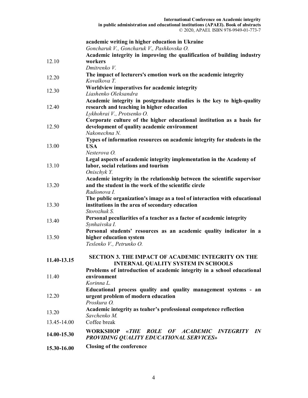| 15.30-16.00 | <b>Closing of the conference</b>                                                                                                                                                 |  |  |  |  |  |
|-------------|----------------------------------------------------------------------------------------------------------------------------------------------------------------------------------|--|--|--|--|--|
| 14.00-15.30 | WORKSHOP «THE ROLE OF ACADEMIC INTEGRITY IN<br><b>PROVIDING QUALITY EDUCATIONAL SERVICES»</b>                                                                                    |  |  |  |  |  |
| 13.45-14.00 | Coffee break                                                                                                                                                                     |  |  |  |  |  |
| 13.20       | Academic integrity as teaher's professional competence reflection<br>Savchenko M.                                                                                                |  |  |  |  |  |
| 12.20       | urgent problem of modern education<br>Proskura O.                                                                                                                                |  |  |  |  |  |
| 11.40       | environment<br>Korinna L.<br>Educational process quality and quality management systems - an                                                                                     |  |  |  |  |  |
| 11.40-13.15 | <b>SECTION 3. THE IMPACT OF ACADEMIC INTEGRITY ON THE</b><br><b>INTERNAL QUALITY SYSTEM IN SCHOOLS</b><br>Problems of introduction of academic integrity in a school educational |  |  |  |  |  |
| 13.50       | Personal students' resources as an academic quality indicator in a<br>higher education system<br>Teslenko V., Petrunko O.                                                        |  |  |  |  |  |
| 13.40       | Personal peculiarities of a teacher as a factor of academic integrity<br>Synhaivska I.                                                                                           |  |  |  |  |  |
| 13.30       | The public organization's image as a tool of interaction with educational<br>institutions in the area of secondary education<br>Storozhuk S.                                     |  |  |  |  |  |
| 13.20       | and the student in the work of the scientific circle<br>Radionova I.                                                                                                             |  |  |  |  |  |
|             | labor, social relations and tourism<br>Onischyk Y.<br>Academic integrity in the relationship between the scientific supervisor                                                   |  |  |  |  |  |
| 13.10       | Nesterova O.<br>Legal aspects of academic integrity implementation in the Academy of                                                                                             |  |  |  |  |  |
| 13.00       | Nakonechna N.<br>Types of information resources on academic integrity for students in the<br><b>USA</b>                                                                          |  |  |  |  |  |
| 12.50       | Lykhohrai V., Protsenko O.<br>Corporate culture of the higher educational institution as a basis for<br>development of quality academic environment                              |  |  |  |  |  |
| 12.40       | Academic integrity in postgraduate studies is the key to high-quality<br>research and teaching in higher education                                                               |  |  |  |  |  |
| 12.30       | Worldview imperatives for academic integrity<br>Liashenko Oleksandra                                                                                                             |  |  |  |  |  |
| 12.20       | Dmitrenko V.<br>The impact of lecturers's emotion work on the academic integrity<br>Kovalkova T.                                                                                 |  |  |  |  |  |
| 12.10       | workers                                                                                                                                                                          |  |  |  |  |  |
|             | academic writing in higher education in Ukraine<br>Goncharuk V., Goncharuk V., Pashkovska O.<br>Academic integrity in improving the qualification of building industry           |  |  |  |  |  |
|             |                                                                                                                                                                                  |  |  |  |  |  |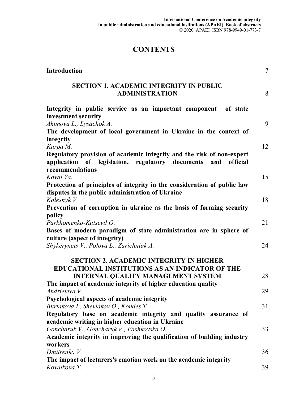# **CONTENTS**

| <b>Introduction</b>                                                                                                                                          | $\tau$ |
|--------------------------------------------------------------------------------------------------------------------------------------------------------------|--------|
| <b>SECTION 1. ACADEMIC INTEGRITY IN PUBLIC</b><br><b>ADMINISTRATION</b>                                                                                      | 8      |
| Integrity in public service as an important component of state<br>investment security                                                                        |        |
| Akimova L., Lysachok A.<br>The development of local government in Ukraine in the context of                                                                  | 9      |
| integrity<br>Karpa M.                                                                                                                                        | 12     |
| Regulatory provision of academic integrity and the risk of non-expert<br>application of legislation, regulatory documents and<br>official<br>recommendations |        |
| Koval Ya.<br>Protection of principles of integrity in the consideration of public law                                                                        | 15     |
| disputes in the public administration of Ukraine                                                                                                             |        |
| Kolesnyk V.<br>Prevention of corruption in ukraine as the basis of forming security                                                                          | 18     |
| policy<br>Parkhomenko-Kutsevil O.<br>Bases of modern paradigm of state administration are in sphere of                                                       | 21     |
| culture (aspect of integrity)<br>Shykerynets V., Polova L., Zarichniak A.                                                                                    | 24     |
| <b>SECTION 2. ACADEMIC INTEGRITY IN HIGHER</b><br><b>EDUCATIONAL INSTITUTIONS AS AN INDICATOR OF THE</b>                                                     |        |
| <b>INTERNAL QUALITY MANAGEMENT SYSTEM</b>                                                                                                                    | 28     |
| The impact of academic integrity of higher education quality<br>Andrieieva V.                                                                                | 29     |
| Psychological aspects of academic integrity<br>Burlakova I., Sheviakov O., Kondes T.                                                                         | 31     |
| Regulatory base on academic integrity and quality assurance of<br>academic writing in higher education in Ukraine                                            |        |
| Goncharuk V., Goncharuk V., Pashkovska O.                                                                                                                    | 33     |
| Academic integrity in improving the qualification of building industry<br>workers                                                                            |        |
| Dmitrenko V.                                                                                                                                                 | 36     |
| The impact of lecturers's emotion work on the academic integrity<br>Kovalkova T.                                                                             | 39     |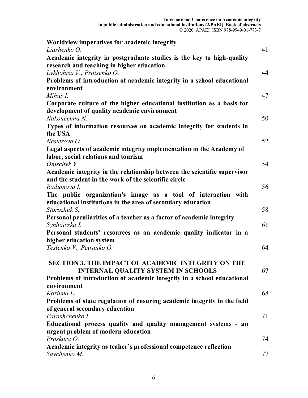| Worldview imperatives for academic integrity                             |    |
|--------------------------------------------------------------------------|----|
| Liashenko O.                                                             | 41 |
| Academic integrity in postgraduate studies is the key to high-quality    |    |
| research and teaching in higher education<br>Lykhohrai V., Protsenko O.  | 44 |
| Problems of introduction of academic integrity in a school educational   |    |
| environment                                                              |    |
| Mihus I.                                                                 | 47 |
| Corporate culture of the higher educational institution as a basis for   |    |
| development of quality academic environment                              |    |
| Nakonechna N.                                                            | 50 |
| Types of information resources on academic integrity for students in     |    |
| the USA                                                                  |    |
| Nesterova O.                                                             | 52 |
| Legal aspects of academic integrity implementation in the Academy of     |    |
| labor, social relations and tourism                                      |    |
| Onischyk Y.                                                              | 54 |
| Academic integrity in the relationship between the scientific supervisor |    |
| and the student in the work of the scientific circle                     |    |
| Radionova I.                                                             | 56 |
| The public organization's image as a tool of interaction with            |    |
| educational institutions in the area of secondary education              |    |
| Storozhuk S.                                                             | 58 |
| Personal peculiarities of a teacher as a factor of academic integrity    |    |
| Synhaivska I.                                                            | 61 |
| Personal students' resources as an academic quality indicator in a       |    |
| higher education system                                                  |    |
| Teslenko V., Petrunko O.                                                 | 64 |
|                                                                          |    |
| <b>SECTION 3. THE IMPACT OF ACADEMIC INTEGRITY ON THE</b>                |    |
| <b>INTERNAL QUALITY SYSTEM IN SCHOOLS</b>                                | 67 |
| Problems of introduction of academic integrity in a school educational   |    |
| environment                                                              |    |
| Korinna L.                                                               | 68 |
| Problems of state regulation of ensuring academic integrity in the field |    |
| of general secondary education                                           |    |
| Parashchenko L.                                                          | 71 |
| Educational process quality and quality management systems - an          |    |
| urgent problem of modern education                                       |    |
| Proskura O.                                                              | 74 |
| Academic integrity as teaher's professional competence reflection        |    |
| Savchenko M.                                                             | 77 |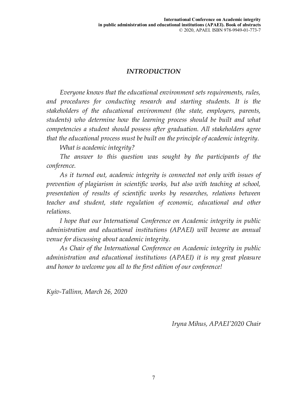# *INTRODUCTION*

*Everyone knows that the educational environment sets requirements, rules, and procedures for conducting research and starting students. It is the stakeholders of the educational environment (the state, employers, parents, students) who determine how the learning process should be built and what competencies a student should possess after graduation. All stakeholders agree that the educational process must be built on the principle of academic integrity.* 

*What is academic integrity?* 

*The answer to this question was sought by the participants of the conference.* 

*As it turned out, academic integrity is connected not only with issues of prevention of plagiarism in scientific works, but also with teaching at school, presentation of results of scientific works by researches, relations between teacher and student, state regulation of economic, educational and other relations.* 

*I hope that our International Conference on Academic integrity in public administration and educational institutions (APAEI) will become an annual venue for discussing about academic integrity.* 

*As Chair of the International Conference on Academic integrity in public administration and educational institutions (APAEI) it is my great pleasure and honor to welcome you all to the first edition of our conference!* 

*Kyiv-Tallinn, March 26, 2020* 

*Iryna Mihus, APAEI'2020 Chair*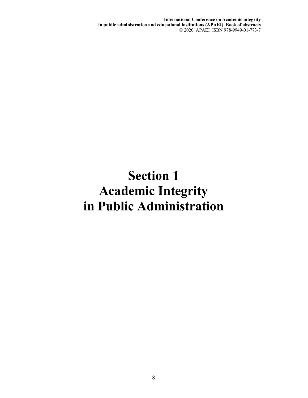**International Conference on Academic integrity in public administration and educational institutions (APAEI). Book of abstracts**  © 2020, APAEI. ISBN 978-9949-01-773-7

# **Section 1 Academic Integrity in Public Administration**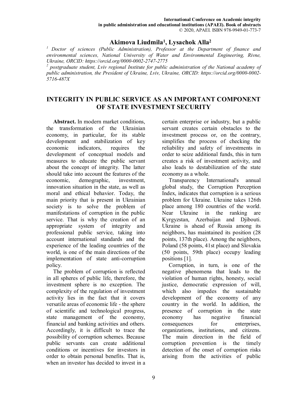#### **Akimova Liudmila<sup>1</sup> , Lysachok Alla<sup>2</sup>**

*<sup>1</sup>Doctor of sciences (Public Administration), Professor at the Department of finance and environmental sciences, National University of Water and Environmental Engineering, Rivne, Ukraine, ORCID: https://orcid.org/0000-0002-2747-2775* 

<sup>2</sup> postgraduate student, Lviv regional Institute for public administration of the National academy of *public administration, the President of Ukraine, Lviv, Ukraine, ORCID: https://orcid.org/0000-0002- 5716-487X* 

# **INTEGRITY IN PUBLIC SERVICE AS AN IMPORTANT COMPONENT OF STATE INVESTMENT SECURITY**

**Abstract.** In modern market conditions, the transformation of the Ukrainian economy, in particular, for its stable development and stabilization of key economic indicators, requires the development of conceptual models and measures to educate the public servant about the concept of integrity. The latter should take into account the features of the economic, demographic, investment, innovation situation in the state, as well as moral and ethical behavior. Today, the main priority that is present in Ukrainian society is to solve the problem of manifestations of corruption in the public service. That is why the creation of an appropriate system of integrity and professional public service, taking into account international standards and the experience of the leading countries of the world, is one of the main directions of the implementation of state anti-corruption policy.

The problem of corruption is reflected in all spheres of public life, therefore, the investment sphere is no exception. The complexity of the regulation of investment activity lies in the fact that it covers versatile areas of economic life - the sphere of scientific and technological progress, state management of the economy, financial and banking activities and others. Accordingly, it is difficult to trace the possibility of corruption schemes. Because public servants can create additional conditions or incentives for investors in order to obtain personal benefits. That is, when an investor has decided to invest in a certain enterprise or industry, but a public servant creates certain obstacles to the investment process or, on the contrary, simplifies the process of checking the reliability and safety of investments in order to seize additional funds, this in turn creates a risk of investment activity, and also leads to destabilization of the state economy as a whole.

Transparency International's annual global study, the Corruption Perception Index, indicates that corruption is a serious problem for Ukraine. Ukraine takes 126th place among 180 countries of the world. Near Ukraine in the ranking are Kyrgyzstan, Azerbaijan and Djibouti. Ukraine is ahead of Russia among its neighbors, has maintained its position (28 points, 137th place). Among the neighbors, Poland (58 points, 41st place) and Slovakia (50 points, 59th place) occupy leading positions [1].

Corruption, in turn, is one of the negative phenomena that leads to the violation of human rights, honesty, social justice, democratic expression of will, which also impedes the sustainable development of the economy of any country in the world. In addition, the presence of corruption in the state economy has negative financial consequences for enterprises, organizations, institutions, and citizens. The main direction in the field of corruption prevention is the timely detection of the onset of corruption risks arising from the activities of public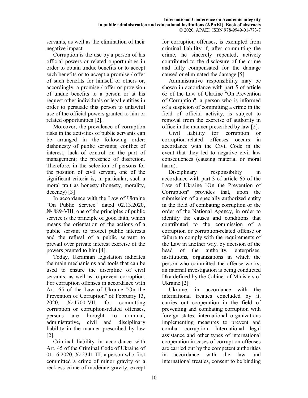servants, as well as the elimination of their negative impact.

Corruption is the use by a person of his official powers or related opportunities in order to obtain undue benefits or to accept such benefits or to accept a promise / offer of such benefits for himself or others or, accordingly, a promise / offer or provision of undue benefits to a person or at his request other individuals or legal entities in order to persuade this person to unlawful use of the official powers granted to him or related opportunities [2].

Moreover, the prevalence of corruption risks in the activities of public servants can be arranged in the following order: dishonesty of public servants; conflict of interest; lack of control on the part of management; the presence of discretion. Therefore, in the selection of persons for the position of civil servant, one of the significant criteria is, in particular, such a moral trait as honesty (honesty, morality, decency) [3]

In accordance with the Law of Ukraine "On Public Service" dated 02.13.2020, № 889-VIII, one of the principles of public service is the principle of good faith, which means the orientation of the actions of a public servant to protect public interests and the refusal of a public servant to prevail over private interest exercise of the powers granted to him [4].

Today, Ukrainian legislation indicates the main mechanisms and tools that can be used to ensure the discipline of civil servants, as well as to prevent corruption. For corruption offenses in accordance with Art. 65 of the Law of Ukraine "On the Prevention of Corruption" of February 13, 2020, № 1700-VII, for committing corruption or corruption-related offenses, persons are brought to criminal, administrative, civil and disciplinary liability in the manner prescribed by law [2].

Criminal liability in accordance with Art. 45 of the Criminal Code of Ukraine of 01.16.2020, № 2341-III, a person who first committed a crime of minor gravity or a reckless crime of moderate gravity, except

for corruption offenses, is exempted from criminal liability if, after committing the crime, he sincerely repented, actively contributed to the disclosure of the crime and fully compensated for the damage caused or eliminated the damage [5]

Administrative responsibility may be shown in accordance with part 5 of article 65 of the Law of Ukraine "On Prevention of Corruption", a person who is informed of a suspicion of committing a crime in the field of official activity, is subject to removal from the exercise of authority in office in the manner prescribed by law [2].

Civil liability for corruption or corruption-related offenses occurs in accordance with the Civil Code in the event that they led to negative civil law consequences (causing material or moral harm).

Disciplinary responsibility in accordance with part 3 of article 65 of the Law of Ukraine "On the Prevention of Corruption" provides that, upon the submission of a specially authorized entity in the field of combating corruption or the order of the National Agency, in order to identify the causes and conditions that contributed to the commission of a corruption or corruption-related offense or failure to comply with the requirements of the Law in another way, by decision of the head of the authority, enterprises, institutions, organizations in which the person who committed the offense works, an internal investigation is being conducted Dka defined by the Cabinet of Ministers of Ukraine [2].

Ukraine, in accordance with the international treaties concluded by it, carries out cooperation in the field of preventing and combating corruption with foreign states, international organizations implementing measures to prevent and combat corruption. International legal assistance and other types of international cooperation in cases of corruption offenses are carried out by the competent authorities in accordance with the law and international treaties, consent to be binding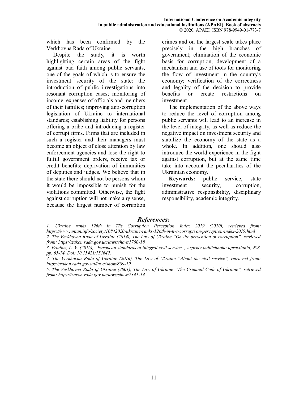which has been confirmed by the Verkhovna Rada of Ukraine.

Despite the study, it is worth highlighting certain areas of the fight against bad faith among public servants, one of the goals of which is to ensure the investment security of the state: the introduction of public investigations into resonant corruption cases; monitoring of income, expenses of officials and members of their families; improving anti-corruption legislation of Ukraine to international standards; establishing liability for persons offering a bribe and introducing a register of corrupt firms. Firms that are included in such a register and their managers must become an object of close attention by law enforcement agencies and lose the right to fulfill government orders, receive tax or credit benefits; deprivation of immunities of deputies and judges. We believe that in the state there should not be persons whom it would be impossible to punish for the violations committed. Otherwise, the fight against corruption will not make any sense, because the largest number of corruption crimes and on the largest scale takes place precisely in the high branches of government; elimination of the economic basis for corruption; development of a mechanism and use of tools for monitoring the flow of investment in the country's economy; verification of the correctness and legality of the decision to provide benefits or create restrictions on investment.

The implementation of the above ways to reduce the level of corruption among public servants will lead to an increase in the level of integrity, as well as reduce the negative impact on investment security and stabilize the economy of the state as a whole. In addition, one should also introduce the world experience in the fight against corruption, but at the same time take into account the peculiarities of the Ukrainian economy.

**Keywords:** public service, state investment security, corruption, administrative responsibility, disciplinary responsibility, academic integrity.

#### *References:*

*1. Ukraine ranks 126th in TI's Corruption Perception Index 2019 (2020), retrieved from: https://www.unian.info/society/10842020-ukraine-ranks-126th-in-ti-s-corrupti on-perception-index-2019.html 2. The Verkhovna Rada of Ukraine (2014), The Law of Ukraine "On the prevention of corruption", retrieved from: https://zakon.rada.gov.ua/laws/show/1700-18.* 

*4. The Verkhovna Rada of Ukraine (2016), The Law of Ukraine "About the civil service", retrieved from: https://zakon.rada.gov.ua/laws/show/889-19.* 

*5. The Verkhovna Rada of Ukraine (2001), The Law of Ukraine "The Criminal Code of Ukraine", retrieved from: https://zakon.rada.gov.ua/laws/show/2341-14.* 

*<sup>3.</sup> Prudius, L. V. (2016), "European standards of integral civil service", Aspekty publichnoho upravlinnia, №8, pp. 65-74. Doi: 10.15421/151642.*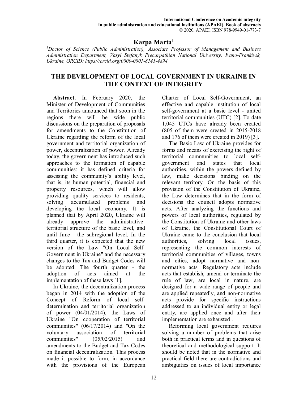# **Karpa Marta<sup>1</sup>**

*<sup>1</sup>Doctor of Science (Public Administration), Associate Professor of Management and Business Administration Department, Vasyl Stefanyk Precarpathian National University, Ivano-Frankivsk, Ukraine, ORCID: https://orcid.org/0000-0001-8141-4894* 

#### **THE DEVELOPMENT OF LOCAL GOVERNMENT IN UKRAINE IN THE CONTEXT OF INTEGRITY**

**Abstract.** In February 2020, the Minister of Development of Communities and Territories announced that soon in the regions there will be wide public discussions on the preparation of proposals for amendments to the Constitution of Ukraine regarding the reform of the local government and territorial organization of power, decentralization of power. Already today, the government has introduced such approaches to the formation of capable communities: it has defined criteria for assessing the community's ability level, that is, its human potential, financial and property resources, which will allow providing quality services to residents, solving accumulated problems and developing the local economy. It is planned that by April 2020, Ukraine will already approve the administrativeterritorial structure of the basic level, and until June - the subregional level. In the third quarter, it is expected that the new version of the Law "On Local Self-Government in Ukraine" and the necessary changes to the Tax and Budget Codes will be adopted. The fourth quarter - the adoption of acts aimed at the implementation of these laws [1].

In Ukraine, the decentralization process began in 2014 with the adoption of the Concept of Reform of local selfdetermination and territorial organization of power  $(04/01/2014)$ , the Laws of Ukraine "On cooperation of territorial communities" (06/17/2014) and "On the voluntary association of territorial communities" (05/02/2015) and amendments to the Budget and Tax Codes on financial decentralization. This process made it possible to form, in accordance with the provisions of the European Charter of Local Self-Government, an effective and capable institution of local self-government at a basic level - united territorial communities (UTC) [2]. To date 1,045 UTCs have already been created (805 of them were created in 2015-2018 and 176 of them were created in 2019) [3].

The Basic Law of Ukraine provides for forms and means of exercising the right of territorial communities to local selfgovernment and states that local authorities, within the powers defined by law, make decisions binding on the relevant territory. On the basis of this provision of the Constitution of Ukraine, the Law determines that in the form of decisions the council adopts normative acts. After analyzing the functions and powers of local authorities, regulated by the Constitution of Ukraine and other laws of Ukraine, the Constitutional Court of Ukraine came to the conclusion that local authorities, solving local issues, representing the common interests of territorial communities of villages, towns and cities, adopt normative and nonnormative acts. Regulatory acts include acts that establish, amend or terminate the rule of law, are local in nature, are designed for a wide range of people and are applied repeatedly, and non-normative acts provide for specific instructions addressed to an individual entity or legal entity, are applied once and after their implementation are exhausted .

Reforming local government requires solving a number of problems that arise both in practical terms and in questions of theoretical and methodological support. It should be noted that in the normative and practical field there are contradictions and ambiguities on issues of local importance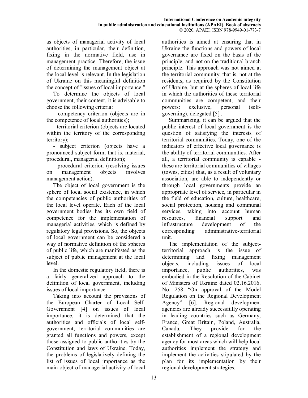as objects of managerial activity of local authorities, in particular, their definition, fixing in the normative field, use in management practice. Therefore, the issue of determining the management object at the local level is relevant. In the legislation of Ukraine on this meaningful definition the concept of "issues of local importance."

To determine the objects of local government, their content, it is advisable to choose the following criteria:

- competency criterion (objects are in the competence of local authorities);

- territorial criterion (objects are located within the territory of the corresponding territory);

- subject criterion (objects have a pronounced subject form, that is, material, procedural, managerial definition);

- procedural criterion (resolving issues on management objects involves management action).

The object of local government is the sphere of local social existence, in which the competencies of public authorities of the local level operate. Each of the local government bodies has its own field of competence for the implementation of managerial activities, which is defined by regulatory legal provisions. So, the objects of local government can be considered a way of normative definition of the spheres of public life, which are manifested as the subject of public management at the local level.

In the domestic regulatory field, there is a fairly generalized approach to the definition of local government, including issues of local importance.

Taking into account the provisions of the European Charter of Local Self-Government [4] on issues of local importance, it is determined that the authorities and officials of local selfgovernment, territorial communities are granted all functions and powers, except those assigned to public authorities by the Constitution and laws of Ukraine. Today, the problems of legislatively defining the list of issues of local importance as the main object of managerial activity of local

authorities is aimed at ensuring that in Ukraine the functions and powers of local governance are fixed on the basis of the principle, and not on the traditional branch principle. This approach was not aimed at the territorial community, that is, not at the residents, as required by the Constitution of Ukraine, but at the spheres of local life in which the authorities of these territorial communities are competent, and their powers: exclusive, personal (selfgoverning), delegated [5] .

Summarizing, it can be argued that the public interest of local government is the question of satisfying the interests of territorial communities. Today, one of the indicators of effective local governance is the ability of territorial communities. After all, a territorial community is capable these are territorial communities of villages (towns, cities) that, as a result of voluntary association, are able to independently or through local governments provide an appropriate level of service, in particular in the field of education, culture, healthcare, social protection, housing and communal services, taking into account human resources, financial support and infrastructure development of the corresponding administrative-territorial unit.

The implementation of the subjectterritorial approach is the issue of determining and fixing management objects, including issues of local importance, public authorities, was embodied in the Resolution of the Cabinet of Ministers of Ukraine dated 02.16.2016. No. 258 "On approval of the Model Regulation on the Regional Development Agency" [6]. Regional development agencies are already successfully operating in leading countries such as Germany, France, Great Britain, Poland, Australia, Canada. They provide for the establishment of a regional development agency for most areas which will help local authorities implement the strategy and implement the activities stipulated by the plan for its implementation by their regional development strategies.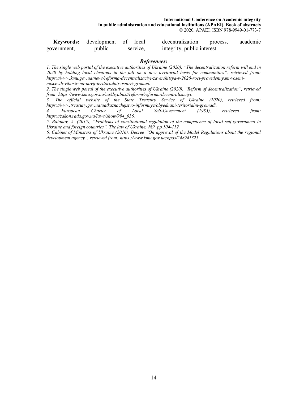**International Conference on Academic integrity in public administration and educational institutions (APAEI). Book of abstracts**  © 2020, APAEI. ISBN 978-9949-01-773-7

|             | <b>Keywords:</b> development of local |          | decentralization            | process, | academic |
|-------------|---------------------------------------|----------|-----------------------------|----------|----------|
| government, | public                                | service, | integrity, public interest. |          |          |

#### *References:*

*1. The single web portal of the executive authorities of Ukraine (2020), "The decentralization reform will end in 2020 by holding local elections in the fall on a new territorial basis for communities", retrieved from: https://www.kmu.gov.ua/news/reforma-decentralizaciyi-zavershitsya-v-2020-roci-provedennyam-vosenimiscevih-viboriv-na-novij-teritorialnij-osnovi-gromad.* 

*2. The single web portal of the executive authorities of Ukraine (2020), "Reform of decentralization", retrieved from: https://www.kmu.gov.ua/ua/diyalnist/reformi/reforma-decentralizaciyi.* 

*3. The official website of the State Treasury Service of Ukraine (2020), retrieved from: https://www.treasury.gov.ua/ua/kaznachejstvo-informuye/obyednani-teritorialni-gromadi.* 

*4. European Charter of Local Self-Government (1985), retrieved from: https://zakon.rada.gov.ua/laws/show/994\_036.* 

*5. Batanov, A. (2015), "Problems of constitutional regulation of the competence of local self-government in Ukraine and foreign countries", The law of Ukraine, №9, pp.104-112.* 

*6. Cabinet of Ministers of Ukraine (2016), Decree "On approval of the Model Regulations about the regional development agency", retrieved from: https://www.kmu.gov.ua/npas/248941325.*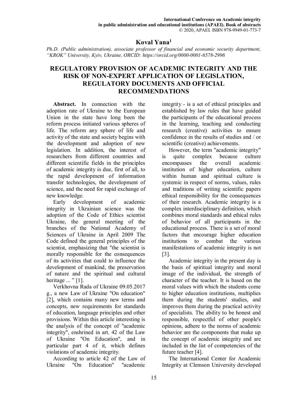#### **Koval Yana<sup>1</sup>**

*Ph.D. (Public administration), associate professor of financial and economic security department, "KROK" University, Kyiv, Ukraine, ORCID: https://orcid.org/0000-0001-6578-2996* 

#### **REGULATORY PROVISION OF ACADEMIC INTEGRITY AND THE RISK OF NON-EXPERT APPLICATION OF LEGISLATION, REGULATORY DOCUMENTS AND OFFICIAL RECOMMENDATIONS**

**Abstract.** In connection with the adoption rate of Ukraine to the European Union in the state have long been the reform process initiated various spheres of life. The reform any sphere of life and activity of the state and society begins with the development and adoption of new legislation. In addition, the interest of researchers from different countries and different scientific fields in the principles of academic integrity is due, first of all, to the rapid development of information transfer technologies, the development of science, and the need for rapid exchange of new knowledge.

Early development of academic integrity in Ukrainian science was the adoption of the Code of Ethics scientist Ukraine, the general meeting of the branches of the National Academy of Sciences of Ukraine in April 2009 The Code defined the general principles of the scientist, emphasizing that "the scientist is morally responsible for the consequences of its activities that could to influence the development of mankind, the preservation of nature and the spiritual and cultural heritage  $\ldots$  " [1].

Verkhovna Rada of Ukraine 09.05.2017 g., a new Law of Ukraine "On education" [2], which contains many new terms and concepts, new requirements for standards of education, language principles and other provisions. Within this article interesting is the analysis of the concept of "academic integrity", enshrined in art. 42 of the Law of Ukraine "On Education", and in particular part 4 of it, which defines violations of academic integrity.

According to article 42 of the Law of<br>
raine "On Education" "academic  $Uk$ raine " $\hat{O}n$  Education"

integrity - is a set of ethical principles and established by law rules that have guided the participants of the educational process in the learning, teaching and conducting research (creative) activities to ensure confidence in the results of studies and / or scientific (creative) achievements.

However, the term "academic integrity" is quite complex because culture encompasses the overall academic institution of higher education, culture within human and spiritual culture is systemic in respect of norms, values, rules and traditions of writing scientific papers ethical responsibility for the consequences of their research. Academic integrity is a complex interdisciplinary definition, which combines moral standards and ethical rules of behavior of all participants in the educational process. There is a set of moral factors that encourage higher education institutions to combat the various manifestations of academic integrity is not [3].

Academic integrity in the present day is the basis of spiritual integrity and moral image of the individual, the strength of character of the teacher. It is based on the moral values with which the students come to higher education institutions, multiplies them during the students' studies, and improves them during the practical activity of specialists. The ability to be honest and responsible, respectful of other people's opinions, adhere to the norms of academic behavior are the components that make up the concept of academic integrity and are included in the list of competencies of the future teacher [4].

The International Center for Academic Integrity at Clemson University developed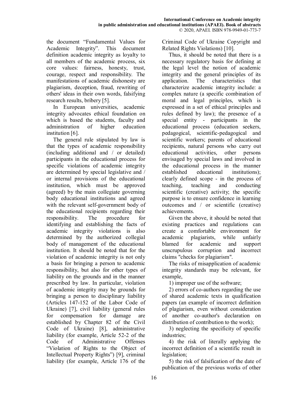the document "Fundamental Values for Academic Integrity". This document definition academic integrity as loyalty to all members of the academic process, six core values: fairness, honesty, trust, courage, respect and responsibility. The manifestations of academic dishonesty are plagiarism, deception, fraud, rewriting of others' ideas in their own words, falsifying research results, bribery [5].

In European universities, academic integrity advocates ethical foundation on which is based the students, faculty and administration of higher education institution [6].

The general rule stipulated by law is that the types of academic responsibility (including additional and / or detailed) participants in the educational process for specific violations of academic integrity are determined by special legislative and / or internal provisions of the educational institution, which must be approved (agreed) by the main collegiate governing body educational institutions and agreed with the relevant self-government body of the educational recipients regarding their responsibility. The procedure for identifying and establishing the facts of academic integrity violations is also determined by the authorized collegial body of management of the educational institution. It should be noted that for the violation of academic integrity is not only a basis for bringing a person to academic responsibility, but also for other types of liability on the grounds and in the manner prescribed by law. In particular, violation of academic integrity may be grounds for bringing a person to disciplinary liability (Articles 147-152 of the Labor Code of Ukraine) [7], civil liability (general rules for compensation for damage are established by Chapter 82 of the Civil Code of Ukraine) [8], administrative liability (for example, Article 52-2 of the Code of Administrative Offenses "Violation of Rights to the Object of Intellectual Property Rights") [9], criminal liability (for example, Article 176 of the

Criminal Code of Ukraine Copyright and Related Rights Violations) [10].

Thus, it should be noted that there is a necessary regulatory basis for defining at the legal level the notion of academic integrity and the general principles of its application. The characteristics that characterize academic integrity include: a complex nature (a specific combination of moral and legal principles, which is expressed in a set of ethical principles and rules defined by law); the presence of a special entity - participants in the educational process (education seekers, pedagogical, scientific-pedagogical and scientific workers; parents of educational recipients, natural persons who carry out educational activities, other persons envisaged by special laws and involved in the educational process in the manner established educational institutions); clearly defined scope - in the process of teaching, teaching and conducting scientific (creative) activity; the specific purpose is to ensure confidence in learning outcomes and / or scientific (creative) achievements.

Given the above, it should be noted that existing practices and regulations can create a comfortable environment for academic plagiarists, while unfairly blamed for academic and support unscrupulous corruption and incorrect claims "checks for plagiarism".

The risks of misapplication of academic integrity standards may be relevant, for example,

1) improper use of the software;

2) errors of co-authors regarding the use of shared academic texts in qualification papers (an example of incorrect definition of plagiarism, even without consideration of another co-author's declaration on distribution of contribution to the work);

3) neglecting the specificity of specific industries;

4) the risk of literally applying the incorrect definition of a scientific result in legislation;

5) the risk of falsification of the date of publication of the previous works of other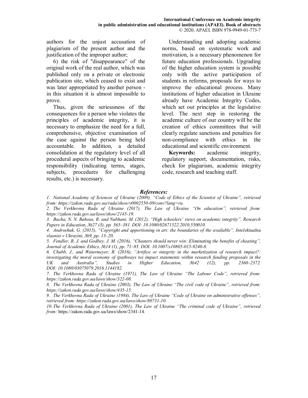authors for the unjust accusation of plagiarism of the present author and the justification of the improper author;

6) the risk of "disappearance" of the original work of the real author, which was published only on a private or electronic publication site, which ceased to exist and was later appropriated by another person in this situation it is almost impossible to prove.

Thus, given the seriousness of the consequences for a person who violates the principles of academic integrity, it is necessary to emphasize the need for a full, comprehensive, objective examination of the case against the person being held accountable. In addition, a detailed consolidation at the regulatory level of all procedural aspects of bringing to academic responsibility (indicating terms, stages, subjects, procedures for challenging results, etc.) is necessary.

Understanding and adopting academic norms, based on systematic work and motivation, is a necessary phenomenon for future education professionals. Upgrading of the higher education system is possible only with the active participation of students in reforms, proposals for ways to improve the educational process. Many institutions of higher education in Ukraine already have Academic Integrity Codes, which set out principles at the legislative level. The next step in restoring the academic culture of our country will be the creation of ethics committees that will clearly regulate sanctions and penalties for non-compliance with ethics in the educational and scientific environment.

**Keywords:** academic integrity, regulatory support, documentation, risks, check for plagiarism, academic integrity code, research and teaching staff.

#### *References:*

*1. National Academy of Sciences of Ukraine (2009), "Code of Ethics of the Scientist of Ukraine", retrieved from: https://zakon.rada.gov.ua/rada/show/v0002550-09/conv?lang=ru.* 

*2. The Verkhovna Rada of Ukraine (2017), The Law of Ukraine "On education", retrieved from: https://zakon.rada.gov.ua/laws/show/2145-19.* 

*3. Bacha, N. N. Bahous, R. and Nabhani, M. (2012), "High schoolers' views on academic integrity", Research Papers in Education, №27 (3), pp. 365–381. DOI: 10.1080/02671522.2010.550010.* 

*4. Androshuk, G. (2015), "Copyright and apportioning in art: the boundaries of the available", Intelektualna vlasnist v Ukrayini, №9, pp. 13–20.* 

*5. Fendler, R. J. and Godbey, J. M. (2016), "Cheaters should never win: Eliminating the benefits of cheating", Journal of Academic Ethics, №14 (1), рр. 71–85. DOI: 10.1007/s10805-015-9240-8.* 

*6. Chubb, J., and Watermeyer, R. (2016), "Artifice or integrity in the marketization of research impact?: investigating the moral economy of (pathways to) impact statements within research funding proposals in the UK and Australia", Studies in Higher Education, №42 (12), pp. 2360–2372. DOI: 10.1080/03075079.2016.1144182.* 

*7. The Verkhovna Rada of Ukraine (1971), The Law of Ukraine "The Labour Code", retrieved from: https://zakon.rada.gov.ua/laws/show/322-08.* 

*8. The Verkhovna Rada of Ukraine (2003), The Law of Ukraine "The civil code of Ukraine", retrieved from: https://zakon.rada.gov.ua/laws/show/435-15.* 

*9. The Verkhovna Rada of Ukraine (1984), The Law of Ukraine "Code of Ukraine on administrative offenses", retrieved from: https://zakon.rada.gov.ua/laws/show/80731-10.* 

*10. The Verkhovna Rada of Ukraine (2001), The Law of Ukraine "The criminal code of Ukraine", retrieved from:* https://zakon.rada.gov.ua/laws/show/2341-14*.*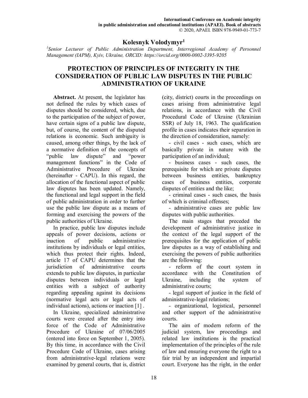#### **Kolesnyk Volodymyr<sup>1</sup>**

<sup>1</sup> Senior Lecturer of Public Administration Department, Interregional Academy of Personnel *Management (IAPM), Kyiv, Ukraine, ORCID: https://orcid.org/0000-0002-3395-9205* 

#### **PROTECTION OF PRINCIPLES OF INTEGRITY IN THE CONSIDERATION OF PUBLIC LAW DISPUTES IN THE PUBLIC ADMINISTRATION OF UKRAINE**

**Abstract.** At present, the legislator has not defined the rules by which cases of disputes should be considered, which, due to the participation of the subject of power, have certain signs of a public law dispute, but, of course, the content of the disputed relations is economic. Such ambiguity is caused, among other things, by the lack of a normative definition of the concepts of "public law dispute" and "power management functions" in the Code of Administrative Procedure of Ukraine (hereinafter - CAPU). In this regard, the allocation of the functional aspect of public law disputes has been updated. Namely, the functional and legal support in the field of public administration in order to further use the public law dispute as a means of forming and exercising the powers of the public authorities of Ukraine.

In practice, public law disputes include appeals of power decisions, actions or inaction of public administrative institutions by individuals or legal entities, which thus protect their rights. Indeed, article 17 of CAPU determines that the jurisdiction of administrative courts extends to public law disputes, in particular disputes between individuals or legal entities with a subject of authority regarding appealing against its decisions (normative legal acts or legal acts of individual actions), actions or inaction [1] .

In Ukraine, specialized administrative courts were created after the entry into force of the Code of Administrative Procedure of Ukraine of 07/06/2005 (entered into force on September 1, 2005). By this time, in accordance with the Civil Procedure Code of Ukraine, cases arising from administrative-legal relations were examined by general courts, that is, district

(city, district) courts in the proceedings on cases arising from administrative legal relations, in accordance with the Civil Procedural Code of Ukraine (Ukrainian SSR) of July 18, 1963. The qualification profile in cases indicates their separation in the direction of consideration, namely:

- civil cases - such cases, which are basically private in nature with the participation of an individual;

- business cases - such cases, the prerequisite for which are private disputes between business entities, bankruptcy cases of business entities, corporate disputes of entities and the like;

- criminal cases - such cases, the basis of which is criminal offenses;

- administrative cases are public law disputes with public authorities.

The main stages that preceded the development of administrative justice in the context of the legal support of the prerequisites for the application of public law disputes as a way of establishing and exercising the powers of public authorities are the following:

- reform of the court system in accordance with the Constitution of Ukraine, including the system of administrative courts;

- legal support of justice in the field of administrative-legal relations;

- organizational, logistical, personnel and other support of the administrative courts.

The aim of modern reform of the judicial system, law proceedings and related law institutions is the practical implementation of the principles of the rule of law and ensuring everyone the right to a fair trial by an independent and impartial court. Everyone has the right, in the order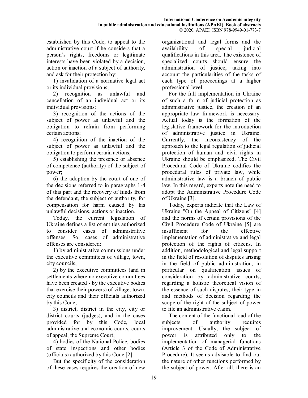established by this Code, to appeal to the administrative court if he considers that a person's rights, freedoms or legitimate interests have been violated by a decision, action or inaction of a subject of authority, and ask for their protection by:

1) invalidation of a normative legal act or its individual provisions;

2) recognition as unlawful and cancellation of an individual act or its individual provisions;

3) recognition of the actions of the subject of power as unlawful and the obligation to refrain from performing certain actions;

4) recognition of the inaction of the subject of power as unlawful and the obligation to perform certain actions;

5) establishing the presence or absence of competence (authority) of the subject of power;

6) the adoption by the court of one of the decisions referred to in paragraphs 1-4 of this part and the recovery of funds from the defendant, the subject of authority, for compensation for harm caused by his unlawful decisions, actions or inaction.

Today, the current legislation of Ukraine defines a list of entities authorized to consider cases of administrative offenses. So, cases of administrative offenses are considered:

1) by administrative commissions under the executive committees of village, town, city councils;

2) by the executive committees (and in settlements where no executive committees have been created - by the executive bodies that exercise their powers) of village, town, city councils and their officials authorized by this Code;

3) district, district in the city, city or district courts (judges), and in the cases provided for by this Code, local administrative and economic courts, courts of appeal, the Supreme Court;

4) bodies of the National Police, bodies of state inspections and other bodies (officials) authorized by this Code [2].

But the specificity of the consideration of these cases requires the creation of new

organizational and legal forms and the availability of special judicial qualifications in this area. The existence of specialized courts should ensure the administration of justice, taking into account the particularities of the tasks of each type of proceedings at a higher professional level.

For the full implementation in Ukraine of such a form of judicial protection as administrative justice, the creation of an appropriate law framework is necessary. Actual today is the formation of the legislative framework for the introduction of administrative justice in Ukraine. Currently, the inconsistency of the approach to the legal regulation of judicial protection of human and civil rights in Ukraine should be emphasized. The Civil Procedural Code of Ukraine codifies the procedural rules of private law, while administrative law is a branch of public law. In this regard, experts note the need to adopt the Administrative Procedure Code of Ukraine [3].

Today, experts indicate that the Law of Ukraine "On the Appeal of Citizens" [4] and the norms of certain provisions of the Civil Procedure Code of Ukraine [5] are insufficient for the effective implementation of administrative and legal protection of the rights of citizens. In addition, methodological and legal support in the field of resolution of disputes arising in the field of public administration, in particular on qualification issues of consideration by administrative courts, regarding a holistic theoretical vision of the essence of such disputes, their type in and methods of decision regarding the scope of the right of the subject of power to file an administrative claim.

The content of the functional load of the subjects of authority requires improvement. Usually, the subject of power is attributed only to the implementation of managerial functions (Article 3 of the Code of Administrative Procedure). It seems advisable to find out the nature of other functions performed by the subject of power. After all, there is an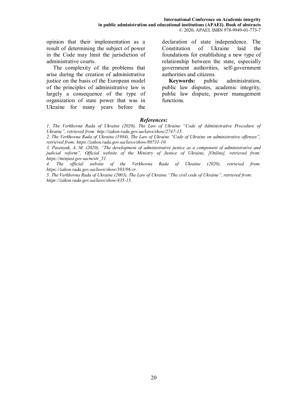opinion that their implementation as a result of determining the subject of power in the Code may limit the jurisdiction of administrative courts.

The complexity of the problems that arise during the creation of administrative justice on the basis of the European model of the principles of administrative law is largely a consequence of the type of organization of state power that was in Ukraine for many years before the declaration of state independence. The Constitution of Ukraine laid the foundations for establishing a new type of relationship between the state, especially government authorities, self-government authorities and citizens.

**Keywords:** public administration, public law disputes, academic integrity, public law dispute, power management functions.

#### *References:*

*1. The Verkhovna Rada of Ukraine (2020), The Law of Ukraine "Code of Administrative Procedure of Ukraine", retrieved from: http://zakon.rada.gov.ua/laws/show/2747-15.* 

*2. The Verkhovna Rada of Ukraine (1984), The Law of Ukraine "Code of Ukraine on administrative offenses", retrieved from: https://zakon.rada.gov.ua/laws/show/80731-10.* 

*3. Pasenyuk, A. M. (2020), "The development of administrative justice as a component of administrative and judicial reform", Official website of the Ministry of Justice of Ukraine, [Online], retrieved from: https://minjust.gov.ua/m/str\_51.* 

*4. The official website of the Verkhovna Rada of Ukraine (2020), retrieved from: https://zakon.rada.gov.ua/laws/show/393/96-vr.* 

*5. The Verkhovna Rada of Ukraine (2003), The Law of Ukraine "The civil code of Ukraine", retrieved from: https://zakon.rada.gov.ua/laws/show/435-15.*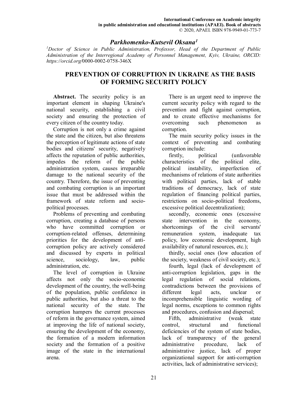#### *Parkhomenko-Kutsevil Oksana<sup>1</sup>*

*<sup>1</sup>Doctor of Science in Public Administration, Professor, Head of the Department of Public Administration of the Interregional Academy of Personnel Management, Kyiv, Ukraine, ORCID: https://orcid.org/*0000-0002-0758-346X

#### **PREVENTION OF CORRUPTION IN UKRAINE AS THE BASIS OF FORMING SECURITY POLICY**

Abstract. The security policy is an important element in shaping Ukraine's national security, establishing a civil society and ensuring the protection of every citizen of the country today.

Corruption is not only a crime against the state and the citizen, but also threatens the perception of legitimate actions of state bodies and citizens' security, negatively affects the reputation of public authorities, impedes the reform of the public administration system, causes irreparable damage to the national security of the country. Therefore, the issue of preventing and combating corruption is an important issue that must be addressed within the framework of state reform and sociopolitical processes.

Problems of preventing and combating corruption, creating a database of persons who have committed corruption or corruption-related offenses, determining priorities for the development of anticorruption policy are actively considered and discussed by experts in political science, sociology, law, public administration, etc.

The level of corruption in Ukraine affects not only the socio-economic development of the country, the well-being of the population, public confidence in public authorities, but also a threat to the national security of the state. The corruption hampers the current processes of reform in the governance system, aimed at improving the life of national society, ensuring the development of the economy, the formation of a modern information society and the formation of a positive image of the state in the international arena.

There is an urgent need to improve the current security policy with regard to the prevention and fight against corruption, and to create effective mechanisms for overcoming such phenomenon as corruption.

The main security policy issues in the context of preventing and combating corruption include:

firstly, political (unfavorable characteristics of the political elite, political instability, imperfection of mechanisms of relations of state authorities with political parties, lack of stable traditions of democracy, lack of state regulation of financing political parties, restrictions on socio-political freedoms, excessive political decentralization);

secondly, economic ones (excessive state intervention in the economy, shortcomings of the civil servants' remuneration system, inadequate tax policy, low economic development, high availability of natural resources, etc.);

thirdly, social ones (low education of the society, weakness of civil society, etc.);

fourth, legal (lack of development of anti-corruption legislation, gaps in the legal regulation of social relations, contradictions between the provisions of different legal acts, unclear or incomprehensible linguistic wording of legal norms, exceptions to common rights and procedures, confusion and dispersal;

Fifth, administrative (weak state control, structural and functional deficiencies of the system of state bodies, lack of transparency of the general administrative procedure, lack of administrative justice, lack of proper organizational support for anti-corruption activities, lack of administrative services);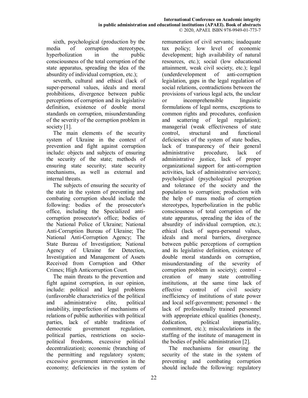sixth, psychological (production by the media of corruption stereotypes, hyperbolization in the public consciousness of the total corruption of the state apparatus, spreading the idea of the absurdity of individual corruption, etc.);

seventh, cultural and ethical (lack of super-personal values, ideals and moral prohibitions, divergence between public perceptions of corruption and its legislative definition, existence of double moral standards on corruption, misunderstanding of the severity of the corruption problem in society [1].

The main elements of the security system of Ukraine in the context of prevention and fight against corruption include: objects and subjects of ensuring the security of the state; methods of ensuring state security; state security mechanisms, as well as external and internal threats.

The subjects of ensuring the security of the state in the system of preventing and combating corruption should include the following: bodies of the prosecutor's office, including the Specialized anticorruption prosecutor's office; bodies of the National Police of Ukraine; National Anti-Corruption Bureau of Ukraine; The National Anti-Corruption Agency; The State Bureau of Investigation; National Agency of Ukraine for Detection, Investigation and Management of Assets Received from Corruption and Other Crimes; High Anticorruption Court.

The main threats to the prevention and fight against corruption, in our opinion, include: political and legal problems (unfavorable characteristics of the political and administrative elite, political instability, imperfection of mechanisms of relations of public authorities with political parties, lack of stable traditions of democratic government regulation, political parties, restrictions on sociopolitical freedoms, excessive political decentralization); economic (branching of the permitting and regulatory system; excessive government intervention in the economy; deficiencies in the system of remuneration of civil servants; inadequate tax policy; low level of economic development; high availability of natural resources, etc.); social (low educational attainment, weak civil society, etc.); legal (underdevelopment of anti-corruption legislation, gaps in the legal regulation of social relations, contradictions between the provisions of various legal acts, the unclear or incomprehensible linguistic formulations of legal norms, exceptions to common rights and procedures, confusion and scattering of legal regulation); managerial (weak effectiveness of state control, structural and functional deficiencies of the system of state bodies, lack of transparency of their general administrative procedure, lack of administrative justice, lack of proper organizational support for anti-corruption activities, lack of administrative services); psychological (psychological perception and tolerance of the society and the population to corruption; production with the help of mass media of corruption stereotypes, hyperbolization in the public consciousness of total corruption of the state apparatus, spreading the idea of the absurdity of individual corruption, etc.); ethical (lack of supra-personal values, ideals and moral barriers, divergence between public perceptions of corruption and its legislative definition, existence of double moral standards on corruption, misunderstanding of the severity of corruption problem in society); control creation of many state controlling institutions, at the same time lack of effective control of civil society inefficiency of institutions of state power and local self-government; personnel - the lack of professionally trained personnel with appropriate ethical qualities (honesty, dedication, political impartiality, commitment, etc.); miscalculations in the staffing of the institute of management in the bodies of public administration [2].

The mechanisms for ensuring the security of the state in the system of preventing and combating corruption should include the following: regulatory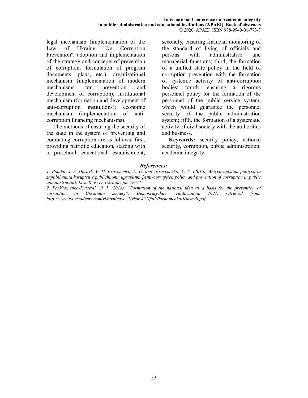legal mechanism (implementation of the Law of Ukraine "On Corruption Prevention", adoption and implementation of the strategy and concepts of prevention of corruption; formulation of program documents, plans, etc.); organizational mechanism (implementation of modern mechanisms for prevention and development of corruption); institutional mechanism (formation and development of anti-corruption institutions); economic mechanism (implementation of anticorruption financing mechanisms).

The methods of ensuring the security of the state in the system of preventing and combating corruption are as follows: first, providing patriotic education, starting with a preschool educational establishment;

secondly, ensuring financial monitoring of the standard of living of officials and persons with administrative and managerial functions; third, the formation of a unified state policy in the field of corruption prevention with the formation of systemic activity of anti-corruption bodies; fourth, ensuring a rigorous personnel policy for the formation of the personnel of the public service system, which would guarantee the personnel security of the public administration system; fifth, the formation of a systematic activity of civil society with the authorities and business.

**Keywords:** security policy, national security, corruption, public administration, academic integrity.

#### *References:*

*1. Bondar, I. S. Hornyk, V. H. Kravchenko, S. O. and Kravchenko, V. V. (2016), Antykoruptsiina polityka ta zapobihannia koruptsii v publichnomu upravlinni [Anti-corruption policy and prevention of corruption in public administration], Lira-K, Kyiv, Ukraine, pp. 78-94.* 

*2. Parkhomenko-Kutsevil, O. I. (2018), "Formation of the national idea as a basis for the prevention of corruption in Ukrainian society", Demokratychne vriaduvannia, №21, retrieved from: http://www.lvivacademy.com/vidavnitstvo\_1/visnyk21/fail/Parhomenko-Kutsevil.pdf*.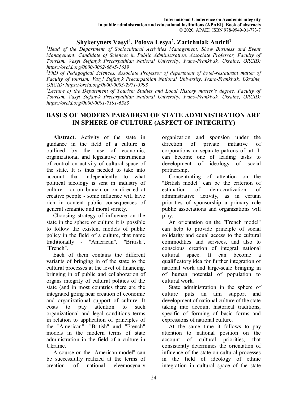# **Shykerynets Vasyl<sup>1</sup> , Polova Lesya<sup>2</sup> , Zarichniak Andrii<sup>3</sup>**

*<sup>1</sup>Head of the Department of Sociocultural Activities Management, Show Business and Event Management. Candidate of Sciences in Public Administration, Associate Professor, Faculty of Tourism. Vasyl Stefanyk Precarpathian National University, Ivano-Frankivsk, Ukraine, ORCID: https://orcid.org/0000-0002-6845-1639* 

*<sup>2</sup>PhD of Pedagogical Sciences, Associate Professor of department of hotel-restaurant matter of Faculty of tourism. Vasyl Stefanyk Precarpathian National University, Ivano-Frankivsk, Ukraine, ORCID: https://orcid.org/0000-0003-2971-5993* 

*<sup>3</sup>Lecture of the Department of Tourism Studies and Local History master's degree, Faculty of Tourism. Vasyl Stefanyk Precarpathian National University, Ivano-Frankivsk, Ukraine, ORCID: https://orcid.org/0000-0001-7191-6583* 

### **BASES OF MODERN PARADIGM OF STATE ADMINISTRATION ARE IN SPHERE OF CULTURE (ASPECT OF INTEGRITY)**

**Abstract.** Activity of the state in guidance in the field of a culture is outlined by the use of economic, organizational and legislative instruments of control on activity of cultural space of the state. It is thus needed to take into account that independently to what political ideology is sent in industry of culture - or on branch or on directed at creative people - some influence will have rich in content public consequences of general semantic and moral variety.

Choosing strategy of influence on the state in the sphere of culture it is possible to follow the existent models of public policy in the field of a culture, that name traditionally - "American", "British", "French".

Each of them contains the different variants of bringing in of the state to the cultural processes at the level of financing, bringing in of public and collaboration of organs integrity of cultural politics of the state (and in most countries there are the integrated going near creation of economic and organizational support of culture. It costs to pay attention to such organizational and legal conditions terms in relation to application of principles of the "American", "British" and "French" models in the modern terms of state administration in the field of a culture in Ukraine.

A course on the "American model" can be successfully realized at the terms of creation of national eleemosynary organization and sponsion under the direction of private initiative of corporations or separate patrons of art. It can become one of leading tasks to development of ideology of social partnership.

Concentrating of attention on the "British model" can be the criterion of estimation of democratization of administrative activity, as in certain priorities of sponsorship a primary role public associations and organizations will play.

An orientation on the "French model" can help to provide principle of social solidarity and equal access to the cultural commodities and services, and also to conscious creation of integral national cultural space. It can become a qualificatory idea for further integration of national work and large-scale bringing in of human potential of population to cultural work.

State administration in the sphere of culture puts an aim support and development of national culture of the state taking into account historical traditions, specific of forming of basic forms and expressions of national culture.

At the same time it follows to pay attention to national position on the account of cultural priorities, that consistently determines the orientation of influence of the state on cultural processes in the field of ideology of ethnic integration in cultural space of the state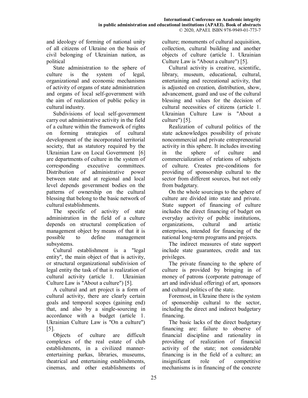and ideology of forming of national unity of all citizens of Ukraine on the basis of civil belonging of Ukrainian nation, as political

State administration to the sphere of culture is the system of legal, organizational and economic mechanisms of activity of organs of state administration and organs of local self-government with the aim of realization of public policy in cultural industry.

Subdivisions of local self-government carry out administrative activity in the field of a culture within the framework of rights on forming strategies of cultural development of the incorporated territorial society, that as statutory required by the Ukrainian Law on Local Government [6] are departments of culture in the system of corresponding executive committees. Distribution of administrative power between state and at regional and local level depends government bodies on the patterns of ownership on the cultural blessing that belong to the basic network of cultural establishments.

The specific of activity of state administration in the field of a culture depends on structural complication of management object by means of that it is possible to define management subsystems.

Cultural establishment is a "legal entity", the main object of that is activity, or structural organizational subdivision of legal entity the task of that is realization of cultural activity (article 1. Ukrainian Culture Law is "About a culture") [5].

A cultural and art project is a form of cultural activity, there are clearly certain goals and temporal scopes (gaining end) that, and also by a single-sourcing in accordance with a budget (article 1. Ukrainian Culture Law is "On a culture") [5].

Objects of culture are difficult complexes of the real estate of club establishments, in a civilized mannerentertaining parkas, libraries, museums, theatrical and entertaining establishments, cinemas, and other establishments of culture; monuments of cultural acquisition, collection, cultural building and another objects of culture (article 1. Ukrainian Culture Law is "About a culture") [5].

Cultural activity is creative, scientific, library, museum, educational, cultural, entertaining and recreational activity, that is adjusted on creation, distribution, show, advancement, guard and use of the cultural blessing and values for the decision of cultural necessities of citizens (article 1. Ukrainian Culture Law is "About a culture") [5].

Realization of cultural politics of the state acknowledges possibility of private noncommercial and private entrepreneurial activity in this sphere. It includes investing in the sphere of culture and commercialization of relations of subjects of culture. Creates pre-conditions for providing of sponsorship cultural to the sector from different sources, but not only from budgetary.

On the whole sourcings to the sphere of culture are divided into state and private. State support of financing of culture includes the direct financing of budget on everyday activity of public institutions, organizations, cultural and artistic enterprises, intended for financing of the national long-term programs and projects.

The indirect measures of state support include state guarantees, credit and tax privileges.

The private financing to the sphere of culture is provided by bringing in of money of patrons (corporate patronage of art and individual offering) of art, sponsors and cultural politics of the state.

Foremost, in Ukraine there is the system of sponsorship cultural to the sector, including the direct and indirect budgetary financing.

The basic lacks of the direct budgetary financing are: failure to observe of financial discipline and rationality in providing of realization of financial activity of the state; not considerable financing is in the field of a culture; an insignificant role of competitive mechanisms is in financing of the concrete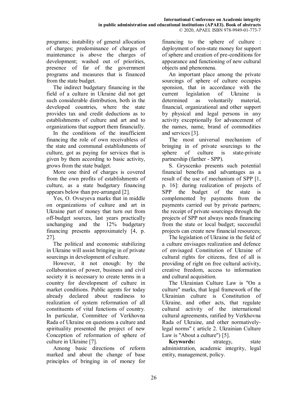programs; instability of general allocation of charges; predominance of charges of maintenance is above the charges of development; washed out of priorities, presence of far of the government programs and measures that is financed from the state budget.

The indirect budgetary financing in the field of a culture in Ukraine did not get such considerable distribution, both in the developed countries, where the state provides tax and credit deductions as to establishments of culture and art and to organizations that support them financially.

In the conditions of the insufficient financing the role of own receivabless of the state and communal establishments of culture, got as paying for services that is given by them according to basic activity, grows from the state budget.

More one third of charges is covered from the own profits of establishments of culture, as a state budgetary financing appears below than pre-arranged [2].

Yes, О. Ovseyeva marks that in middle on organizations of culture and art in Ukraine part of money that turn out from off-budget sources, last years practically unchanging and the 12% budgetary financing presents approximately [4, p. 27].

The political and economic stabilizing in Ukraine will assist bringing in of private sourcings in development of culture.

However, it not enough: by the collaboration of power, business and civil society it is necessary to create terms in a country for development of culture in market conditions. Public agents for today already declared about readiness to realization of system reformation of all constituents of vital functions of country. In particular, Committee of Verkhovna Rada of Ukraine on questions a culture and spirituality presented the project of new Conception of reformation of sphere of culture in Ukraine [7].

Among basic directions of reform marked and about the change of base principles of bringing in of money for

financing to the sphere of culture : deployment of non-state money for support of sphere and creation of pre-conditions for appearance and functioning of new cultural objects and phenomena.

An important place among the private sourcings of sphere of culture occupies sponsion, that in accordance with the current legislation of Ukraine is determined as voluntarily material, financial, organizational and other support by physical and legal persons in any activity exceptionally for advancement of the names, name, brand of commodities and services [3].

The most universal mechanism of bringing in of private sourcings to the sphere of culture is state-private partnership (farther - SPP).

S. Gryscenko presents such potential financial benefits and advantages as a result of the use of mechanism of SPP [1, p. 16]: during realization of projects of SPP the budget of the state is complemented by payments from the payments carried out by private partners; the receipt of private sourcings through the projects of SPP not always needs financing from the state or local budget; successful projects can create new financial resources;

The legislation of Ukraine in the field of a culture envisages realization and defence of envisaged Constitution of Ukraine of cultural rights for citizens, first of all is providing of right on free cultural activity, creative freedom, access to information and cultural acquisition.

The Ukrainian Culture Law is "On a culture" marks, that legal framework of the Ukrainian culture is Constitution of Ukraine, and other acts, that regulate cultural activity of the international cultural agreements, ratified by Verkhovna Rada of Ukraine, and other normativelylegal norms" ( article 2. Ukrainian Culture Law is "About a culture") [5].

**Keywords:** strategy, state administration, academic integrity, legal entity, management, policy.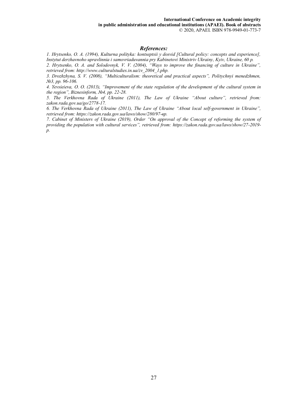#### *References:*

*1. Hrytsenko, O. A. (1994), Kulturna polityka: kontseptsii y dosvid [Cultural policy: concepts and experience], Instytut derzhavnoho upravlinnia i samovriaduvannia pry Kabinetovi Ministriv Ukrainy, Kyiv, Ukraine, 60 p.* 

*2. Hrytsenko, O. A. and Solodovnyk, V. V. (2004), "Ways to improve the financing of culture in Ukraine", retrieved from: http://www.culturalstudies.in.ua/zv\_2004\_1.php.* 

*3. Drozhzhyna, S. V. (2008), "Multiculturalism: theoretical and practical aspects", Politychnyi menedzhmen, №3, pp. 96-106.* 

*4. Yevsieieva, O. O. (2013), "Improvement of the state regulation of the development of the cultural system in the region", Biznesinform, №4, pp. 22-28.* 

*5. The Verkhovna Rada of Ukraine (2011), The Law of Ukraine "About culture", retrieved from: zakon.rada.gov.ua/go/2778-17.* 

*6. The Verkhovna Rada of Ukraine (2011), The Law of Ukraine "About local self-government in Ukraine", retrieved from: https://zakon.rada.gov.ua/laws/show/280/97-вр.* 

*7. Cabinet of Ministers of Ukraine (2019), Order "On approval of the Concept of reforming the system of providing the population with cultural services", retrieved from: https://zakon.rada.gov.ua/laws/show/27-2019 р.*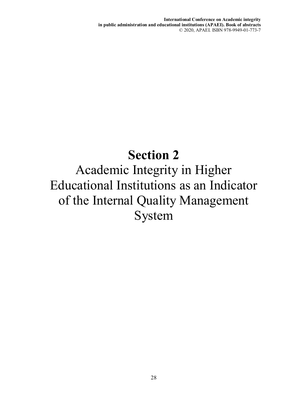**International Conference on Academic integrity in public administration and educational institutions (APAEI). Book of abstracts**  © 2020, APAEI. ISBN 978-9949-01-773-7

# **Section 2**

Academic Integrity in Higher Educational Institutions as an Indicator of the Internal Quality Management System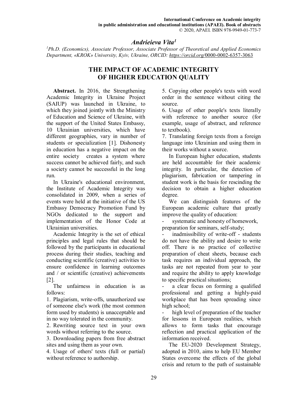#### *Andrieieva Vita<sup>1</sup>*

*<sup>1</sup>Ph.D. (Economics), Associate Professor, Associate Professor of Theoretical and Applied Economics Department, «KROK» University, Kyiv, Ukraine, ORCID: https://orcid.org/*0000-0002-6357-3063

# **THE IMPACT OF ACADEMIC INTEGRITY OF HIGHER EDUCATION QUALITY**

**Abstract.** In 2016, the Strengthening Academic Integrity in Ukraine Project (SAIUP) was launched in Ukraine, to which they joined jointly with the Ministry of Education and Science of Ukraine, with the support of the United States Embassy, 10 Ukrainian universities, which have different geographies, vary in number of students or specialization [1]. Dishonesty in education has a negative impact on the entire society creates a system where success cannot be achieved fairly, and such a society cannot be successful in the long run.

In Ukraine's educational environment, the Institute of Academic Integrity was consolidated in 2009, when a series of events were held at the initiative of the US Embassy Democracy Promotion Fund by NGOs dedicated to the support and implementation of the Honor Code at Ukrainian universities.

Academic Integrity is the set of ethical principles and legal rules that should be followed by the participants in educational process during their studies, teaching and conducting scientific (creative) activities to ensure confidence in learning outcomes and / or scientific (creative) achievements [2].

The unfairness in education is as follows:

1. Plagiarism, write-offs, unauthorized use of someone else's work (the most common form used by students) is unacceptable and in no way tolerated in the community.

2. Rewriting source text in your own words without referring to the source.

3. Downloading papers from free abstract sites and using them as your own.

4. Usage of others' texts (full or partial) without reference to authorship.

5. Copying other people's texts with word order in the sentence without citing the source.

6. Usage of other people's texts literally with reference to another source (for example, usage of abstract, and reference to textbook).

7. Translating foreign texts from a foreign language into Ukrainian and using them in their works without a source.

In European higher education, students are held accountable for their academic integrity. In particular, the detection of plagiarism, fabrication or tampering in student work is the basis for rescinding the decision to obtain a higher education degree.

We can distinguish features of the European academic culture that greatly improve the quality of education:

systematic and honesty of homework, preparation for seminars, self-study;

inadmissibility of write-off - students do not have the ability and desire to write off. There is no practice of collective preparation of cheat sheets, because each task requires an individual approach, the tasks are not repeated from year to year and require the ability to apply knowledge to specific practical situations;

a clear focus on forming a qualified professional and getting a highly-paid workplace that has been spreading since high school;

high level of preparation of the teacher for lessons in European realities, which allows to form tasks that encourage reflection and practical application of the information received.

The EU-2020 Development Strategy, adopted in 2010, aims to help EU Member States overcome the effects of the global crisis and return to the path of sustainable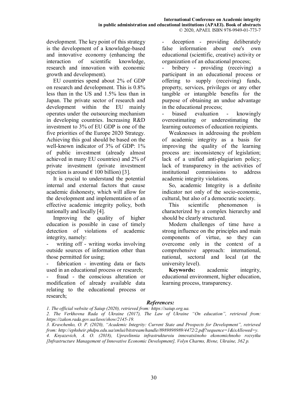development. The key point of this strategy is the development of a knowledge-based and innovative economy (enhancing the interaction of scientific knowledge, research and innovation with economic growth and development).

EU countries spend about 2% of GDP on research and development. This is 0.8% less than in the US and 1.5% less than in Japan. The private sector of research and development within the EU mainly operates under the outsourcing mechanism in developing countries. Increasing R&D investment to 3% of EU GDP is one of the five priorities of the Europe 2020 Strategy. Achieving this goal should be based on the well-known indicator of 3% of GDP: 1% of public investment (already almost achieved in many EU countries) and 2% of private investment (private investment rejection is around  $\in$  100 billion) [3].

It is crucial to understand the potential internal and external factors that cause academic dishonesty, which will allow for the development and implementation of an effective academic integrity policy, both nationally and locally [4].

Improving the quality of higher education is possible in case of timely detection of violations of academic integrity, namely:

writing off - writing works involving outside sources of information other than those permitted for using;

- fabrication - inventing data or facts used in an educational process or research;

fraud - the conscious alteration or modification of already available data relating to the educational process or research;

deception - providing deliberately false information about one's own educational (scientific, creative) activity or organization of an educational process;

bribery - providing (receiving) a participant in an educational process or offering to supply (receiving) funds, property, services, privileges or any other tangible or intangible benefits for the purpose of obtaining an undue advantage in the educational process;

biased evaluation - knowingly overestimating or underestimating the learning outcomes of education recipients.

Weaknesses in addressing the problem of academic integrity as a basis for improving the quality of the learning process are: inconsistency of legislation; lack of a unified anti-plagiarism policy; lack of transparency in the activities of institutional commissions to address academic integrity violations.

So, academic Integrity is a definite indicator not only of the socio-economic, cultural, but also of a democratic society.

This scientific phenomenon is characterized by a complex hierarchy and should be clearly structured.

Modern challenges of time have a strong influence on the principles and main components of virtue, so they can overcome only in the context of a comprehensive approach: international, national, sectoral and local (at the university level).

**Keywords:** academic integrity, educational environment, higher education, learning process, transparency.

#### *References:*

*1. The official website of Saiup (2020), retrieved from: https://saiup.org.ua.* 

*2. The Verkhovna Rada of Ukraine (2017), The Law of Ukraine "On education", retrieved from: https://zakon.rada.gov.ua/laws/show/2145-19.* 

*3. Kravchenko, O. P. (2020), "Academic Integrity: Current State and Prospects for Development", retrieved from: http://ephsheir.phdpu.edu.ua/xmlui/bitstream/handle/8989898989/4472/2.pdf?sequence=1&isAllowed=y. 4. Knyazevich, A. O. (2018), Upravlinnia infrastrukturoiu innovatsiinoho ekonomichnoho rozvytku [Infrastructure Management of Innovative Economic Development], Volyn Charms, Rivne, Ukraine, 362 p.*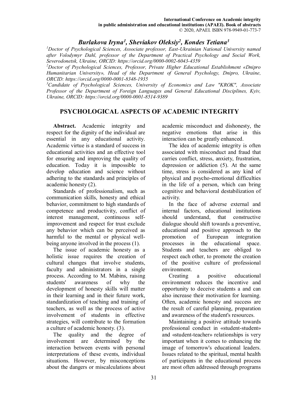# *Burlakova Iryna<sup>1</sup> , Sheviakov Oleksiy<sup>2</sup> , Kondes Tetiana<sup>3</sup>*

*<sup>1</sup>Doctor of Psychological Sciences, Associate professor, East-Ukrainian National University named after Volodymyr Dahl, professor of the Department of Practical Psychology and Social Work, Severodonetsk, Ukraine, ORCID: https://orcid.org/0000-0002-6043-4359* 

*<sup>2</sup>Doctor of Psychological Sciences, Professor, Private Higher Educational Establishment «Dnipro Humanitarian University», Head of the Department of General Psychology, Dnipro, Ukraine, ORCID: https://orcid.org/0000-0001-8348-1935* 

*<sup>3</sup>Candidate of Psychological Sciences, University of Economics and Law "KROK", Associate Professor of the Department of Foreign Languages and General Educational Disciplines, Kyiv, Ukraine, ORCID: https://orcid.org/0000-0001-8514-9389* 

# **PSYCHOLOGICAL ASPECTS OF ACADEMIC INTEGRITY**

**Abstract.** Academic integrity and respect for the dignity of the individual are essential in any educational activity. Academic virtue is a standard of success in educational activities and an effective tool for ensuring and improving the quality of education. Today it is impossible to develop education and science without adhering to the standards and principles of academic honesty (2).

Standards of professionalism, such as communication skills, honesty and ethical behavior, commitment to high standards of competence and productivity, conflict of interest management, continuous selfimprovement and respect for trust exclude any behavior which can be perceived as harmful to the mental or physical wellbeing anyone involved in the process (1).

The issue of academic honesty as a holistic issue requires the creation of cultural changes that involve students, faculty and administrators in a single process. According to M. Mabins, raising students' awareness of why the development of honesty skills will matter in their learning and in their future work, standardization of teaching and training of teachers, as well as the process of active involvement of students in effective strategies, will contribute to the formation a culture of academic honesty. (3).

The quality and the degree of involvement are determined by the interaction between events with personal interpretations of these events, individual situations. However, by misconceptions about the dangers or miscalculations about academic misconduct and dishonesty, the negative emotions that arise in this interaction can be greatly enhanced.

The idea of academic integrity is often associated with misconduct and fraud that carries conflict, stress, anxiety, frustration, depression or addiction (5). At the same time, stress is considered as any kind of physical and psycho-emotional difficulties in the life of a person, which can bring cognitive and behavioral destabilization of activity.

In the face of adverse external and internal factors, educational institutions should understand, that constructive dialogue should shift towards a preventive, educational and positive approach to the promotion of European integration processes in the educational space. Students and teachers are obliged to respect each other, to promote the creation of the positive culture of professional environment.

Creating a positive educational environment reduces the incentive and opportunity to deceive students а and can also increase their motivation for learning. Often, academic honesty and success are the result of careful planning, preparation and awareness of the student's resources.

Maintaining a positive attitude towards professional conduct in «student-student» and «student-teacher» relationships is very important when it comes to enhancing the image of tomorrow's educational leaders. Issues related to the spiritual, mental health of participants in the educational process are most often addressed through programs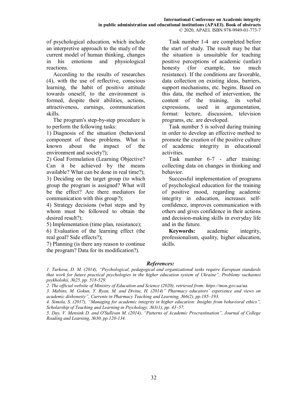of psychological education, which include an interpretive approach to the study of the current model of human thinking, changes in his emotions and physiological reactions.

According to the results of researches (4), with the use of reflective, conscious learning, the habit of positive attitude towards oneself, to the environment is formed, despite their abilities, actions, attractiveness, earnings, communication skills.

The program's step-by-step procedure is to perform the following tasks:

1) Diagnosis of the situation (behavioral component of these problems. What is known about the impact of the environment and society?);

2) Goal Formulation (Learning Objective? Can it be achieved by the means available? What can be done in real time?); 3) Deciding on the target group (to which group the program is assigned? What will be the effect? Are there mediators for communication with this group?);

4) Strategy decisions (what steps and by whom must be followed to obtain the desired result?);

5) Implementation (time plan, resistance);

6) Evaluation of the learning effect (the real goal? Side effects?);

7) Planning (is there any reason to continue the program? Data for its modification?).

Task number 1-4 are completed before the start of study. The result may be that the situation is unsuitable for teaching positive perceptions of academic (unfair) honesty (for example, too much resistance). If the conditions are favorable, data collection on existing ideas, barriers, support mechanisms, etc. begins. Based on this data, the method of intervention, the content of the training, its verbal expressions, used in argumentation, format: lecture, discussion, television programs, etc. are developed.

Task number 5 is solved during training in order to develop an effective method to promote the creation of the positive culture of academic integrity in educational activities.

Task number 6-7 - after training: collecting data on changes in thinking and behavior.

Successful implementation of programs of psychological education for the training of positive mood, regarding academic integrity in education, increases selfconfidence, improves communication with others and gives confidence in their actions and decision-making skills in everyday life and in the future.

**Keywords:** academic integrity, professionalism, quality, higher education, skills.

#### *References:*

*1. Turkova, D. M. (2014), "Psychological, pedagogical and organizational tasks require European standards that work for future practical psychologies in the higher education system of Ukraine", Problemy suchasnoi psykholohii, №25, pp. 518-529.* 

*2. The official website of Ministry of Education and Science (2020), retrieved from: https://mon.gov.ua/ua.* 

*3. Mabins, M. Gokun, Y. Ryan, M. and Divine, H. (2014)" Pharmacy educators' experience and views on academic dishonesty", Currents in Pharmacy Teaching and Learning, №6(2), pp.185–193.* 

*4. Simola, S. (2017), "Managing for academic integrity in higher education: Insights from behavioral ethics", Scholarship of Teaching and Learning in Psychology, №3(1), pp. 43–57.* 

*5. Day, V. Mensink D. and O'Sullivan M. (2014), "Patterns of Academic Procrastination", Journal of College Reading and Learning, №30, pp.120-134.*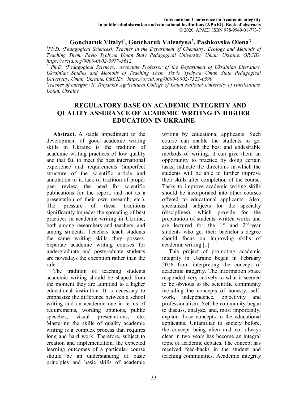#### **Goncharuk Vitalyi<sup>1</sup> , Goncharuk Valentyna<sup>2</sup> , Pashkovska Olena<sup>3</sup>**

*<sup>1</sup>Ph.D. (Pedagogical Sciences), Teacher in the Department of Chemistry, Ecology and Methods of Teaching Them, Pavlo Tychyna Uman State Pedagogical University, Uman, Ukraine, ORCID: https://orcid.org/0000-0002-3977-3612* 

<sup>2</sup> Ph.D. (Pedagogical Sciences), Associate Professor of the Department of Ukrainian Literature, *Ukrainian Studies and Methods of Teaching Them, Pavlo Tychyna Uman State Pedagogical University, Uman, Ukraine, ORCID: https://orcid.org/0000-0002-7323-0590* 

<sup>3</sup> teacher of category II, Talyankiv Agricultural College of Uman National University of Horticulture, *Uman, Ukraine* 

# **REGULATORY BASE ON ACADEMIC INTEGRITY AND QUALITY ASSURANCE OF ACADEMIC WRITING IN HIGHER EDUCATION IN UKRAINE**

**Abstract.** A stable impediment to the development of good academic writing skills in Ukraine is the tradition of academic writing practices of low quality and that fail to meet the best international experience and requirements (imperfect structure of the scientific article and annotation to it, lack of tradition of proper peer review, the need for scientific publications for the report, and not as a presentation of their own research, etc.). The pressure of these traditions significantly impedes the spreading of best practices in academic writing in Ukraine, both among researchers and teachers, and among students. Teachers teach students the same writing skills they possess. Separate academic writing courses for undergraduate and postgraduate students are nowadays the exception rather than the rule.

The tradition of teaching students academic writing should be shaped from the moment they are admitted to a higher educational institution. It is necessary to emphasize the difference between a school writing and an academic one in terms of requirements, wording opinions, public speeches, visual presentations, etc. Mastering the skills of quality academic writing is a complex process that requires long and hard work. Therefore, subject to creation and implementation, the expected learning outcomes of a particular course should be an understanding of basic principles and basic skills of academic

writing by educational applicants. Such course can enable the students to get acquainted with the best and undesirable methods of writing, it can give them an opportunity to practice by doing certain tasks, indicate the directions in which the students will be able to further improve their skills after completion of the course. Tasks to improve academic writing skills should be incorporated into other courses offered to educational applicants. Also, specialized subjects for the specialty (disciplines), which provide for the preparation of students' written works and are lectured for the  $1<sup>st</sup>$  and  $2<sup>nd</sup>$ -year students who get their bachelor's degree should focus on improving skills of academic writing [1].

This project of promoting academic integrity in Ukraine began in February 2016 from interpreting the concept of academic integrity. The information space responded very actively to what it seemed to be obvious to the scientific community including the concepts of honesty, selfwork, independence, objectivity and professionalism. Yet the community began to discuss, analyze, and, most importantly, explain those concepts to the educational applicants. Unfamiliar to society before, the concept being alien and not always clear in two years has become an integral topic of academic debates. The concept has received feed-backs in the student and teaching communities. Academic integrity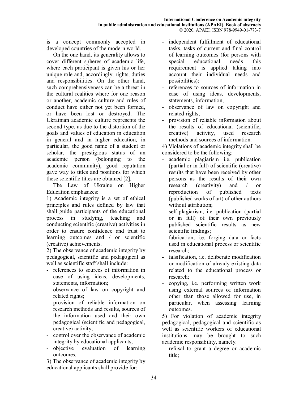is a concept commonly accepted in developed countries of the modern world.

On the one hand, its generality allows to cover different spheres of academic life, where each participant is given his or her unique role and, accordingly, rights, duties and responsibilities. On the other hand, such comprehensiveness can be a threat in the cultural realities where for one reason or another, academic culture and rules of conduct have either not yet been formed, or have been lost or destroyed. The Ukrainian academic culture represents the second type, as due to the distortion of the goals and values of education in education in general and in higher education, in particular, the good name of a student or scholar, the prestigious status of an academic person (belonging to the academic community), good reputation gave way to titles and positions for which these scientific titles are obtained [2].

The Law of Ukraine on Higher Education emphasizes:

1) Academic integrity is a set of ethical principles and rules defined by law that shall guide participants of the educational process in studying, teaching and conducting scientific (creative) activities in order to ensure confidence and trust to learning outcomes and / or scientific (creative) achievements.

2) The observance of academic integrity by pedagogical, scientific and pedagogical as well as scientific staff shall include:

- references to sources of information in case of using ideas, developments, statements, information;
- observance of law on copyright and related rights;
- provision of reliable information on research methods and results, sources of the information used and their own pedagogical (scientific and pedagogical, creative) activity;
- control over the observance of academic integrity by educational applicants;
- objective evaluation of learning outcomes.

3) The observance of academic integrity by educational applicants shall provide for:

- independent fulfillment of educational tasks, tasks of current and final control of learning outcomes (for persons with special educational needs this requirement is applied taking into account their individual needs and possibilities);
- references to sources of information in case of using ideas, developments, statements, information;
- observance of law on copyright and related rights;
- provision of reliable information about the results of educational (scientific, creative) activity, used research methods and sources of information.

4) Violations of academic integrity shall be considered to be the following:

- academic plagiarism i.e. publication (partial or in full) of scientific (creative) results that have been received by other persons as the results of their own research (creativity) and / or reproduction of published texts (published works of art) of other authors without attribution;
- self-plagiarism, i.e. publication (partial or in full) of their own previously published scientific results as new scientific findings;
- fabrication, i.e. forging data or facts used in educational process or scientific research;
- falsification, i.e. deliberate modification or modification of already existing data related to the educational process or research;
- copying, i.e. performing written work using external sources of information other than those allowed for use, in particular, when assessing learning outcomes.

5) For violation of academic integrity pedagogical, pedagogical and scientific as well as scientific workers of educational institutions may be brought to such academic responsibility, namely:

- refusal to grant a degree or academic title;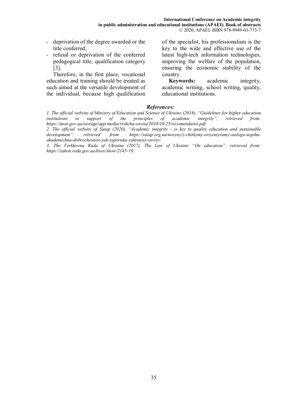- deprivation of the degree awarded or the title conferred;
- refusal or deprivation of the conferred pedagogical title, qualification category [3].

Therefore, in the first place, vocational education and training should be treated as such aimed at the versatile development of the individual, because high qualification of the specialist, his professionalism is the key to the wide and effective use of the latest high-tech information technologies, improving the welfare of the population, ensuring the economic stability of the country.

**Keywords:** academic integrity, academic writing, school writing, quality, educational institutions.

#### *References:*

*1. The official website of Ministry of Education and Science of Ukraine (2018), "Guidelines for higher education institutions in support of the principles of academic integrity", retrieved from:* institutions in support of the principles of academic integrity", retrieved from: *https://mon.gov.ua/storage/app/media/vishcha-osvita/2018/10/25/recomendatsii.pdf.* 

*2. The official website of Saiup (2020), "Academic integrity - is key to quality education and sustainable development", retrieved from: https://saiup.org.ua/novyny/z-chitkymy-oriyentyramy-stalogo-uspihuakademichna-dobrochesnist-yak-zaporuka-yakisnoyi-osvity/.* 

*3. The Verkhovna Rada of Ukraine (2017), The Law of Ukraine "On education", retrieved from: https://zakon.rada.gov.ua/laws/show/2145-19.*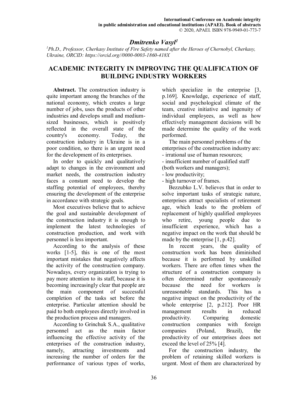# *Dmitrenko Vasyl<sup>1</sup>*

*<sup>1</sup>Ph.D., Professor, Cherkasy Institute of Fire Safety named after the Heroes of Chernobyl, Cherkasy, Ukraine, ORCID: https://orcid.org//0000-0003-1860-418X*

## **ACADEMIC INTEGRITY IN IMPROVING THE QUALIFICATION OF BUILDING INDUSTRY WORKERS**

**Abstract.** The construction industry is quite important among the branches of the national economy, which creates a large number of jobs, uses the products of other industries and develops small and mediumsized businesses, which is positively reflected in the overall state of the country's economy. Today, the construction industry in Ukraine is in a poor condition, so there is an urgent need for the development of its enterprises.

In order to quickly and qualitatively adapt to changes in the environment and market needs, the construction industry faces a constant need to develop the staffing potential of employees, thereby ensuring the development of the enterprise in accordance with strategic goals.

Most executives believe that to achieve the goal and sustainable development of the construction industry it is enough to implement the latest technologies of construction production, and work with personnel is less important.

According to the analysis of these works [1-5], this is one of the most important mistakes that negatively affects the activity of the construction company. Nowadays, every organization is trying to pay more attention to its staff, because it is becoming increasingly clear that people are the main component of successful completion of the tasks set before the enterprise. Particular attention should be paid to both employees directly involved in the production process and managers.

According to Grinchuk S.A., qualitative personnel act as the main factor influencing the effective activity of the enterprises of the construction industry, namely, attracting investments and increasing the number of orders for the performance of various types of works,

which specialize in the enterprise [3, p.169]. Knowledge, experience of staff, social and psychological climate of the team, creative initiative and ingenuity of individual employees, as well as how effectively management decisions will be made determine the quality of the work performed.

The main personnel problems of the enterprises of the construction industry are: - irrational use of human resources;

- insufficient number of qualified staff
- (both workers and managers);
- low productivity;

- high turnover of frames.

Bezzubko L.V. believes that in order to solve important tasks of strategic nature, enterprises attract specialists of retirement age, which leads to the problem of replacement of highly qualified employees who retire, young people due to insufficient experience, which has a negative impact on the work that should be made by the enterprise [1, p.42].

In recent years, the quality of construction work has been diminished because it is performed by unskilled workers. There are often times when the structure of a construction company is often determined rather spontaneously because the need for workers is unreasonable standards. This has a negative impact on the productivity of the whole enterprise [2, p.212]. Poor HR management results in reduced productivity. Comparing domestic construction companies with foreign companies (Poland, Brazil), the productivity of our enterprises does not exceed the level of 25% [4].

For the construction industry, the problem of retaining skilled workers is urgent. Most of them are characterized by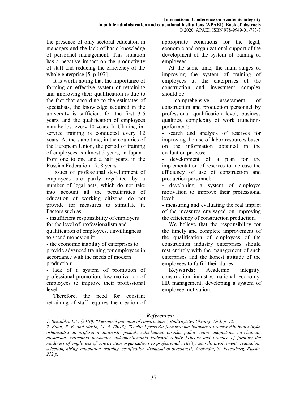the presence of only sectoral education in managers and the lack of basic knowledge of personnel management. This situation has a negative impact on the productivity of staff and reducing the efficiency of the whole enterprise [5, p.107].

It is worth noting that the importance of forming an effective system of retraining and improving their qualification is due to the fact that according to the estimates of specialists, the knowledge acquired in the university is sufficient for the first 3-5 years, and the qualification of employees may be lost every 10 years. In Ukraine, inservice training is conducted every 12 years. At the same time, in the countries of the European Union, the period of training of employees is almost 5 years, in Japan from one to one and a half years, in the Russian Federation - 7, 8 years.

Issues of professional development of employees are partly regulated by a number of legal acts, which do not take into account all the peculiarities of education of working citizens, do not provide for measures to stimulate it. Factors such as:

- insufficient responsibility of employers for the level of professionalism and qualification of employees, unwillingness to spend money on it;

- the economic inability of enterprises to provide advanced training for employees in accordance with the needs of modern production;

- lack of a system of promotion of professional promotion, low motivation of employees to improve their professional level.

Therefore, the need for constant retraining of staff requires the creation of appropriate conditions for the legal, economic and organizational support of the development of the system of training of employees.

At the same time, the main stages of improving the system of training of employees at the enterprises of the construction and investment complex should be:

- comprehensive assessment of construction and production personnel by professional qualification level, business qualities, complexity of work (functions performed);

- search and analysis of reserves for improving the use of labor resources based on the information obtained in the evaluation process;

development of a plan for the implementation of reserves to increase the efficiency of use of construction and production personnel;

developing a system of employee motivation to improve their professional level;

- measuring and evaluating the real impact of the measures envisaged on improving the efficiency of construction production.

We believe that the responsibility for the timely and complete improvement of the qualification of employees of the construction industry enterprises should rest entirely with the management of such enterprises and the honest attitude of the employees to fulfill their duties.

**Keywords:** Academic integrity, construction industry, national economy, HR management, developing a system of employee motivation.

## *References:*

*1. Bezzubko, L.V. (2010), "Personnel potential of construction", Budivnytstvo Ukrainy, № 3, p. 42.* 

*2. Bulat, R. E. and Mosin, M. A. (2013), Teoriia i praktyka formuvannia hotovnosti pratsivnykiv budivelnykh orhanizatsii do profesiinoi diialnosti: poshuk, zaluchennia, otsinka, pidbir, naim, adaptatsiia, navchannia, atestatsiia, zvilnennia personalu, dokumentuvannia kadrovoi roboty [Theory and practice of forming the readiness of employees of construction organizations to professional activity: search, involvement, evaluation, selection, hiring, adaptation, training, certification, dismissal of personnel], Stroiyzdat, St. Petersburg, Russia, 212 p.*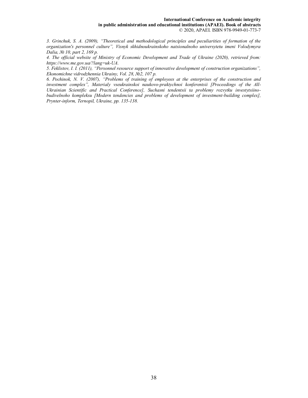#### **International Conference on Academic integrity in public administration and educational institutions (APAEI). Book of abstracts**  © 2020, APAEI. ISBN 978-9949-01-773-7

*3. Grinchuk, S. A. (2009), "Theoretical and methodological principles and peculiarities of formation of the organization's personnel culture", Visnyk skhidnoukrainskoho natsionalnoho universytetu imeni Volodymyra Dalia, № 10, part 2, 169 p.* 

*4. The official website of Ministry of Economic Development and Trade of Ukraine (2020), retrieved from: https://www.me.gov.ua/?lang=uk-UA.* 

*5. Feklistov, I. I. (2011), "Personnel resource support of innovative development of construction organizations", Ekonomichne vidrodzhennia Ukrainy, Vol. 28, №2, 107 р.* 

*6. Pochinok, N. V. (2007), "Problems of training of employees at the enterprises of the construction and investment complex", Materialy vseukrainskoi naukovo-praktychnoi konferentsii [Proceedings of the All-Ukrainian Scientific and Practical Conference], Suchasni tendentsii ta problemy rozvytku investytsiinobudivelnoho kompleksu [Modern tendencies and problems of development of investment-building complex], Prynter-inform, Ternopil, Ukraine, pp. 135-138.*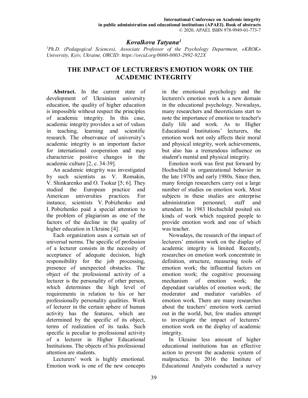## *Kovalkova Tatyana<sup>1</sup>*

*<sup>1</sup>Ph.D. (Pedagogical Sciences), Associate Professor of the Psychology Department, «KROK» University, Kyiv, Ukraine, ORCID: https://orcid.org/0000-0003-2992-922X* 

## **THE IMPACT OF LECTURERS'S EMOTION WORK ON THE ACADEMIC INTEGRITY**

**Abstract.** In the current state of development of Ukrainian university education, the quality of higher education is impossible without respect the principles of academic integrity. In this case, academic integrity provides a set of values in teaching, learning and scientific research. The observance of university's academic integrity is an important factor for international cooperation and may characterize positive changes in the academic culture [2, с. 34-39].

An academic integrity was investigated by such scientists as V. Romakin, V. Shinkarenko and O. Tsokur [5; 6]. They studied the European practice and American universities practices. For instance, scientists V. Pobizhenko and I. Pobizhenko paid a special attention to the problem of plagiarism as one of the factors of the decline in the quality of higher education in Ukraine [4].

Each organization uses a certain set of universal norms. The specific of profession of a lecturer consists in the necessity of acceptance of adequate decision, high responsibility for the job processing, presence of unexpected obstacles. The object of the professional activity of a lecturer is the personality of other person, which determines the high level of requirements in relation to his or her professionally personality qualities. Work of lecturer in the certain sphere of human activity has the features, which are determined by the specific of its object, terms of realization of its tasks. Such specific is peculiar to professional activity of a lecturer in Higher Educational Institutions. The objects of his professional attention are students.

Lecturers' work is highly emotional. Emotion work is one of the new concepts in the emotional psychology and the lecturers's emotion work is a new domain in the educational psychology. Nowadays, many researchers and theoreticians start to note the importance of emotion to teacher's daily life and work. As to Higher Educational Institutions' lecturers, the emotion work not only affects their moral and physical integrity, work achievements, but also has a tremendous influence on student's mental and physical integrity.

Emotion work was first put forward by Hochschild in organizational behavior in the late 1970s and early 1980s. Since then, many foreign researchers carry out a large number of studies on emotion work. Most subjects in these studies are enterprise administration personnel, staff and attendant. In 1983 Hochschild posited six kinds of work which required people to provide emotion work and one of which was teacher.

Nowadays, the research of the impact of lecturers' emotion work on the display of academic integrity is limited. Recently, researches on emotion work concentrate in definition, structure, measuring tools of emotion work; the influential factors on emotion work; the cognitive processing mechanism of emotion work; the dependant variables of emotion work; the moderator and mediator variables of emotion work. There are many researches about the teachers' emotion work carried out in the world, but, few studies attempt to investigate the impact of lecturers' emotion work on the display of academic integrity.

In Ukraine less amount of higher educational institutions has an effective action to prevent the academic system of malpractice. In 2016 the Institute of Educational Analysts conducted a survey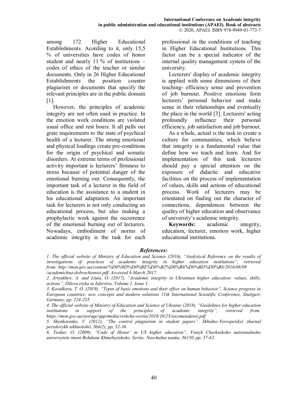among 172 Higher Educational Establishments. Acording to it, only 15,5 % of universities have codes of honor student and nearly 11 % of institutions – codes of ethics of the teacher or similar documents. Only in 26 Higher Educational Establishments the position counter plagiarism or documents that specify the relevant principles are in the public domain [1].

However, the principles of academic integrity are not often used in practice. In the emotion work conditions are violated usual office and rest hours. It all pulls out grate requirements to the state of psychical health of a lecturer. The strong emotional and physical loadings create pre-conditions for the origin of psychical and somatic disorders. At extreme terms of professional activity important is lecturers' firmness to stress because of potential danger of the emotional burning out. Consequently, the important task of a lecturer in the field of education is the assistance to a student in his educational adaptation. An important task for lecturers is not only conducting an educational process, but also making a prophylactic work against the occurrence of the emotional burning out of lecturers. Nowadays, embodiment of norms of academic integrity is the task for each professional in the conditions of teaching in Higher Educational Institutions. This factor can be a special indicator of the internal quality management system of the university.

Lecturers' display of academic integrity is applied with some dimensions of their teaching- efficiency sense and prevention of job burnout. Positive emotions form lecturers' personal behavior and make sense in their relationships and eventually the place in the world [3]. Lecturers' acting profoundly influence their personal efficiency, job satisfaction and job burnout.

As a whole, actual is the task to create a culture for communities, which believe that integrity is a fundamental value that define how we teach and learn. And for implementation of this task lecturers should pay a special attention on the exposure of didactic and educative facilities on the process of implementation of values, skills and actions of educational process. Work of lecturers may be orientated on finding out the character of connections, dependences between the quality of higher education and observance of university's academic integrity.

**Keywords:** academic integrity, education, lecturer, emotion work, higher educational institutions.

## *References:*

*1. The official website of Ministry of Education and Science (2016), "Analytical Reference on the results of investigations of practices of academic integrity in higher education institutions", retrieved from: http://mon.gov.ua/content/%D0%9D%D0%BE%D0%B2%D0%B8%D0%BD%D0%B8/2016/08/09 /academichna-dobrochesnist.pdf. Accessed 6 March 2017.* 

*3. Kovalkova, T. O. (2019), "Types of basic emotions and their effect on human behavior", Science progress in European countries: new concepts and modern solutions 11th International Scientific Conference, Stuttgart, Germany, pp. 224-235.* 

*4. The official website of Ministry of Education and Science of Ukraine (2018), "Guidelines for higher education institutions in support of the principles of academic integrity", retrieved from: https://mon.gov.ua/storage/app/media/vishcha-osvita/2018/10/25/recomendatsii.pdf.* 

*5. Shynkarenko, V. (2012), "The control plagiarism in student papers", Skhidno-Yevropeiskyi zhurnal peredovykh tekhnolohii, №4(2), рр. 32-36.* 

*6. Tsokur, O. (2009), "Code of Honor' in US higher education", Visnyk Cherkaskoho natsionalnoho universytetu imeni Bohdana Khmelnytskoho. Seriia: Navchalna nauka, №150, pp. 57-62.* 

*<sup>2.</sup> Artyukhov, A. and Liuta, O. (2017), "Academic integrity in Ukrainian higher education: values, skills, actions", Dilova etyka ta liderstvo, Volume 1, Issue 1.*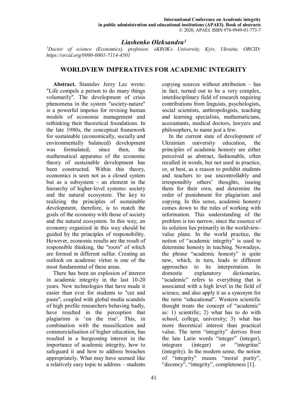## *Liashenko Oleksandra<sup>1</sup>*

*<sup>1</sup>Doctor of science (Economics), professor, «KROK» University, Kyiv, Ukraine, ORCID: https://orcid.org/0000-0001-7114-4501* 

## **WORLDVIEW IMPERATIVES FOR ACADEMIC INTEGRITY**

**Abstract.** Stanislav Jerzy Lec wrote: "Life compels a person to do many things voluntarily". The development of crisis phenomena in the system "society-nature" is a powerful impetus for revising human models of economic management and rethinking their theoretical foundations. In the late 1980s, the conceptual framework for sustainable (economically, socially and environmentally balanced) development was formulated; since then, the mathematical apparatus of the economic theory of sustainable development has been constructed. Within this theory, economics is seen not as a closed system but as a subsystem - an element in the hierarchy of higher-level systems: society and the natural ecosystem. The key to realizing the principles of sustainable development, therefore, is to match the goals of the economy with those of society and the natural ecosystem. In this way, an economy organized in this way should be guided by the principles of responsibility. However, economic results are the result of responsible thinking, the "roots" of which are formed in different sulfur. Creating an outlook on academic virtue is one of the most fundamental of these areas.

There has been an explosion of interest in academic integrity in the last 10-20 years. New technologies that have made it easier than ever for students to "cut and paste", coupled with global media scandals of high profile researchers behaving badly, have resulted in the perception that plagiarism is 'on the rise'. This, in combination with the massification and commercialisation of higher education, has resulted in a burgeoning interest in the importance of academic integrity, how to safeguard it and how to address breaches appropriately. What may have seemed like a relatively easy topic to address – students

copying sources without attribution – has in fact, turned out to be a very complex, interdisciplinary field of research requiring contributions from linguists, psychologists, social scientists, anthropologists, teaching and learning specialists, mathematicians, accountants, medical doctors, lawyers and philosophers, to name just a few.

In the current state of development of Ukrainian university education, the principles of academic honesty are either perceived as abstract, fashionable, often recalled in words, but not used in practice, or, at best, as a reason to prohibit students and teachers to use uncontrollably and irresponsibly others' thoughts, issuing them for their own, and determine the order of punishment for plagiarism and copying. In this sense, academic honesty comes down to the rules of working with information. This understanding of the problem is too narrow, since the essence of its solution lies primarily in the worldviewvalue plane. In the world practice, the notion of "academic integrity" is used to determine honesty in teaching. Nowadays, the phrase "academic honesty" is quite new, which, in turn, leads to different approaches to its interpretation. In domestic explanatory dictionaries, "academic" refers to everything that is associated with a high level in the field of science, and also apply it as a synonym for the term "educational". Western scientific thought treats the concept of "academic" as: 1) scientific; 2) what has to do with school, college, university; 3) what has more theoretical interest than practical value. The term "integrity" derives from the late Latin words "integer" (integer), integrare (integer) or "integritas" (integrity). In the modern sense, the notion of "integrity" means "moral purity", "decency", "integrity", completeness [1].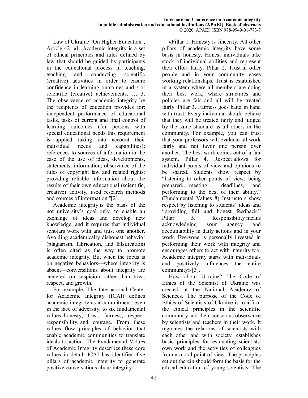Law of Ukraine "On Higher Education", Article 42: «1. Academic integrity is a set of ethical principles and rules defined by law that should be guided by participants in the educational process in teaching, teaching and conducting scientific (creative) activities in order to ensure confidence in learning outcomes and / or scientific (creative) achievements. … 3. The observance of academic integrity by the recipients of education provides for: independent performance of educational tasks, tasks of current and final control of learning outcomes (for persons with special educational needs this requirement is applied taking into account their individual needs and capabilities); references to sources of information in the case of the use of ideas, developments, statements, information; observance of the rules of copyright law and related rights; providing reliable information about the results of their own educational (scientific, creative) activity, used research methods and sources of information "[2].

Academic integrity is the basis of the not university's goal only. to enable an exchange of ideas and develop new knowledge, and it requires that individual scholars work with and trust one another. Avoiding academically dishonest behavior (plagiarism, fabrication, and falsification) is often cited as the way to promote academic integrity. But when the focus is on negative behaviors—where integrity is absent—conversations about integrity are centered on suspicion rather than trust, respect, and growth.

For example, The International Center for Academic Integrity (ICAI) defines academic integrity as a commitment, even in the face of adversity, to six fundamental values: honesty, trust, fairness, respect, responsibility, and courage. From these values flow principles of behavior that enable academic communities to translate ideals to action. The Fundamental Values of Academic Integrity describes these core values in detail. ICAI has identified five pillars of academic integrity to generate positive conversations about integrity:

«Pillar 1. Honesty is sincerity. All other pillars of academic integrity have some basis in honesty. Honest individuals take stock of individual abilities and represent their effort fairly. Pillar 2. Trust in other people and in your community eases working relationships. Trust is established in a system where all members are doing their best work, where structures and policies are fair and all will be treated fairly. Pillar 3. Fairness goes hand in hand with trust. Every individual should believe that they will be treated fairly and judged by the same standard as all others in the community. For example, you can trust that your professors will evaluate all work fairly and not favor one person over another. The best work comes out of a fair system. Pillar 4. Respect allows for individual points of view and opinions to be shared. Students show respect by "listening to other points of view, being prepared,…meeting… deadlines, and performing to the best of their ability." (Fundamental Values 8) Instructors show respect by listening to students' ideas and "providing full and honest feedback." Pillar 5. Responsibility means acknowledging your agency and accountability in daily actions and in your work. Everyone is personally invested in performing their work with integrity and encourages others to act with integrity too. Academic integrity starts with individuals and positively influences the entire community» [3].

How about Ukraine? The Code of Ethics of the Scientist of Ukraine was created at the National Academy of Sciences. The purpose of the Code of Ethics of Scientists of Ukraine is to affirm the ethical principles in the scientific community and their conscious observance by scientists and teachers in their work. It regulates the relations of scientists with each other and with society, establishes basic principles for evaluating scientists' own work and the activities of colleagues from a moral point of view. The principles set out therein should form the basis for the ethical education of young scientists. The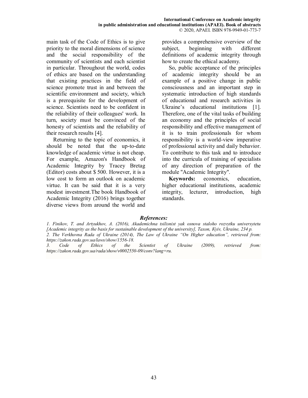main task of the Code of Ethics is to give priority to the moral dimensions of science and the social responsibility of the community of scientists and each scientist in particular. Throughout the world, codes of ethics are based on the understanding that existing practices in the field of science promote trust in and between the scientific environment and society, which is a prerequisite for the development of science. Scientists need to be confident in the reliability of their colleagues' work. In turn, society must be convinced of the honesty of scientists and the reliability of their research results [4].

Returning to the topic of economics, it should be noted that the up-to-date knowledge of academic virtue is not cheap. For example, Amazon's Handbook of Academic Integrity by Tracey Bretag (Editor) costs about \$ 500. However, it is a low cost to form an outlook on academic virtue. It can be said that it is a very modest investment.The book Handbook of Academic Integrity (2016) brings together diverse views from around the world and provides a comprehensive overview of the subject, beginning with different definitions of academic integrity through how to create the ethical academy.

So, public acceptance of the principles of academic integrity should be an example of a positive change in public consciousness and an important step in systematic introduction of high standards of educational and research activities in Ukraine's educational institutions [1]. Therefore, one of the vital tasks of building an economy and the principles of social responsibility and effective management of it is to train professionals for whom responsibility is a world-view imperative of professional activity and daily behavior. To contribute to this task and to introduce into the curricula of training of specialists of any direction of preparation of the module "Academic Integrity".

**Keywords:** economics, education, higher educational institutions, academic integrity, lecturer, introduction, high standards.

## *References:*

*3. Code of Ethics of the Scientist of Ukraine (2009), retrieved from: https://zakon.rada.gov.ua/rada/show/v0002550-09/conv?lang=ru.* 

*<sup>1.</sup> Finikov, T. and Artyukhov, A. (2016), Akademichna tsilisnist yak osnova staloho rozvytku universytetu [Academic integrity as the basis for sustainable development of the university], Taxon, Кyiv, Ukraine, 234 p. 2. The Verkhovna Rada of Ukraine (2014), The Law of Ukraine "On Higher education", retrieved from: https://zakon.rada.gov.ua/laws/show/1556-18.*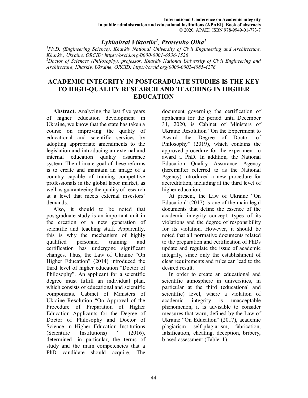## *Lykhohrai Viktoriia<sup>1</sup> , Protsenko Olha<sup>2</sup>*

*<sup>1</sup>Ph.D. (Engineering Science), Kharkiv National University of Civil Engineering and Architecture, Kharkiv, Ukraine, ORCID: https://orcid.org/0000-0001-6536-1526 <sup>2</sup>Doctor of Sciences (Philosophy), professor, Kharkiv National University of Civil Engineering and Architecture, Kharkiv, Ukraine, ORCID: https://orcid.org/0000-0002-4085-4276* 

## **ACADEMIC INTEGRITY IN POSTGRADUATE STUDIES IS THE KEY TO HIGH-QUALITY RESEARCH AND TEACHING IN HIGHER EDUCATION**

**Abstract.** Analyzing the last five years of higher education development in Ukraine, we know that the state has taken a course on improving the quality of educational and scientific services by adopting appropriate amendments to the legislation and introducing an external and internal education quality assurance system. The ultimate goal of these reforms is to create and maintain an image of a country capable of training competitive professionals in the global labor market, as well as guaranteeing the quality of research at a level that meets external investors` demands.

Also, it should to be noted that postgraduate study is an important unit in the creation of a new generation of scientific and teaching staff. Apparently, this is why the mechanism of highly qualified personnel training and certification has undergone significant changes. Thus, the Law of Ukraine "On Higher Education" (2014) introduced the third level of higher education "Doctor of Philosophy". An applicant for a scientific degree must fulfill an individual plan, which consists of educational and scientific components. Cabinet of Ministers of Ukraine Resolution "On Approval of the Procedure of Preparation of Higher Education Applicants for the Degree of Doctor of Philosophy and Doctor of Science in Higher Education Institutions (Scientific Institutions)  $\ddot{ }$  (2016), determined, in particular, the terms of study and the main competencies that a PhD candidate should acquire. The

document governing the certification of applicants for the period until December 31, 2020, is Cabinet of Ministers of Ukraine Resolution "On the Experiment to Award the Degree of Doctor of Philosophy" (2019), which contains the approved procedure for the experiment to award a PhD. In addition, the National Education Quality Assurance Agency (hereinafter referred to as the National Agency) introduced a new procedure for accreditation, including at the third level of higher education.

At present, the Law of Ukraine "On Education" (2017) is one of the main legal documents that define the essence of the academic integrity concept, types of its violations and the degree of responsibility for its violation. However, it should be noted that all normative documents related to the preparation and certification of PhDs update and regulate the issue of academic integrity, since only the establishment of clear requirements and rules can lead to the desired result.

In order to create an educational and scientific atmosphere in universities, in particular at the third (educational and scientific) level, where a violation of academic integrity is unacceptable phenomenon, it is advisable to consider measures that warn, defined by the Law of Ukraine "On Education" (2017), academic plagiarism, self-plagiarism, fabrication, falsification, cheating, deception, bribery, biased assessment (Table. 1).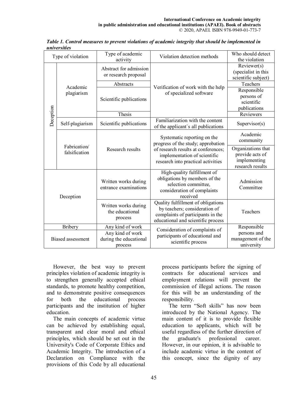| Type of violation                          |                               | Type of academic                                                          | Violation detection methods                                                                                                                                                    | Who should detect                  |
|--------------------------------------------|-------------------------------|---------------------------------------------------------------------------|--------------------------------------------------------------------------------------------------------------------------------------------------------------------------------|------------------------------------|
|                                            |                               | activity                                                                  |                                                                                                                                                                                | the violation                      |
| Deception                                  | Academic<br>plagiarism        | Abstract for admission<br>or research proposal                            | Verification of work with the help<br>of specialized software                                                                                                                  | Reviewer(s)<br>(specialist in this |
|                                            |                               |                                                                           |                                                                                                                                                                                | scientific subject)                |
|                                            |                               | Abstracts                                                                 |                                                                                                                                                                                | Teachers                           |
|                                            |                               | Scientific publications                                                   |                                                                                                                                                                                | Responsible                        |
|                                            |                               |                                                                           |                                                                                                                                                                                | persons of                         |
|                                            |                               |                                                                           |                                                                                                                                                                                | scientific                         |
|                                            |                               |                                                                           |                                                                                                                                                                                | publications                       |
|                                            |                               | Thesis                                                                    |                                                                                                                                                                                | Reviewers                          |
|                                            | Self-plagiarism               | Scientific publications                                                   | Familiarization with the content<br>of the applicant's all publications                                                                                                        | Supervisor(s)                      |
|                                            | Fabrication/<br>falsification | Research results                                                          | Systematic reporting on the<br>progress of the study; approbation<br>of research results at conferences;<br>implementation of scientific<br>research into practical activities | Academic                           |
|                                            |                               |                                                                           |                                                                                                                                                                                | community                          |
|                                            |                               |                                                                           |                                                                                                                                                                                | Organizations that                 |
|                                            |                               |                                                                           |                                                                                                                                                                                | provide acts of                    |
|                                            |                               |                                                                           |                                                                                                                                                                                | implementing<br>research results   |
|                                            |                               |                                                                           |                                                                                                                                                                                |                                    |
| Deception                                  |                               | Written works during<br>entrance examinations                             | High-quality fulfillment of<br>obligations by members of the                                                                                                                   |                                    |
|                                            |                               |                                                                           | selection committee,                                                                                                                                                           | Admission                          |
|                                            |                               |                                                                           | consideration of complaints                                                                                                                                                    | Committee                          |
|                                            |                               |                                                                           | received                                                                                                                                                                       |                                    |
|                                            |                               | Written works during<br>the educational<br>process                        | Quality fulfillment of obligations                                                                                                                                             |                                    |
|                                            |                               |                                                                           | by teachers; consideration of                                                                                                                                                  | Teachers                           |
|                                            |                               |                                                                           | complaints of participants in the                                                                                                                                              |                                    |
|                                            |                               |                                                                           | educational and scientific process                                                                                                                                             |                                    |
| <b>Bribery</b><br><b>Biased assessment</b> |                               | Any kind of work<br>Any kind of work<br>during the educational<br>process | Consideration of complaints of<br>participants of educational and<br>scientific process                                                                                        | Responsible<br>persons and         |
|                                            |                               |                                                                           |                                                                                                                                                                                | management of the                  |
|                                            |                               |                                                                           |                                                                                                                                                                                | university                         |
|                                            |                               |                                                                           |                                                                                                                                                                                |                                    |

*Table 1. Control measures to prevent violations of academic integrity that should be implemented in universities*

However, the best way to prevent principles violation of academic integrity is to strengthen generally accepted ethical standards, to promote healthy competition, and to demonstrate positive consequences for both the educational process participants and the institution of higher education.

The main concepts of academic virtue can be achieved by establishing equal, transparent and clear moral and ethical principles, which should be set out in the University's Code of Corporate Ethics and Academic Integrity. The introduction of a Declaration on Compliance with the provisions of this Code by all educational process participants before the signing of contracts for educational services and employment relations will prevent the commission of illegal actions. The reason for this will be an understanding of the responsibility.

The term "Soft skills" has now been introduced by the National Agency. The main content of it is to provide flexible education to applicants, which will be useful regardless of the further direction of the graduate's professional career. However, in our opinion, it is advisable to include academic virtue in the content of this concept, since the dignity of any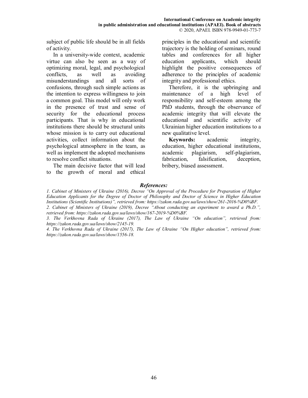subject of public life should be in all fields of activity.

In a university-wide context, academic virtue can also be seen as a way of optimizing moral, legal, and psychological conflicts, as well as avoiding misunderstandings and all sorts of confusions, through such simple actions as the intention to express willingness to join a common goal. This model will only work in the presence of trust and sense of security for the educational process participants. That is why in educational institutions there should be structural units whose mission is to carry out educational activities, collect information about the psychological atmosphere in the team, as well as implement the adopted mechanisms to resolve conflict situations.

The main decisive factor that will lead to the growth of moral and ethical principles in the educational and scientific trajectory is the holding of seminars, round tables and conferences for all higher education applicants, which should highlight the positive consequences of adherence to the principles of academic integrity and professional ethics.

Therefore, it is the upbringing and maintenance of a high level of responsibility and self-esteem among the PhD students, through the observance of academic integrity that will elevate the educational and scientific activity of Ukrainian higher education institutions to a new qualitative level.

**Keywords:** academic integrity, education, higher educational institutions, academic plagiarism, self-plagiarism, fabrication, falsification, deception, bribery, biased assessment.

#### *References:*

*1. Cabinet of Ministers of Ukraine (2016), Decree "On Approval of the Procedure for Preparation of Higher Education Applicants for the Degree of Doctor of Philosophy and Doctor of Science in Higher Education Institutions (Scientific Institutions)", retrieved from: https://zakon.rada.gov.ua/laws/show/261-2016-%D0%BF. 2. Cabinet of Ministers of Ukraine (2019), Decree "About conducting an experiment to award a Ph.D.", retrieved from: https://zakon.rada.gov.ua/laws/show/167-2019-%D0%BF.* 

*3. The Verkhovna Rada of Ukraine (2017), The Law of Ukraine "On education", retrieved from: https://zakon.rada.gov.ua/laws/show/2145-19.* 

*4. The Verkhovna Rada of Ukraine (2017), The Law of Ukraine "On Higher education", retrieved from: https://zakon.rada.gov.ua/laws/show/1556-18.*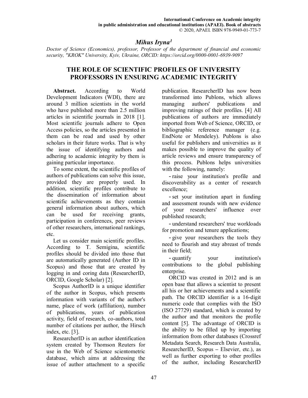# *Mihus Iryna<sup>1</sup>*

*Doctor of Science (Economics), professor, Professor of the department of financial and economic security, "KROK" University, Kyiv, Ukraine, ORCID: https://orcid.org/0000-0001-6939-9097* 

## **THE ROLE OF SCIENTIFIC PROFILES OF UNIVERSITY PROFESSORS IN ENSURING ACADEMIC INTEGRITY**

**Abstract.** According to World Development Indicators (WDI), there are around 3 million scientists in the world who have published more than 2.5 million articles in scientific journals in 2018 [1]. Most scientific journals adhere to Open Access policies, so the articles presented in them can be read and used by other scholars in their future works. That is why the issue of identifying authors and adhering to academic integrity by them is gaining particular importance.

To some extent, the scientific profiles of authors of publications can solve this issue, provided they are properly used. In addition, scientific profiles contribute to the dissemination of information about scientific achievements as they contain general information about authors, which can be used for receiving grants, participation in conferences, peer reviews of other researchers, international rankings, etc.

Let us consider main scientific profiles. According to T. Semigina, scientific profiles should be divided into those that are automatically generated (Author ID in Scopus) and those that are created by logging in and coring data (ResearcherID, ORCID, Google Scholar) [2].

Scopus AuthorID is a unique identifier of the author in Scopus, which presents information with variants of the author's name, place of work (affiliation), number of publications, years of publication activity, field of research, co-authors, total number of citations per author, the Hirsch index, etc. [3].

ResearcherID is an author identification system created by Thomson Reuters for use in the Web of Science scientometric database, which aims at addressing the issue of author attachment to a specific

publication. ResearcherID has now been transformed into Publons, which allows managing authors' publications and improving ratings of their profiles. [4] All publications of authors are immediately imported from Web of Science, ORCID, or bibliographic reference manager (e.g. EndNote or Mendeley). Publons is also useful for publishers and universities as it makes possible to improve the quality of article reviews and ensure transparency of this process. Publons helps universities with the following, namely:

- raise your institution's profile and discoverability as a center of research excellence;

- set your institution apart in funding and assessment rounds with new evidence of your researchers' influence over published research;

- understand researchers' true workloads for promotion and tenure applications;

- give your researchers the tools they need to flourish and stay abreast of trends in their field;

- quantify your institution's contributions to the global publishing enterprise.

ORCID was created in 2012 and is an open base that allows a scientist to present all his or her achievements and a scientific path. The ORCID identifier is a 16-digit numeric code that complies with the ISO (ISO 27729) standard, which is created by the author and that monitors the profile content [5]. The advantage of ORCID is the ability to be filled up by importing information from other databases (Crossref Metadata Search, Research Data Australia, ResearcherID, Scopus **–** Elsevier, etc.), as well as further exporting to other profiles of the author, including ResearcherID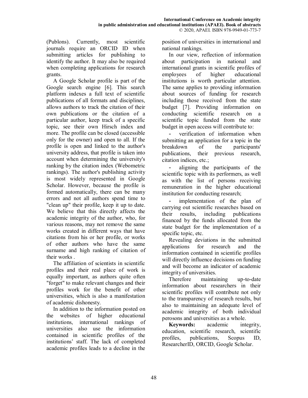(Publons). Currently, most scientific journals require an ORCID ID when submitting articles for publishing to identify the author. It may also be required when completing applications for research grants.

A Google Scholar profile is part of the Google search engine [6]. This search platform indexes a full text of scientific publications of all formats and disciplines, allows authors to track the citation of their own publications or the citation of a particular author, keep track of a specific topic, see their own Hirsch index and more. The profile can be closed (accessible only for the owner) and open to all. If the profile is open and linked to the author's university address, that profile is taken into account when determining the university's ranking by the citation index (Webometric rankings). The author's publishing activity is most widely represented in Google Scholar. However, because the profile is formed automatically, there can be many errors and not all authors spend time to "clean up" their profile, keep it up to date. We believe that this directly affects the academic integrity of the author, who, for various reasons, may not remove the same works created in different ways that have citations from his or her profile, or works of other authors who have the same surname and high ranking of citation of their works .

The affiliation of scientists in scientific profiles and their real place of work is equally important, as authors quite often "forget" to make relevant changes and their profiles work for the benefit of other universities, which is also a manifestation of academic dishonesty.

In addition to the information posted on the websites of higher educational institutions, international rankings of universities also use the information contained in scientific profiles of the institutions' staff. The lack of completed academic profiles leads to a decline in the

position of universities in international and national rankings.

In our view, reflection of information about participation in national and international grants in scientific profiles of employees of higher educational institutions is worth particular attention. The same applies to providing information about sources of funding for research including those received from the state budget [7]. Providing information on conducting scientific research on a scientific topic funded from the state budget in open access will contribute to:

verification of information when submitting an application for a topic in the breakdown of the participants' publications, their previous research, citation indices, etc.;

aligning the participants of the scientific topic with its performers, as well as with the list of persons receiving remuneration in the higher educational institution for conducting research;

implementation of the plan of carrying out scientific researches based on their results, including publications financed by the funds allocated from the state budget for the implementation of a specific topic, etc.

Revealing deviations in the submitted applications for research and the information contained in scientific profiles will directly influence decisions on funding and will become an indicator of academic integrity of universities.

Therefore maintaining up-to-date information about researchers in their scientific profiles will contribute not only to the transparency of research results, but also to maintaining an adequate level of academic integrity of both individual perosons and universities as a whole.

**Keywords:** academic integrity, education, scientific research, scientific profiles, publications, Scopus ID, ResearcherID, ORCID, Google Scholar.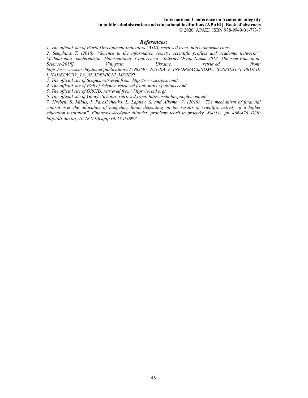**in public administration and educational institutions (APAEI). Book of abstracts**  © 2020, APAEI. ISBN 978-9949-01-773-7

#### *References:*

*1. The official site of World Development Indicators (WDI), retrieved from: https://knoema.com/.* 

*2. Semyhina, T. (2018), "Science in the information society: scientific profiles and academic networks", Mizhnarodna konferentsiia [International Conference], Internet-Osvita-Nauka-2018 [Internet-Education-Science-2018], Vinnytsia, Ukraine, retrieved from: https://www.researchgate.net/publication/327982597\_NAUKA\_V\_INFORMACIJNOMU\_SUSPILSTVI\_PROFIL I\_NAUKOVCIV\_TA\_AKADEMICNI\_MEREZI.* 

*3. The official site of Scopus, retrieved from: http://www.scopus.com/.* 

*4. The official site of Web of Science, retrieved from: https://publons.com/.* 

*5. The official site of ORCID, retrieved from: https://orcid.org/.* 

*6. The official site of Google Scholar, retrieved from: https://scholar.google.com.ua/.* 

*7. Hreben, S. Mihus, I. Parashchenko, L. Laptіev, S. and Alkema, V. (2019), "The mechanism of financial control over the allocation of budgetary funds depending on the results of scientific activity of a higher education institution", Finansovo-kredytna diialnist: problemy teorii ta praktyky, №4(31), рр. 466-476. DOI: http://dx.doi.org/10.18371/fcaptp.v4i31.190998.*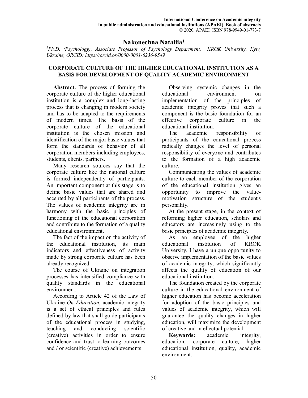## **Nakonechna Nataliia<sup>1</sup>**

*<sup>1</sup>Ph.D. (Psychology), Associate Professor of Psychology Department, KROK University, Kyiv, Ukraine, ORCID: https://orcid.or/0000-0001-6236-9549* 

## **CORPORATE CULTURE OF THE HIGHER EDUCATIONAL INSTITUTION AS A BASIS FOR DEVELOPMENT OF QUALITY ACADEMIC ENVIRONMENT**

**Abstract.** The process of forming the corporate culture of the higher educational institution is a complex and long-lasting process that is changing in modern society and has to be adapted to the requirements of modern times. The basis of the corporate culture of the educational institution is the chosen mission and identification of the major basic values that form the standards of behavior of all corporation members including employees, students, clients, partners.

Many research sources say that the corporate culture like the national culture is formed independently of participants. An important component at this stage is to define basic values that are shared and accepted by all participants of the process. The values of academic integrity are in harmony with the basic principles of functioning of the educational corporation and contribute to the formation of a quality educational environment.

The fact of the impact on the activity of the educational institution, its main indicators and effectiveness of activity made by strong corporate culture has been already recognized.

The course of Ukraine on integration processes has intensified compliance with quality standards in the educational environment.

According to Article 42 of the Law of Ukraine *On Education*, academic integrity is a set of ethical principles and rules defined by law that shall guide participants of the educational process in studying, teaching and conducting scientific (creative) activities in order to ensure confidence and trust to learning outcomes and / or scientific (creative) achievements

Observing systemic changes in the educational environment on implementation of the principles of academic integrity proves that such a component is the basic foundation for an effective corporate culture in the educational institution.

The academic responsibility of participants of the educational process radically changes the level of personal responsibility of everyone and contributes to the formation of a high academic culture.

Communicating the values of academic culture to each member of the corporation of the educational institution gives an opportunity to improve the valuemotivation structure of the student's personality.

At the present stage, in the context of reforming higher education, scholars and educators are increasingly using to the basic principles of academic integrity.

As an employee of the higher educational institution of KROK University, I have a unique opportunity to observe implementation of the basic values of academic integrity, which significantly affects the quality of education of our educational institution.

The foundation created by the corporate culture in the educational environment of higher education has become acceleration for adoption of the basic principles and values of academic integrity, which will guarantee the quality changes in higher education, will maximize the development of creative and intellectual potential.

**Keywords:** academic integrity, education, corporate culture, higher educational institution, quality, academic environment.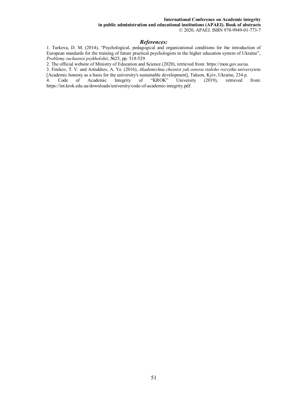#### **International Conference on Academic integrity**

**in public administration and educational institutions (APAEI). Book of abstracts**  © 2020, APAEI. ISBN 978-9949-01-773-7

#### *References:*

1. Turkova, D. M. (2014), "Psychological, pedagogical and organizational conditions for the introduction of European standards for the training of future practical psychologists in the higher education system of Ukraine", *Problemy suchasnoi psykholohii,* №25, pp. 518-529.

2. The official website of Ministry of Education and Science (2020), retrieved from: https://mon.gov.ua/ua.

3. Finikov, T. V. and Artiukhov, A. Ye. (2016), *Akademichna chesnist yak osnova staloho rozvytku universytetu*  [Academic honesty as a basis for the university's sustainable development], Takson, Kyiv, Ukraine, 234 p.<br>4. Code of Academic Integrity of "KROK" University (2019), retrieved from:

4. Code of Academic https://int.krok.edu.ua/downloads/university/code-of-academic-integrity.pdf.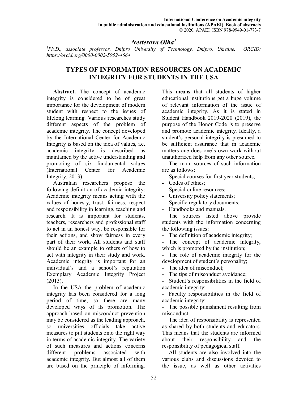## *Nesterova Olha<sup>1</sup>*

*<sup>1</sup>Ph.D., associate professor, Dnipro University of Technology, Dnipro, Ukraine, ORCID: https://orcid.org/0000-0002-5952-4664* 

# **TYPES OF INFORMATION RESOURCES ON ACADEMIC INTEGRITY FOR STUDENTS IN THE USA**

**Abstract.** The concept of academic integrity is considered to be of great importance for the development of modern student with respect to the issues of lifelong learning. Various researches study different aspects of the problem of academic integrity. The concept developed by the International Center for Academic Integrity is based on the idea of values, i.e. academic integrity is described as maintained by the active understanding and promoting of six fundamental values (International Center for Academic Integrity, 2013).

Australian researchers propose the following definition of academic integrity: Academic integrity means acting with the values of honesty, trust, fairness, respect and responsibility in learning, teaching and research. It is important for students, teachers, researchers and professional staff to act in an honest way, be responsible for their actions, and show fairness in every part of their work. All students and staff should be an example to others of how to act with integrity in their study and work. Academic integrity is important for an individual's and a school's reputation Exemplary Academic Integrity Project (2013).

In the USA the problem of academic integrity has been considered for a long period of time, so there are many developed ways of its promotion. The approach based on misconduct prevention may be considered as the leading approach, so universities officials take active measures to put students onto the right way in terms of academic integrity. The variety of such measures and actions concerns different problems associated with academic integrity. But almost all of them are based on the principle of informing.

This means that all students of higher educational institutions get a huge volume of relevant information of the issue of academic integrity. As it is stated in Student Handbook 2019-2020 (2019), the purpose of the Honor Code is to preserve and promote academic integrity. Ideally, a student's personal integrity is presumed to be sufficient assurance that in academic matters one does one's own work without unauthorized help from any other source.

The main sources of such information are as follows:

- Special courses for first year students;

- Codes of ethics;
- Special online resources;
- University policy statements;
- Specific regulatory documents;
- Handbooks and manuals.

The sources listed above provide students with the information concerning the following issues:

- The definition of academic integrity;

- The concept of academic integrity, which is promoted by the institution;

The role of academic integrity for the development of student's personality;

- The idea of misconduct;

- The tips of misconduct avoidance:

Student's responsibilities in the field of academic integrity;

- Faculty responsibilities in the field of academic integrity;

- The possible punishment resulting from misconduct.

The idea of responsibility is represented as shared by both students and educators. This means that the students are informed about their responsibility and the responsibility of pedagogical staff.

All students are also involved into the various clubs and discussions devoted to the issue, as well as other activities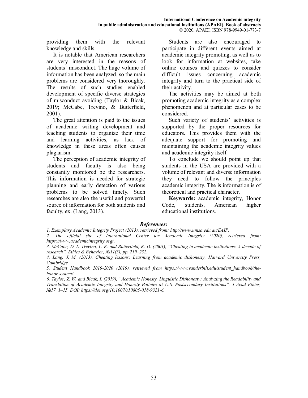providing them with the relevant knowledge and skills.

It is notable that American researchers are very interested in the reasons of students' misconduct. The huge volume of information has been analyzed, so the main problems are considered very thoroughly. The results of such studies enabled development of specific diverse strategies of misconduct avoiding (Taylor & Bicak, 2019; McCabe, Trevino, & Butterfield, 2001).

The great attention is paid to the issues of academic writing development and teaching students to organize their time and learning activities, as lack of knowledge in these areas often causes plagiarism.

The perception of academic integrity of students and faculty is also being constantly monitored be the researchers. This information is needed for strategic planning and early detection of various problems to be solved timely. Such researches are also the useful and powerful source of information for both students and faculty, ex. (Lang, 2013).

Students are also encouraged to participate in different events aimed at academic integrity promoting, as well as to look for information at websites, take online courses and quizzes to consider difficult issues concerning academic integrity and turn to the practical side of their activity.

The activities may be aimed at both promoting academic integrity as a complex phenomenon and at particular cases to be considered.

Such variety of students' activities is supported by the proper resources for educators. This provides them with the adequate support for promoting and maintaining the academic integrity values and academic integrity itself.

To conclude we should point up that students in the USA are provided with a volume of relevant and diverse information they need to follow the principles academic integrity. The is information is of theoretical and practical character.

**Keywords:** academic integrity, Honor Code, students, American higher educational institutions.

## *References:*

*1. Exemplary Academic Integrity Project (2013), retrieved from: http://www.unisa.edu.au/EAIP.* 

*2. The official site of International Center for Academic Integrity (2020), retrieved from: https://www.academicintegrity.org/.* 

*3. McCabe, D. L. Trevino, L. K. and Butterfield, K. D. (2001), "Cheating in academic institutions: A decade of research", Ethics & Behavior, №11(3), рр. 219–232.* 

*4. Lang, J. M. (2013), Cheating lessons: Learning from academic dishonesty, Harvard University Press, Cambridge.* 

5. Student Handbook 2019-2020 (2019), retrieved from https://www.vanderbilt.edu/student\_handbook/the*honor-system/.* 

*6. Taylor, Z. W. and Bicak, I. (2019), "Academic Honesty, Linguistic Dishonesty: Analyzing the Readability and Translation of Academic Integrity and Honesty Policies at U.S. Postsecondary Institutions", J Acad Ethics, №17, 1–15. DOI: https://doi.org/10.1007/s10805-018-9321-6.*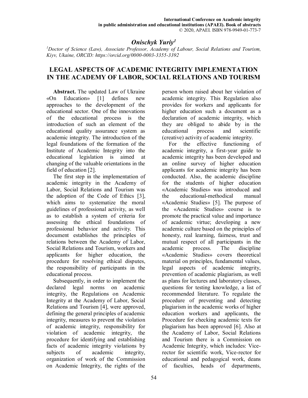# *Onischyk Yuriy<sup>1</sup>*

*<sup>1</sup>Doctor of Science (Law), Associate Professor, Academy of Labour, Social Relations and Tourism, Kiyv, Ukaine, ORCID: https://orcid.org/0000-0003-3355-3392* 

## **LEGAL ASPECTS OF ACADEMIC INTEGRITY IMPLEMENTATION IN THE ACADEMY OF LABOR, SOCIAL RELATIONS AND TOURISM**

**Abstract.** The updated Law of Ukraine «On Education» [1] defines new approaches to the development of the educational sector. One of the innovations of the educational process is the introduction of such an element of the educational quality assurance system as academic integrity. The introduction of the legal foundations of the formation of the Institute of Academic Integrity into the educational legislation is aimed at changing of the valuable orientations in the field of education [2].

The first step in the implementation of academic integrity in the Academy of Labor, Social Relations and Tourism was the adoption of the Code of Ethics [3], which aims to systematize the moral guidelines of professional activity, as well as to establish a system of criteria for assessing the ethical foundations of professional behavior and activity. This document establishes the principles of relations between the Academy of Labor, Social Relations and Tourism, workers and applicants for higher education, the procedure for resolving ethical disputes, the responsibility of participants in the educational process.

Subsequently, in order to implement the declared legal norms on academic integrity, the Regulations on Academic Integrity at the Academy of Labor, Social Relations and Tourism [4], were approved, defining the general principles of academic integrity, measures to prevent the violation of academic integrity, responsibility for violation of academic integrity, the procedure for identifying and establishing facts of academic integrity violations by subjects of academic integrity, organization of work of the Commission on Academic Integrity, the rights of the

person whom raised about her violation of academic integrity. This Regulation also provides for workers and applicants for higher education such a document as a declaration of academic integrity, which they are obliged to abide by in the educational process and scientific (creative) activity of academic integrity.

For the effective functioning of academic integrity, a first-year guide to academic integrity has been developed and an online survey of higher education applicants for academic integrity has been conducted. Also, the academic discipline for the students of higher education «Academic Studies» was introduced and the educational-methodical manual «Academic Studies» [5]. The purpose of the «Academic Studies» course is to promote the practical value and importance of academic virtue; developing a new academic culture based on the principles of honesty, real learning, fairness, trust and mutual respect of all participants in the academic process. The discipline «Academic Studies» covers theoretical material on principles, fundamental values, legal aspects of academic integrity, prevention of academic plagiarism, as well as plans for lectures and laboratory classes, questions for testing knowledge, a list of recommended literature. To regulate the procedure of preventing and detecting plagiarism in the academic works of higher education workers and applicants, the Procedure for checking academic texts for plagiarism has been approved [6]. Also at the Academy of Labor, Social Relations and Tourism there is a Commission on Academic Integrity, which includes: Vicerector for scientific work, Vice-rector for educational and pedagogical work, deans of faculties, heads of departments,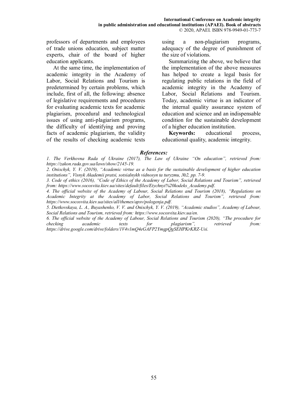professors of departments and employees of trade unions education, subject matter experts, chair of the board of higher education applicants.

At the same time, the implementation of academic integrity in the Academy of Labor, Social Relations and Tourism is predetermined by certain problems, which include, first of all, the following: absence of legislative requirements and procedures for evaluating academic texts for academic plagiarism, procedural and technological issues of using anti-plagiarism programs, the difficulty of identifying and proving facts of academic plagiarism, the validity of the results of checking academic texts using a non-plagiarism programs, adequacy of the degree of punishment of the size of violations.

Summarizing the above, we believe that the implementation of the above measures has helped to create a legal basis for regulating public relations in the field of academic integrity in the Academy of Labor, Social Relations and Tourism. Today, academic virtue is an indicator of the internal quality assurance system of education and science and an indispensable condition for the sustainable development of a higher education institution.

**Keywords:** educational process, educational quality, academic integrity.

#### *References:*

*1. The Verkhovna Rada of Ukraine (2017), The Law of Ukraine "On education", retrieved from: https://zakon.rada.gov.ua/laws/show/2145-19.* 

*2. Onischyk, Y. V. (2019), "Academic virtue as a basis for the sustainable development of higher education institutions", Visnyk Akademii pratsi, sotsialnykh vidnosyn ta turyzmu, №2, pp. 7-9.* 

*3. Code of ethics (2016), "Code of Ethics of the Academy of Labor, Social Relations and Tourism", retrieved from: https://www.socosvita.kiev.ua/sites/default/files/Etychnyi%20kodeks\_Academy.pdf.* 

*4. The official website of the Academy of Labour, Social Relations and Tourism (2018), "Regulations on Academic Integrity at the Academy of Labor, Social Relations and Tourism", retrieved from: https://www.socosvita.kiev.ua/sites/all/themes/apsv/pologenja.pdf.* 

*5. Dietkovskaya, L. A., Buyashenko, V. V. and Onischyk, Y. V. (2019), "Academic studios", Academy of Labour, Social Relations and Tourism, retrieved from: https://www.socosvita.kiev.ua/en.* 

*6. The official website of the Academy of Labour, Social Relations and Tourism (2020), "The procedure for checking academic texts for plagiarism", retrieved from: https://drive.google.com/drive/folders/1V4v1mQ4eGAFP2YmgpQgSEHPKrKRZ-Usi.*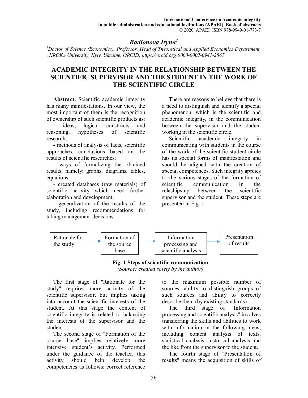## *Radionova Iryna<sup>1</sup>*

*<sup>1</sup>Doctor of Science (Economics), Professor, Head of Theoretical and Applied Economics Department, «KROK» University, Kyiv, Ukraine, ORCID: https://orcid.org/0000-0002-0941-2867* 

# **ACADEMIC INTEGRITY IN THE RELATIONSHIP BETWEEN THE SCIENTIFIC SUPERVISOR AND THE STUDENT IN THE WORK OF THE SCIENTIFIC CIRCLE**

**Abstract.** Scientific academic integrity has many manifestations. In our view, the most important of them is the recognition of ownership of such scientific products as:

- ideas, logical constructs and reasoning, hypotheses of scientific research;

- methods of analysis of facts, scientific approaches, conclusions based on the results of scientific researches;

- ways of formalizing the obtained results, namely: graphs, diagrams, tables, equations;

- created databases (raw materials) of scientific activity which need further elaboration and development;

- generalization of the results of the study, including recommendations for taking management decisions.

There are reasons to believe that there is a need to distinguish and identify a special phenomenon, which is the scientific and academic integrity, in the communication between the supervisor and the student working in the scientific circle.

Scientific academic integrity in communicating with students in the course of the work of the scientific student circle has its special forms of manifestation and should be aligned with the creation of special competences. Such integrity applies to the various stages of the formation of scientific communication in the relashipship between the scientific supervisor and the student. These steps are presented in Fig. 1.



#### **Fig. 1 Steps of scientific communication**  *(Source: created solely by the author)*

The first stage of "Rationale for the study" requires more activity of the scientific supervisor, but implies taking into account the scientific interests of the student. At this stage the content of scientific integrity is related to balancing the interests of the supervisor and the student.

The second stage of "Formation of the source base" implies relatively more intensive student's activity. Performed under the guidance of the teacher, this activity should help develop the competencies as follows: correct reference

to the maximum possible number of sources, ability to distinguish groups of such sources and ability to correctly describe them (by existing standards).

The third stage of "Information processing and scientific analysis" involves transferring the skills and abilities to work with information in the following areas, including content analysis of texts, statistical analysis, historical analysis and the like from the supervisor to the student.

The fourth stage of "Presentation of results" means the acquisition of skills of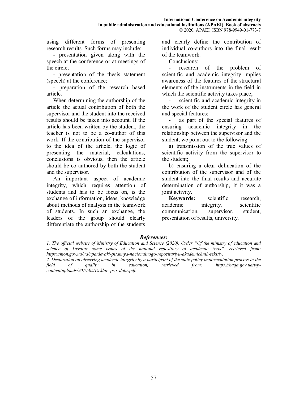using different forms of presenting research results. Such forms may include:

- presentation given along with the speech at the conference or at meetings of the circle;

- presentation of the thesis statement (speech) at the conference;

- preparation of the research based article.

When determining the authorship of the article the actual contribution of both the supervisor and the student into the received results should be taken into account. If the article has been written by the student, the teacher is not to be a co-author of this work. If the contribution of the supervisor to the idea of the article, the logic of presenting the material, calculations, conclusions is obvious, then the article should be co-authored by both the student and the supervisor.

An important aspect of academic integrity, which requires attention of students and has to be focus on, is the exchange of information, ideas, knowledge about methods of analysis in the teamwork of students. In such an exchange, the leaders of the group should clearly differentiate the authorship of the students

and clearly define the contribution of individual co-authors into the final result of the teamwork.

Conclusions:

research of the problem of scientific and academic integrity implies awareness of the features of the structural elements of the instruments in the field in which the scientific activity takes place;

scientific and academic integrity in the work of the student circle has general and special features;

as part of the special features of ensuring academic integrity in the relationship between the supervisor and the student, we point out to the following:

а) transmission of the true values of scientific activity from the supervisor to the student;

b) ensuring a clear delineation of the contribution of the supervisor and of the student into the final results and accurate determination of authorship, if it was a joint activity.

**Keywords:** scientific research, academic integrity, scientific communication, supervisor, student, presentation of results, university.

## *References:*

*<sup>1.</sup> The official website of Ministry of Education and Science (2020), Order "Оf the ministry of education and science of Ukraine some issues of the national repository of academic texts", retrieved from: https://mon.gov.ua/ua/npa/deyaki-pitannya-nacionalnogo-repozitariyu-akademichnih-tekstiv.* 

*<sup>2.</sup> Declaration on observing academic integrity by a participant of the state policy implementation process in the field of quality in education, retrieved from: https://naqa.gov.ua/wpcontent/uploads/2019/05/Deklar\_pro\_dobr.pdf.*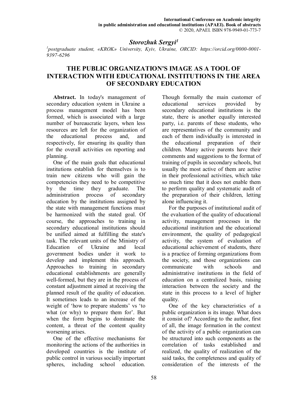## *Storozhuk Sergyi<sup>1</sup>*

*1 postgraduate student, «KROK» University, Kyiv, Ukraine, ORCID: https://orcid.org/0000-0001- 9397-6296* 

## **THE PUBLIC ORGANIZATION'S IMAGE AS A TOOL OF INTERACTION WITH EDUCATIONAL INSTITUTIONS IN THE AREA OF SECONDARY EDUCATION**

**Abstract.** In today's management of secondary education system in Ukraine a process management model has been formed, which is associated with a large number of bureaucratic layers, when less resources are left for the organization of the educational process and, and respectively, for ensuring its quality than for the overall activities on reporting and planning.

One of the main goals that educational institutions establish for themselves is to train new citizens who will gain the competencies they need to be competitive by the time they graduate. The administration process of secondary education by the institutions assigned by the state with management functions must be harmonized with the stated goal. Of course, the approaches to training in secondary educational institutions should be unified aimed at fulfilling the state's task. The relevant units of the Ministry of Education of Ukraine and local government bodies under it work to develop and implement this approach. Approaches to training in secondary educational establishments are generally well-formed, but they are in the process of constant adjustment aimed at receiving the planned result of the quality of education. It sometimes leads to an increase of the weight of 'how to prepare students' vs 'to what (or why) to prepare them for'. But when the form begins to dominate the content, a threat of the content quality worsening arises.

One of the effective mechanisms for monitoring the actions of the authorities in developed countries is the institute of public control in various socially important spheres, including school education.

Though formally the main customer of educational services provided by secondary educational institutions is the state, there is another equally interested party, i.e. parents of these students, who are representatives of the community and each of them individually is interested in the educational preparation of their children. Many active parents have their comments and suggestions to the format of training of pupils in secondary schools, but usually the most active of them are active in their professional activities, which take so much time that it does not enable them to perform quality and systematic audit of the preparation of their children, letting alone influencing it.

For the purposes of institutional audit of the evaluation of the quality of educational activity, management processes in the educational institution and the educational environment, the quality of pedagogical activity, the system of evaluation of educational achievement of students, there is a practice of forming organizations from the society, and those organizations can communicate with schools and administrative institutions in the field of education on a centralized basis, raising interaction between the society and the state in this process to a level of higher quality.

One of the key characteristics of a public organization is its image. What does it consist of? According to the author, first of all, the image formation in the context of the activity of a public organization can be structured into such components as the correlation of tasks established and realized, the quality of realization of the said tasks, the completeness and quality of consideration of the interests of the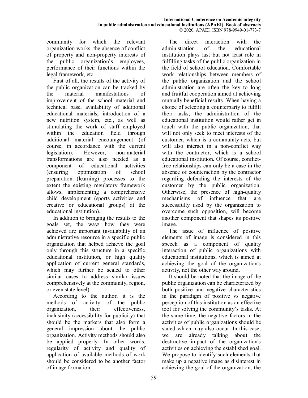community for which the relevant organization works, the absence of conflict of property and non-property interests of the public organization's employees, performance of their functions within the legal framework, etc.

First of all, the results of the activity of the public organization can be tracked by the material manifestations of improvement of the school material and technical base, availability of additional educational materials, introduction of a new nutrition system, etc., as well as stimulating the work of staff employed within the education field through additional material encouragement (of course, in accordance with the current legislation). However, non-material transformations are also needed as a component of educational activities (ensuring optimization of school preparation (learning) processes to the extent the existing regulatory framework allows, implementing a comprehensive child development (sports activities and creative or educational groups) at the educational institution).

In addition to bringing the results to the goals set, the ways how they were achieved are important (availability of an administrative resource in a specific public organization that helped achieve the goal only through this structure in a specific educational institution, or high quality application of current general standards, which may further be scaled to other similar cases to address similar issues comprehensively at the community, region, or even state level).

According to the author, it is the methods of activity of the public organization, their effectiveness, inclusivity (accessibility for publicity) that should be the markers that also form a general impression about the public organization. Activity methods should also be applied properly. In other words, regularity of activity and quality of application of available methods of work should be considered to be another factor of image formation.

The direct interaction with the administration of the educational institution plays last but not least role in fulfilling tasks of the public organization in the field of school education. Comfortable work relationships between members of the public organization and the school administration are often the key to long and fruitful cooperation aimed at achieving mutually beneficial results. When having a choice of selecting a counterparty to fulfill their tasks, the administration of the educational institution would rather get in touch with the public organization, that will not only seek to meet interests of the customer, which is a community acts, but will also interact in a non-conflict way with the contractor, which is a school educational institution. Of course, conflictfree relationships can only be a case in the absence of counteraction by the contractor regarding defending the interests of the customer by the public organization. Otherwise, the presence of high-quality mechanisms of influence that are successfully used by the organization to overcome such opposition, will become another component that shapes its positive image.

The issue of influence of positive elements of image is considered in this speech as a component of quality interaction of public organizations with educational institutions, which is aimed at achieving the goal of the organization's activity, not the other way around.

It should be noted that the image of the public organization can be characterized by both positive and negative characteristics in the paradigm of positive vs negative perception of this institution as an effective tool for solving the community's tasks. At the same time, the negative factors in the activities of public organizations should be stated which may also occur. In this case, we are already talking about the destructive impact of the organization's activities on achieving the established goal. We propose to identify such elements that make up a negative image as disinterest in achieving the goal of the organization, the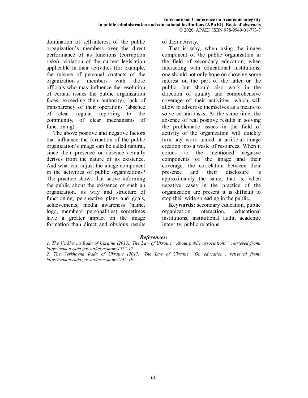domination of self-interest of the public organization's members over the direct performance of its functions (corruption risks), violation of the current legislation applicable in their activities (for example, the misuse of personal contacts of the organization's members with those officials who may influence the resolution of certain issues the public organization faces, exceeding their authority), lack of transparency of their operations (absence of clear regular reporting to the community, of clear mechanisms of functioning).

The above positive and negative factors that influence the formation of the public organization's image can be called natural, since their presence or absence actually derives from the nature of its existence. And what can adjust the image component in the activities of public organizations? The practice shows that active informing the public about the existence of such an organization, its way and structure of functioning, perspective plans and goals, achievements, media awareness (name, logo, members' personalities) sometimes have a greater impact on the image formation than direct and obvious results

of their activity.

That is why, when using the image component of the public organization in the field of secondary education, when interacting with educational institutions, one should not only hope on showing some interest on the part of the latter or the public, but should also work in the direction of quality and comprehensive coverage of their activities, which will allow to advertise themselves as a means to solve certain tasks. At the same time, the absence of real positive results in solving the problematic issues in the field of activity of the organization will quickly turn any work aimed at artificial image creation into a waste of resources. When it comes to the mentioned negative components of the image and their coverage, the correlation between their presence and their disclosure is approximately the same, that is, when negative cases in the practice of the organization are present it is difficult to stop their wide spreading in the public.

**Keywords:** secondary education, public organization, nteraction, educational institutions, institutional audit, academic integrity, public relations.

## *References:*

*<sup>1.</sup> The Verkhovna Rada of Ukraine (2013), The Law of Ukraine "About public associations", retrieved from: https://zakon.rada.gov.ua/laws/show/4572-17.* 

*<sup>2.</sup> The Verkhovna Rada of Ukraine (2017), The Law of Ukraine "On education", retrieved from: https://zakon.rada.gov.ua/laws/show/2145-19.*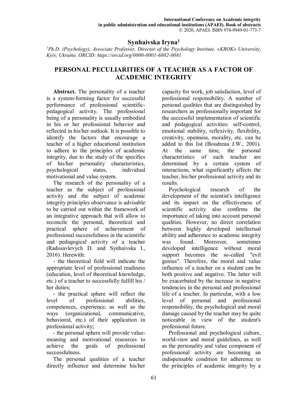## **Synhaivska Iryna<sup>1</sup>**

*<sup>1</sup>Ph.D. (Psychology), Associate Professor, Director of the Psychology Institute, «KROK» University, Kyiv, Ukraine, ORCID: https://orcid.org/0000-0001-6802-0081* 

# **PERSONAL PECULIARITIES OF A TEACHER AS A FACTOR OF ACADEMIC INTEGRITY**

**Abstract.** The personality of a teacher is a system-forming factor for successful performance of professional scientificpedagogical activity. The professional being of a personality is usually embodied in his or her professional behavior and reflected in his/her outlook. It is possible to identify the factors that encourage a teacher of a higher educational institution to adhere to the principles of academic integrity, due to the study of the specifics of his/her personality characteristics, psychological states, individual motivational and value system.

The research of the personality of a teacher as the subject of professional activity and the subject of academic integrity principles observance is advisable to be carried out within the framework of an integrative approach that will allow to reconcile the personal, theoretical and practical sphere of achievement of professional successfulness in the scientific and pedagogical activity of a teacher (Radosavlevych D. and Synhaivska I., 2016). Herewith:

- the theoretical field will indicate the appropriate level of professional readiness (education, level of theoretical knowledge, etc.) of a teacher to successfully fulfill his / her duties;

- the practical sphere will reflect the level of professional abilities, competences, experience, as well as the ways (organizational, communicative, behavioral, etc.) of their application in professional activity;

- the personal sphere will provide valuemeaning and motivational resources to achieve the goals of professional successfulness.

The personal qualities of a teacher directly influence and determine his/her

capacity for work, job satisfaction, level of professional responsibility. A number of personal qualities that are distinguished by researchers as professionally important for the successful implementation of scientific and pedagogical activities: self-control, emotional stability, reflexivity, flexibility, creativity, openness, morality, etc. can be added to this list (Boudreau J.W., 2001). At the same time, the personal characteristics of each teacher are determined by a certain system of interactions, what significantly affects the teacher, his/her professional activity and its results.

Psychological research of the development of the scientist's intelligence and its impact on the effectiveness of scientific activity also confirms the importance of taking into account personal qualities. However, no direct correlation between highly developed intellectual ability and adherence to academic integrity was found. Moreover, sometimes developed intelligence without moral support becomes the so-called "evil genius". Therefore, the moral and value influence of a teacher on a student can be both positive and negative. The latter will be exacerbated by the increase in negative tendencies in the personal and professional life of a teacher. In particular, with a low level of personal and professional responsibility, the psychological and moral damage caused by the teacher may be quite noticeable in view of the student's professional future.

Professional and psychological culture, world-view and moral guidelines, as well as the personality and value component of professional activity are becoming an indispensable condition for adherence to the principles of academic integrity by a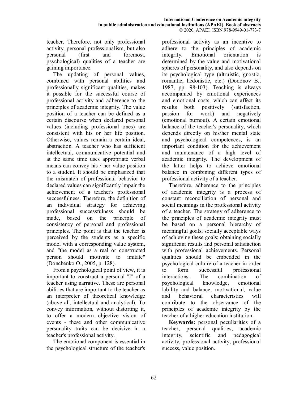teacher. Therefore, not only professional activity, personal professionalism, but also personal (first and foremost, psychological) qualities of a teacher are gaining importance.

The updating of personal values, combined with personal abilities and professionally significant qualities, makes it possible for the successful course of professional activity and adherence to the principles of academic integrity. The value position of a teacher can be defined as a certain discourse when declared personal values (including professional ones) are consistent with his or her life position. Otherwise, values remain a certain ideal, abstraction. A teacher who has sufficient intellectual, communicative potential and at the same time uses appropriate verbal means can convey his / her value position to a student. It should be emphasized that the mismatch of professional behavior to declared values can significantly impair the achievement of a teacher's professional successfulness. Therefore, the definition of an individual strategy for achieving professional successfulness should be made, based on the principle of consistency of personal and professional principles. The point is that the teacher is perceived by the students as a specific model with a corresponding value system, and "the model as a real or constructed person should motivate to imitate" (Donchenko O., 2005, p. 128).

From a psychological point of view, it is important to construct a personal "I" of a teacher using narrative. These are personal abilities that are important to the teacher as an interpreter of theoretical knowledge (above all, intellectual and analytical). To convey information, without distorting it, to offer a modern objective vision of events - these and other communicative personality traits can be decisive in a teacher's professional activity.

The emotional component is essential in the psychological structure of the teacher's

professional activity as an incentive to adhere to the principles of academic integrity. Emotional orientation is determined by the value and motivational spheres of personality, and also depends on its psychological type (altruistic, gnostic, romantic, hedonistic, etc.) (Dodonov B., 1987, pp. 98-103). Teaching is always accompanied by emotional experiences and emotional costs, which can affect its results both positively (satisfaction, passion for work) and negatively (emotional burnout). A certain emotional balance of the teacher's personality, which depends directly on his/her mental state and psychological competences, is an important condition for the achievement and maintenance of a high level of academic integrity. The development of the latter helps to achieve emotional balance in combining different types of professional activity of a teacher.

Therefore, adherence to the principles of academic integrity is a process of constant reconciliation of personal and social meanings in the professional activity of a teacher. The strategy of adherence to the principles of academic integrity must be based on a personal hierarchy of meaningful goals; socially acceptable ways of achieving these goals; obtaining socially significant results and personal satisfaction with professional achievements. Personal qualities should be embedded in the psychological culture of a teacher in order to form successful professional interactions. The combination of psychological knowledge, emotional lability and balance, motivational, value and behavioral characteristics will contribute to the observance of the principles of academic integrity by the teacher of a higher education institution.

**Keywords:** personal peculiarities of a teacher, personal qualities, academic integrity, scientific and pedagogical activity, professional activity, professional success, value position.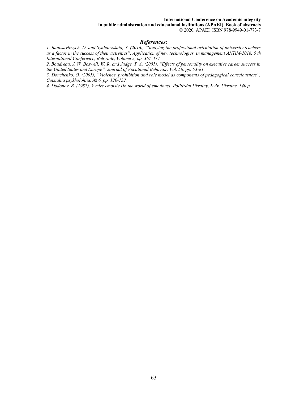#### **International Conference on Academic integrity**

**in public administration and educational institutions (APAEI). Book of abstracts**  © 2020, APAEI. ISBN 978-9949-01-773-7

#### *References:*

*1. Radosavlevych, D. and Synhaevskaia, Y. (2016), "Studying the professional orientation of university teachers as a factor in the success of their activities", Application of new technologies in management ANTiM-2016, 5 th International Conference, Belgrade, Volume 2, pp. 367-374.* 

*2. Boudreau, J. W. Boswell, W. R. and Judge, T. A. (2001), "Effects of personality on executive career success in the United States and Europe", Journal of Vocational Behavior, Vol. 58, pp. 53-81.* 

*3. Donchenko, O. (2005), "Violence, prohibition and role model as components of pedagogical consciousness", Cotsialna psykholohiia, № 6, pp. 120-132.* 

*4. Dodonov, B. (1987), V mire emotsiy [In the world of emotions], Politizdat Ukrainy, Kyiv, Ukraine, 140 p.*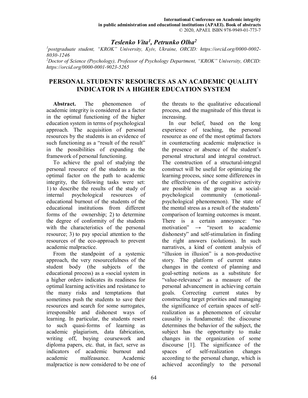## *Teslenko Vita<sup>1</sup> , Petrunko Olha<sup>2</sup>*

*1 postgraduate student, "KROK" University, Kyiv, Ukraine, ORCID: https://orcid.org/0000-0002- 8030-1246* 

*<sup>2</sup>Doctor of Science (Psychology), Professor of Psychology Department, "KROK" University, ORCID: https://orcid.org/0000-0001-9023-5265*

## **PERSONAL STUDENTS' RESOURCES AS AN ACADEMIC QUALITY INDICATOR IN A HIGHER EDUCATION SYSTEM**

**Abstract.** The phenomenon of academic integrity is considered as a factor in the optimal functioning of the higher education system in terms of psychological approach. The acquisition of personal resources by the students is an evidence of such functioning as a "result of the result" in the possibilities of expanding the framework of personal functioning.

To achieve the goal of studying the personal resource of the students as the optimal factor on the path to academic integrity, the following tasks were set: 1) to describe the results of the study of internal psychological resources of educational burnout of the students of the educational institutions from different forms of the ownership; 2) to determine the degree of conformity of the students with the characteristics of the personal resource; 3) to pay special attention to the resources of the eco-approach to prevent academic malpractice.

From the standpoint of a systemic approach, the very resourcefulness of the student body (the subjects of the educational process) as a «social system in a higher order» indicates its readiness for optimal learning activities and resistance to the many risks and temptations that sometimes push the students to save their resources and search for some surrogates, irresponsible and dishonest ways of learning. In particular, the students resort to such quasi-forms of learning as academic plagiarism, data fabrication, writing off, buying coursework and diploma papers, etc. that, in fact, serve as indicators of academic burnout and academic malfeasance. Academic malpractice is now considered to be one of the threats to the qualitative educational process, and the magnitude of this threat is increasing.

In our belief, based on the long experience of teaching, the personal resource as one of the most optimal factors in counteracting academic malpractice is the presence or absence of the student's personal structural and integral construct. The construction of a structural-integral construct will be useful for optimizing the learning process, since some differences in the effectiveness of the cognitive activity are possible in the group as a socialpsychological community (emotionalpsychological phenomenon). The state of the mental stress as a result of the students' comparison of learning outcomes is meant. There is a certain annoyance: "no motivation" → "resort to academic dishonesty" and self-stimulation in finding the right answers (solutions). In such narratives, a kind of content analysis of "illusion in illusion" is a non-productive story. The platform of current states changes in the context of planning and goal-setting notions as a substitute for "value-relevance" as a measure of the personal advancement in achieving certain goals. Correcting current states by constructing target priorities and managing the significance of certain spaces of selfrealization as a phenomenon of circular causality is fundamental: the discourse determines the behavior of the subject, the subject has the opportunity to make changes in the organization of some discourse [1]. The significance of the spaces of self-realization changes according to the personal change, which is achieved accordingly to the personal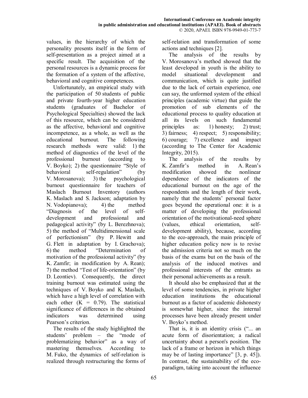values, in the hierarchy of which the personality presents itself in the form of self-presentation as a project aimed at a specific result. The acquisition of the personal resources is a dynamic process for the formation of a system of the affective, behavioral and cognitive competences.

Unfortunately, an empirical study with the participation of 50 students of public and private fourth-year higher education students (graduates of Bachelor of Psychological Specialties) showed the lack of this resource, which can be considered as the affective, behavioral and cognitive incompetence, as a whole, as well as the educational burnout. The following research methods were valid: 1) the method of diagnostics of the level of the professional burnout (according to V. Boyko); 2) the questionnaire "Style of behavioral self-regulation" (by V. Morosanova); 3) the psychological burnout questionnaire for teachers of Maslach Burnout Inventory (authors K. Maslach and S. Jackson; adaptation by N. Vodopianova); 4) the method "Diagnosis of the level of selfdevelopment and professional and pedagogical activity" (by L. Berezhnova); 5) the method of "Multidimensional scale of perfectionism" (by P. Hewitt and G. Flett in adaptation by I. Grachova); 6) the method "Determination of motivation of the professional activity" (by K. Zamfir; in modification by A. Rean); 7) the method "Test of life-orientation" (by D. Leontiev). Consequently, the direct training burnout was estimated using the techniques of V. Boyko and K. Maslach, which have a high level of correlation with each other  $(K = 0.79)$ . The statistical significance of differences in the obtained indicators was determined using Pearson's criterion.

The results of the study highlighted the students' problem – the "mode of problematizing behavior" as a way of mastering themselves. According to M. Fuko, the dynamics of self-relation is realized through restructuring the forms of self-relation and transformation of some actions and techniques [2].

The analysis of the results by V. Morosanova's method showed that the least developed in youth is the ability to model situational development and communication, which is quite justified due to the lack of certain experience, one can say, the unformed system of the ethical principles (academic virtue) that guide the promotion of sub elements of the educational process to quality education at all its levels on such fundamental principles as: 1) honesty; 2) trust; 3) fairness; 4) respect; 5) responsibility; 6) courage; 7) excellence and impact (according to The Center for Academic Integrity, 2015).

The analysis of the results by K. Zamfir's method in A. Rean's modification showed the nonlinear dependence of the indicators of the educational burnout on the age of the respondents and the length of their work, namely that the students' personal factor goes beyond the operational one: it is a matter of developing the professional orientation of the motivational-need sphere (values, ethical orientation, selfdevelopment ability), because, according to the eco-approach, the main principle of higher education policy now is to revise the admission criteria not so much on the basis of the exams but on the basis of the analysis of the induced motives and professional interests of the entrants as their personal achievements as a result.

It should also be emphasized that at the level of some tendencies, in private higher education institutions the educational burnout as a factor of academic dishonesty is somewhat higher, since the internal processes have been already present under V. Boyko's method.

That is, it is an identity crisis ("... an acute form of disorientation; a radical uncertainty about a person's position. The lack of a frame or horizon in which things may be of lasting importance" [3, p. 45]). In contrast, the sustainability of the ecoparadigm, taking into account the influence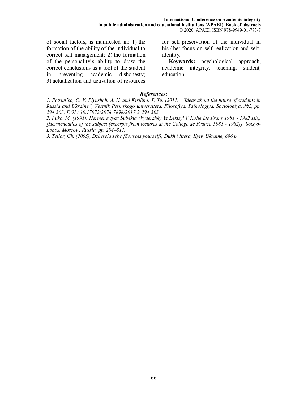of social factors, is manifested in: 1) the formation of the ability of the individual to correct self-management; 2) the formation of the personality's ability to draw the correct conclusions as a tool of the student in preventing academic dishonesty; 3) actualization and activation of resources for self-preservation of the individual in his / her focus on self-realization and selfidentity.

**Keywords:** psychological approach, academic integrity, teaching, student, education.

## *References:*

*1. Petrun'ko, O. V. Plyushch, A. N. and Kirilina, T. Yu. (2017), "Ideas about the future of students in Russia and Ukraine", Vestnik Permskogo universiteta. Filosofiya. Psihologiya. Sociologiya, №2, рр. 294-303. DOI : 10.17072/2078-7898/2017-2-294-303.* 

*2. Fuko, M. (1991), Hermenevtyka Subekta (Vyderzhky Yz Lektsyi V Kolle De Frans 1981 - 1982 Hh.) [Hermeneutics of the subject (excerpts from lectures at the College de France 1981 - 1982)], Sotsyo-Lohos, Moscow, Russia, pp. 284–311.* 

*3. Teilor, Ch. (2005), Dzherela sebe [Sources yourself], Dukh i litera, Kyiv, Ukraine, 696 p.*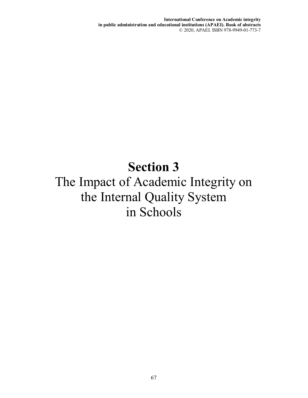**International Conference on Academic integrity in public administration and educational institutions (APAEI). Book of abstracts**  © 2020, APAEI. ISBN 978-9949-01-773-7

# **Section 3**  The Impact of Academic Integrity on the Internal Quality System in Schools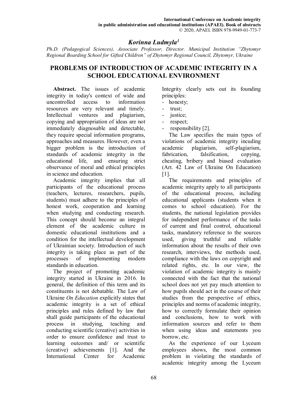## *Korinna Ludmyla<sup>1</sup>*

*Ph.D. (Pedagogical Sciences), Associate Professor, Director. Municipal Institution "Zhytomyr Regional Boarding School for Gifted Children" of Zhytomyr Regional Council, Zhytomyr, Ukraine* 

## **PROBLEMS OF INTRODUCTION OF ACADEMIC INTEGRITY IN A SCHOOL EDUCATIONAL ENVIRONMENT**

**Abstract.** The issues of academic integrity in today's context of wide and uncontrolled access to information resources are very relevant and timely. Intellectual ventures and plagiarism, copying and appropriation of ideas are not immediately diagnosable and detectable, they require special information programs, approaches and measures. However, even a bigger problem is the introduction of standards of academic integrity in the educational life, and ensuring strict observance of moral and ethical principles in science and education.

Academic integrity implies that all participants of the educational process (teachers, lectures, researchers, pupils, students) must adhere to the principles of honest work, cooperation and learning when studying and conducting research. This concept should become an integral element of the academic culture in domestic educational institutions and a condition for the intellectual development of Ukrainian society. Introduction of such integrity is taking place as part of the processes of implementing modern standards in education.

The project of promoting academic integrity started in Ukraine in 2016. In general, the definition of this term and its constituents is not debatable. The Law of Ukraine *On Education* explicitly states that academic integrity is a set of ethical principles and rules defined by law that shall guide participants of the educational process in studying, teaching and conducting scientific (creative) activities in order to ensure confidence and trust to learning outcomes and/ or scientific (creative) achievements [1]. And the International Center for Academic

Integrity clearly sets out its founding principles:

- honesty;
- trust;
- justice;
- respect;
- responsibility [2].

The Law specifies the main types of violations of academic integrity incuding academic plagiarism, self-plagiarism, fabrication, falsification, copying, cheating, bribery and biased evaluation (Art. 42 Law of Ukraine On Education) [1].

The requirements and principles of academic integrity apply to all participants of the educational process, including educational applicants (students when it comes to school education). For the students, the national legislation provides for independent performance of the tasks of current and final control, educational tasks, mandatory reference to the sources used, giving truthful and reliable information about the results of their own research, interviews, the methods used, compliance with the laws on copyright and related rights, etc. In our view, the violation of academic integrity is mainly connected with the fact that the national school does not yet pay much attention to how pupils should act in the course of their studies from the perspective of ethics, principles and norms of academic integrity, how to correctly formulate their opinion and conclusions, how to work with information sources and refer to them when using ideas and statements you borrow, etc.

As the experience of our Lyceum employees shows, the most common problem in violating the standards of academic integrity among the Lyceum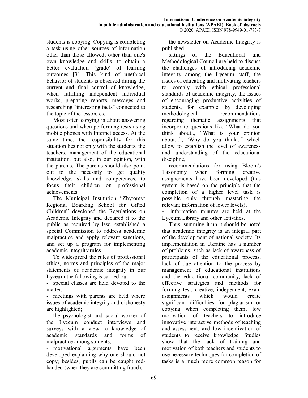students is copying. Copying is completing a task using other sources of information other than those allowed, other than one's own knowledge and skills, to obtain a better evaluation (grade) of learning outcomes [3]. This kind of unethical behavior of students is observed during the current and final control of knowledge, when fulfilling independent individual works, preparing reports, messages and researching "interesting facts" connected to the topic of the lesson, etc.

Most often copying is about answering questions and when performing tests using mobile phones with Internet access. At the same time, the responsibility for this situation lies not only with the students, the teachers, management of the educational institution, but also, in our opinion, with the parents. The parents should also point out to the necessity to get quality knowledge, skills and competences, to focus their children on professional achievements.

The Municipal Institution "Zhytomyr Regional Boarding School for Gifted Children" developed the Regulations on Academic Integrity and declared it to the public as required by law, established a special Commission to address academic malpractice and apply relevant sanctions, and set up a program for implementing academic integrity rules.

To widespread the rules of professional ethics, norms and principles of the major statements of academic integrity in our Lyceum the following is carried out:

- special classes are held devoted to the matter,

- meetings with parents are held where issues of academic integrity and dishonesty are highlighted;

- the psychologist and social worker of the Lyceum conduct interviews and surveys with a view to knowledge of academic standards and forms of malpractice among students,

- motivational arguments have been developed explaining why one should not copy; besides, pupils can be caught redhanded (when they are committing fraud),

- the newsletter on Academic Integrity is published,

- sittings of the Educational and Methodological Council are held to discuss the challenges of introducing academic integrity among the Lyceum staff, the issues of educating and motivating teachers to comply with ethical professional standards of academic integrity, the issues of encouraging productive activities of students, for example, by developing methodological recommendations regarding thematic assignments that incorporate questions like "What do you think about.., "What is your opinion about...", "Why do you think..." which allow to establish the level of awareness and understanding of the educational discipline,

- recommendations for using Bloom's Taxonomy when forming creative assignements have been developed (this system is based on the principle that the completion of a higher level task is possible only through mastering the relevant information of lower levels),

- information minutes are held at the Lyceum Library and other activities.

Thus, summing it up it should be noted that academic integrity is an integral part of the development of national society. Its implementation in Ukraine has a number of problems, such as lack of awareness of participants of the educational process, lack of due attention to the process by management of educational institutions and the educational community, lack of effective strategies and methods for forming test, creative, independent, exam assignments which would create significant difficulties for plagiarism or copying when completing them, low motivation of teachers to introduce innovative interactive methods of teaching and assessment, and low incentivation of students to receive knowledge. Studies show that the lack of training and motivation of both teachers and students to use necessary techniques for completion of tasks is a much more common reason for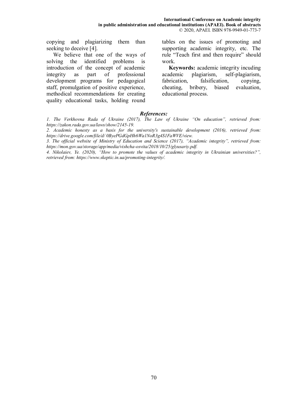copying and plagiarizing them than seeking to deceive [4].

We believe that one of the ways of solving the identified problems is introduction of the concept of academic integrity as part of professional development programs for pedagogical staff, promulgation of positive experience, methodical recommendations for creating quality educational tasks, holding round

tables on the issues of promoting and supporting academic integrity, etc. The rule "Teach first and then require" should work.

**Keywords:** academic integrity incuding academic plagiarism, self-plagiarism, fabrication, falsification, copying, cheating, bribery, biased evaluation, educational process.

#### *References:*

*1. The Verkhovna Rada of Ukraine (2017), The Law of Ukraine "On education", retrieved from: https://zakon.rada.gov.ua/laws/show/2145-19.* 

*2. Academic honesty as a basis for the university's sustainable development (2016), retrieved from: https://drive.google.com/file/d/ 0ByePGdGpHh6Wa1NoR3g4S1FaWVE/view.* 

*3. The official website of Ministry of Education and Science (2017), "Academic integrity", retrieved from: https://mon.gov.ua/storage/app/media/vishcha-osvita/2018/10/25/glyusariy.pdf.* 

*4. Nikolaiev, Ye. (2020), "How to promote the values of academic integrity in Ukrainian universities?", retrieved from: https://www.skeptic.in.ua/promoting-integrity/.*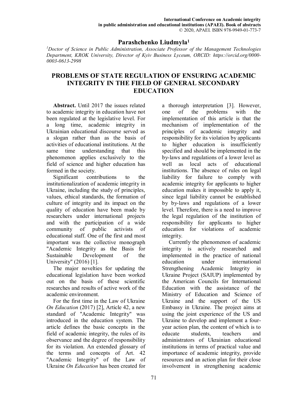## **Parashchenko Liudmyla<sup>1</sup>**

*<sup>1</sup>Doctor of Science in Public Administration, Associate Professor of the Management Technologies Department, KROK University, Director of Kyiv Business Lyceum, ORCID: https://orcid.org/0000- 0003-0613-2998* 

# **PROBLEMS OF STATE REGULATION OF ENSURING ACADEMIC INTEGRITY IN THE FIELD OF GENERAL SECONDARY EDUCATION**

**Abstract.** Until 2017 the issues related to academic integrity in education have not been regulated at the legislative level. For a long time, academic integrity in Ukrainian educational discourse served as a slogan rather than as the basis of activities of educational institutions. At the same time understanding that this phenomenon applies exclusively to the field of science and higher education has formed in the society.

Significant contributions to the institutionalization of academic integrity in Ukraine, including the study of principles, values, ethical standards, the formation of culture of integrity and its impact on the quality of education have been made by researchers under international projects and with the participation of a wide community of public activists of educational staff. One of the first and most important was the collective monograph "Academic Integrity as the Basis for Sustainable Development of the University" (2016) [1].

The major novelties for updating the educational legislation have been worked out on the basis of these scientific researches and results of active work of the academic environment.

For the first time in the Law of Ukraine *On Education* (2017) [2], Article 42, a new standard of "Academic Integrity" was introduced in the education system. The article defines the basic concepts in the field of academic integrity, the rules of its observance and the degree of responsibility for its violation. An extended glossary of the terms and concepts of Art. 42 "Academic Integrity" of the Law of Ukraine *On Education* has been created for a thorough interpretation [3]. However, one of the problems with the implementation of this article is that the mechanism of implementation of the principles of academic integrity and responsibility for its violation by applicants to higher education is insufficiently specified and should be implemented in the by-laws and regulations of a lower level as well as local acts of educational institutions. The absence of rules on legal liability for failure to comply with academic integrity for applicants to higher education makes it impossible to apply it, since legal liability cannot be established by by-laws and regulations of a lower level. Therefore, there is a need to improve the legal regulation of the institution of responsibility for applicants to higher education for violations of academic integrity.

Currently the phenomenon of academic integrity is actively researched and implemented in the practice of national education under international Strengthening Academic Integrity in Ukraine Project (SAIUP) implemented by the American Councils for International Education with the assistance of the Ministry of Education and Science of Ukraine and the support of the US Embassy in Ukraine. The project aims at using the joint experience of the US and Ukraine to develop and implement a fouryear action plan, the content of which is to educate students, teachers and administrators of Ukrainian educational institutions in terms of practical value and importance of academic integrity, provide resources and an action plan for their close involvement in strengthening academic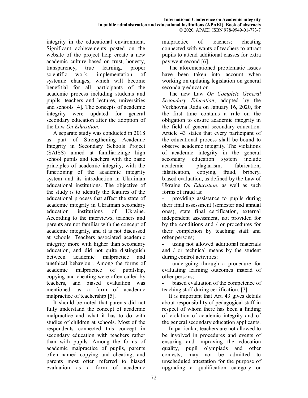integrity in the educational environment. Significant achievements posted on the website of the project help create a new academic culture based on trust, honesty, transparency, true learning, proper scientific work, implementation of systemic changes, which will become benefitial for all participants of the academic process including students and pupils, teachers and lectures, universities and schools [4]. The concepts of academic integrity were updated for general secondary education after the adoption of the Law *On Education*.

A separate study was conducted in 2018 as part of Strengthening Academic Integrity in Secondary Schools Project (SAISS) aimed at familiarizinge high school pupils and teachers with the basic principles of academic integrity, with the functioning of the academic integrity system and its introduction in Ukrainian educational institutions. The objective of the study is to identify the features of the educational process that affect the state of academic integrity in Ukrainian secondary education institutions of Ukraine. According to the interviews, teachers and parents are not familiar with the concept of academic integrity, and it is not discussed at schools. Teachers associated academic integrity more with higher than secondary education, and did not quite distinguish between academic malpractice and unethical behaviour. Among the forms of academic malpractice of pupilship, copying and cheating were often called by teachers, and biased evaluation was mentioned as a form of academic malpractice of teachership [5].

It should be noted that parents did not fully understand the concept of academic malpractice and what it has to do with studies of children at schools. Most of the respondents connected this concept in secondary education with teachers rather than with pupils. Among the forms of academic malpractice of pupils, parents often named copying and cheating, and parents most often referred to biased evaluation as a form of academic

malpractice of teachers; cheating connected with wants of teachers to attract pupils to attend additional classes for extra pay went second [6].

The aforementioned problematic issues have been taken into account when working on updating legislation on general secondary education.

The new Law *On Complete General Secondary Education*, adopted by the Verkhovna Rada on January 16, 2020, for the first time contains a rule on the obligation to ensure academic integrity in the field of general secondary education. Article 43 states that every participant of the educational process shall be bound to observe academic integrity. The violations of academic integrity in the general secondary education system include academic plagiarism, fabrication, falsification, copying, fraud, bribery, biased evaluation, as defined by the Law of Ukraine *On Education*, as well as such forms of fraud as:

providing assistance to pupils during their final assessment (semester and annual ones), state final certification, external independent assessment, not provided for by the conditions and / or procedures for their completion by teaching staff and other persons;

using not allowed additional materials and / or technical means by the student during control activities;

- undergoing through a procedure for evaluating learning outcomes instead of other persons;

biased evaluation of the competence of teaching staff during certification. [7].

It is important that Art. 43 gives details about responsibility of pedagogical staff in respect of whom there has been a finding of violation of academic integrity and of the general secondary education applicants.

In particular, teachers are not allowed to be involved in procedures and events of ensuring and improving the education quality, pupil olympiads and other contests; may not be admitted to unscheduled attestation for the purpose of upgrading a qualification category or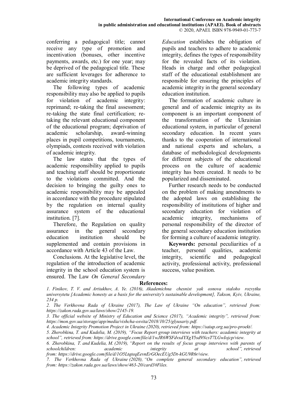conferring a pedagogical title; cannot receive any type of promotion and incentivation (bonuses, other incentive payments, awards, etc.) for one year; may be deprived of the pedagogical title. These are sufficient leverages for adherence to academic integrity standards.

The following types of academic responsibility may also be applied to pupils for violation of academic integrity: reprimand; re-taking the final assessment; re-taking the state final certification; retaking the relevant educational component of the educational program; deprivation of academic scholarship, award-winning places in pupil competitions, tournaments, olympiads, contests received with violation of academic integrity.

The law states that the types of academic responsibility applied to pupils and teaching staff should be proportionate to the violations committed. And the decision to bringing the guilty ones to academic responsibility may be appealed in accordance with the procedure stipulated by the regulation on internal quality assurance system of the educational institution. [7].

Therefore, the Regulation on quality assurance in the general secondary education institution should be supplemented and contain provisions in accordance with Article 43 of the Law.

Conclusions. At the legislative level, the regulation of the introduction of academic integrity in the school education system is ensured. The Law *On General Secondary*  *Education* establishes the obligation of pupils and teachers to adhere to academic integrity, defines the types of responsibility for the revealed facts of its violation. Heads in charge and other pedagogical staff of the educational establishment are responsible for ensuring the principles of academic integrity in the general secondary education institution.

The formation of academic culture in general and of academic integrity as its component is an important component of the transformation of the Ukrainian educational system, in particular of general secondary education. In recent years thanks to the cooperation of international and national experts and scholars, a database of methodological developments for different subjects of the educational process on the culture of academic integrity has been created. It needs to be popularized and disseminated.

Further research needs to be conducted on the problem of making amendments to the adopted laws on establishing the responsibility of institutions of higher and secondary education for violation of academic integrity, mechanisms of personal responsibility of the director of the general secondary education institution for forming a culture of academic integrity.

**Keywords:** personal peculiarities of a teacher, personal qualities, academic integrity, scientific and pedagogical activity, professional activity, professional success, value position.

#### **References:**

*<sup>1.</sup> Finikov, T. V. and Artiukhov, A. Ye. (2016), Akademichna chesnist yak osnova staloho rozvytku universytetu [Academic honesty as a basis for the university's sustainable development], Takson, Kyiv, Ukraine, 234 p.* 

*<sup>2.</sup> The Verkhovna Rada of Ukraine (2017), The Law of Ukraine "On education", retrieved from: https://zakon.rada.gov.ua/laws/show/2145-19.* 

*<sup>3.</sup> The official website of Ministry of Education and Science (2017), "Academic integrity", retrieved from: https://mon.gov.ua/storage/app/media/vishcha-osvita/2018/10/25/glyusariy.pdf.* 

*<sup>4.</sup> Academic Integrity Promotion Project in Ukraine (2020), retrieved from: https://saiup.org.ua/pro-proekt/.* 

*<sup>5.</sup> Zherobkina, T. and Kudelia, M. (2019), "Focus Report group interviews with teachers: academic integrity at school", retrieved from: https://drive.google.com/file/d/1wJR6WSFdvxdYXgY5sd9NcsT7LGwIojcp/view.* 

*<sup>6.</sup> Zherobkina, T. and Kudelia, M. (2019), "Report on the results of focus group interviews with parents of schoolchildren: academic integrity at school", retrieved from: https://drive.google.com/file/d/1O5LtqteqEevnErGOecEUg5Dt-kGU9R6r/view.*

*<sup>7.</sup> The Verkhovna Rada of Ukraine (2020), "On complete general secondary education", retrieved from: https://zakon.rada.gov.ua/laws/show/463-20/card3#Files.*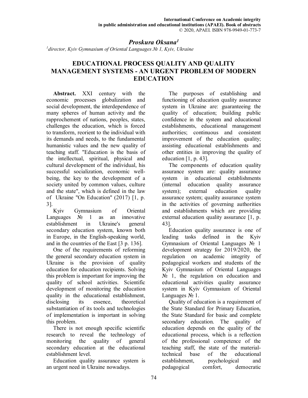### *Proskura Оksana<sup>1</sup>*

*1 director, Kyiv Gymnasium of Oriental Languages № 1, Kyiv, Ukraine* 

# **EDUCATIONAL PROCESS QUALITY AND QUALITY MANAGEMENT SYSTEMS - AN URGENT PROBLEM OF MODERN EDUCATION**

**Abstract.** XXI century with the economic processes globalization and social development, the interdependence of many spheres of human activity and the rapprochement of nations, peoples, states, challenges the education, which is forced to transform, reorient to the individual with its demands and needs, to the fundamental humanistic values and the new quality of teaching staff. "Education is the basis of the intellectual, spiritual, physical and cultural development of the individual, his successful socialization, economic wellbeing, the key to the development of a society united by common values, culture and the state", which is defined in the law of Ukraine "On Education" (2017) [1, p. 3].

Kyiv Gymnasium of Oriental Languages № 1 as an innovative establishment in Ukraine's general secondary education system, known both in Europe, in the English-speaking world, and in the countries of the East [3 p. 136].

One of the requirements of reforming the general secondary education system in Ukraine is the provision of quality education for education recipients. Solving this problem is important for improving the quality of school activities. Scientific development of monitoring the education quality in the educational establishment, disclosing its essence, theoretical substantiation of its tools and technologies of implementation is important in solving this problem.

There is not enough specific scientific research to reveal the technology of monitoring the quality of general secondary education at the educational establishment level.

Education quality assurance system is an urgent need in Ukraine nowadays.

The purposes of establishing and functioning of education quality assurance system in Ukraine are: guaranteeing the quality of education; building public confidence in the system and educational establishments, educational management authorities; continuous and consistent improvement of the education quality; assisting educational establishments and other entities in improving the quality of education  $[1, p. 43]$ .

The components of education quality assurance system are: quality assurance system in educational establishments (internal education quality assurance system); external education quality assurance system; quality assurance system in the activities of governing authorities and establishments which are providing external education quality assurance [1, p. 43].

Education quality assurance is one of leading tasks defined in the Kyiv Gymnasium of Oriental Languages № 1 development strategy for 2019/2020, the regulation on academic integrity of pedagogical workers and students of the Kyiv Gymnasium of Oriental Languages  $N_2$  1, the regulation on education and educational activities quality assurance system in Kyiv Gymnasium of Oriental Languages No 1.

Quality of education is a requirement of the State Standard for Primary Education, the State Standard for basic and complete secondary education. The quality of education depends on the quality of the educational process, which is a reflection of the professional competence of the teaching staff, the state of the materialtechnical base of the educational establishment, psychological and pedagogical comfort, democratic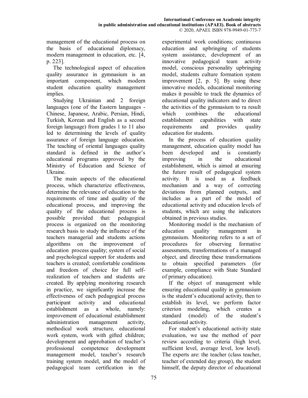management of the educational process on the basis of educational diplomacy, modern management in education, etc. [4, p. 223].

The technological aspect of education quality assurance in gymnasium is an important component, which modern student education quality management implies.

Studying Ukrainian and 2 foreign languages (one of the Eastern languages - Chinese, Japanese, Arabic, Persian, Hindi, Turkish, Korean and English as a second foreign language) from grades 1 to 11 also led to determining the levels of quality assurance of foreign language education. The teaching of oriental languages quality standard is defined in the author's educational programs approved by the Ministry of Education and Science of Ukraine.

The main aspects of the educational process, which characterize effectiveness, determine the relevance of education to the requirements of time and quality of the educational process, and improving the quality of the educational process is possible provided that: pedagogical process is organized on the monitoring research basis to study the influence of the teachers managerial and students actions algorithms on the improvement of education process quality; system of social and psychological support for students and teachers is created; comfortable conditions and freedom of choice for full selfrealization of teachers and students are created. By applying monitoring research in practice, we significantly increase the effectiveness of each pedagogical process participant activity and educational establishment as a whole, namely: improvement of educational establishment administration management activity, methodical work structure, educational work system, work with gifted children; development and approbation of teacher's professional competence development management model, teacher's research training system model, and the model of pedagogical team certification in the

experimental work conditions; continuous education and upbringing of students system assistance, development of an innovative pedagogical team activity model, conscious personality upbringing model, students culture formation system improvement [2, p. 5]. By using these innovative models, educational monitoring makes it possible to track the dynamics of educational quality indicators and to direct the activities of the gymnasium to ra result which combines the educational establishment capabilities with state requirements and provides quality education for students.

In the process of education quality management, education quality model has been developed and is constantly improving in the educational establishment, which is aimed at ensuring the future result of pedagogical system activity. It is used as a feedback mechanism and a way of correcting deviations from planned outputs, and includes as a part of the model of educational activity and education levels of students, which are using the indicators obtained in previous studies.

Monitoring model is the mechanism of education quality management in gymnasium. Monitoring refers to a set of procedures for observing formative assessments, transformations of a managed object, and directing these transformations to obtain specified parameters (for example, compliance with State Standard of primary education).

If the object of management while ensuring educational quality in gymnasium is the student's educational activity, then to establish its level, we perform factor criterion modeling, which creates a standard (model) of the student's educational activity.

For student's educational activity state evaluation, we use the method of peer review according to criteria (high level, sufficient level, average level, low level). The experts are: the teacher (class teacher, teacher of extended day group), the student himself, the deputy director of educational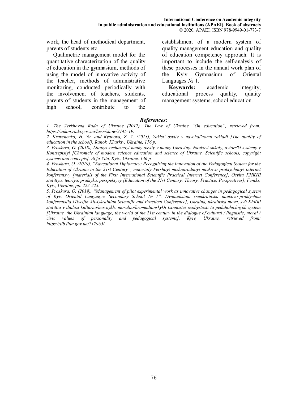work, the head of methodical department, parents of students etc.

Qualimetric management model for the quantitative characterization of the quality of education in the gymnasium, methods of using the model of innovative activity of the teacher, methods of administrative monitoring, conducted periodically with the involvement of teachers, students, parents of students in the management of high school, contribute to the

establishment of a modern system of quality management education and quality of education competency approach. It is important to include the self-analysis of these processes in the annual work plan of the Kyiv Gymnasium of Oriental Languages № 1.

**Keywords:** academic integrity, educational process quality, quality management systems, school education.

#### *References:*

*1. The Verkhovna Rada of Ukraine (2017), The Law of Ukraine "On education", retrieved from: https://zakon.rada.gov.ua/laws/show/2145-19.* 

*2. Kravchenko, H. Yu. and Ryabova, Z. V. (2013), Yakistʹ osvity v navchalʹnomu zakladi [The quality of education in the school], Ranok, Kharkiv, Ukraine, 176 p.* 

*3. Proskura, O. (2018), Litopys suchasnoyi nauky osvity y nauky Ukrayiny. Naukovi shkoly, avtorsʹki systemy y Kontseptsiyi [Chronicle of modern science education and science of Ukraine. Scientific schools, copyright systems and concepts], Alʹfa Vita, Kyiv, Ukraine, 136 p.* 

*4. Proskura, O. (2019), "Educational Diplomacy: Recognizing the Innovation of the Pedagogical System for the Education of Ukraine in the 21st Century", materialy Pershoyi mizhnarodnoyi naukovo praktychnoyi Internet konferentsyy [materials of the First International Scientific Practical Internet Conference], Osvita KHKHI stolittya: teoriya, praktyka, perspektyvy [Education of the 21st Century: Theory, Practice, Perspectives], Feniks, Kyiv, Ukraine, pp. 222-225.* 

*5. Proskura, O. (2019), "Management of pilot experimental work as innovative changes in pedagogical system of Kyiv Oriental Languages Secondary School № 1", Dvanadtsiata vseukrainska naukovo-praktychna konferentsiia [Twelfth All-Ukrainian Scientific and Practical Conference], Ukraina, ukrainska mova, svit KhKhI stolittia v dialozi kulturno/movnykh, moralno/hromadianskykh tsinnostei osobystosti ta pedahohichnykh system [Ukraine, the Ukrainian language, the world of the 21st century in the dialogue of cultural / linguistic, moral / civic values of personality and pedagogical systems], Kyiv, Ukraine, retrieved from: https://lib.iitta.gov.ua/717965/.*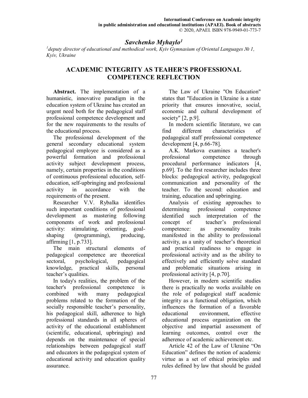## *Savchenko Myhaylo<sup>1</sup>*

*1 deputy director of educational and methodical work, Kyiv Gymnasium of Oriental Languages № 1, Kyiv, Ukraine* 

# **ACADEMIC INTEGRITY AS TEAHER'S PROFESSIONAL COMPETENCE REFLECTION**

**Abstract.** The implementation of a humanistic, innovative paradigm in the education system of Ukraine has created an urgent need both for the pedagogical staff professional competence development and for the new requirements to the results of the educational process.

The professional development of the general secondary educational system pedagogical employee is considered as a powerful formation and professional activity subject development process, namely, certain properties in the conditions of continuous professional education, selfeducation, self-upbringing and professional activity in accordance with the requirements of the present.

Researcher V.V. Rybalka identifies such important conditions of professional development as mastering following components of work and professional activity: stimulating, orienting, goalshaping (programming), producing, affirming [1, p.733].

The main structural elements of pedagogical competence are theoretical sectoral, psychological, pedagogical knowledge, practical skills, personal teacher's qualities.

In today's realities, the problem of the teacher's professional competence is combined with many pedagogical problems related to the formation of the socially responsible teacher's personality, his pedagogical skill, adherence to high professional standards in all spheres of activity of the educational establishment (scientific, educational, upbringing) and depends on the maintenance of special relationships between pedagogical staff and educators in the pedagogical system of educational activity and education quality assurance.

The Law of Ukraine "On Education" states that "Education in Ukraine is a state priority that ensures innovative, social, economic and cultural development of society" [2, p.9].

In modern scientific literature, we can find different characteristics of pedagogical staff professional competence development [4, p.66-78].

A.K. Markova examines a teacher's professional competence through procedural performance indicators [4, p.69]. To the first researcher includes three blocks: pedagogical activity, pedagogical communication and personality of the teacher. To the second: education and training, education and upbringing.

Analysis of existing approaches to determining professional competence identified such interpretation of the concept of teacher's professional competence: as personality traits manifested in the ability to professional activity, as a unity of teacher's theoretical and practical readiness to engage in professional activity and as the ability to effectively and efficiently solve standard and problematic situations arising in professional activity [4, p.70].

However, in modern scientific studies there is practically no works available on the role of pedagogical staff academic integrity as a functional obligation, which influences the formation of a favorable educational environment, effective educational process organization on the objective and impartial assessment of learning outcomes, control over the adherence of academic achievement etc.

Article 42 of the Law of Ukraine "On Education" defines the notion of academic virtue as a set of ethical principles and rules defined by law that should be guided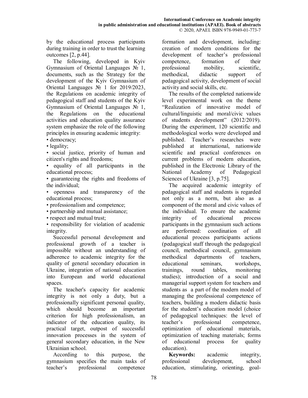by the educational process participants during training in order to trust the learning outcomes [2, p.44].

The following, developed in Kyiv Gymnasium of Oriental Languages № 1, documents, such as the Strategy for the development of the Kyiv Gymnasium of Oriental Languages № 1 for 2019/2023, the Regulations on academic integrity of pedagogical staff and students of the Kyiv Gymnasium of Oriental Languages № 1, the Regulations on the educational activities and education quality assurance system emphasize the role of the following principles in ensuring academic integrity:

• democracy;

• legality;

• social justice, priority of human and citizen's rights and freedoms;

• equality of all participants in the educational process;

• guaranteeing the rights and freedoms of the individual;

• openness and transparency of the educational process;

• professionalism and competence;

• partnership and mutual assistance;

• respect and mutual trust;

• responsibility for violation of academic integrity.

Successful personal development and professional growth of a teacher is impossible without an understanding of adherence to academic integrity for the quality of general secondary education in Ukraine, integration of national education into European and world educational spaces.

The teacher's capacity for academic integrity is not only a duty, but a professionally significant personal quality, which should become an important criterion for high professionalism, an indicator of the education quality, its practical target, outpost of successful innovation processes in the system of general secondary education, in the New Ukrainian school.

According to this purpose, the gymnasium specifies the main tasks of teacher's professional competence

formation and development, including: creation of modern conditions for the development of teacher's professional competence, formation of their professional mobility, scientific, methodical, didactic support of pedagogical activity, development of social activity and social skills, etc.

The results of the completed nationwide level experimental work on the theme "Realization of innovative model of cultural/linguistic and moral/civic values of students development" (2012/2019). During the experiment, 120 scientific and methodological works were developed and published. Teacher's researches were published at international, nationwide scientific and practical conferences on current problems of modern education, published in the Electronic Library of the National Academy of Pedagogical Sciences of Ukraine [3, p.75].

The acquired academic integrity of pedagogical staff and students is regarded not only as a norm, but also as a component of the moral and civic values of the individual. To ensure the academic integrity of educational process participants in the gymnasium such actions are performed: coordination of all educational process participants actions (pedagogical staff through the pedagogical council, methodical council, gymnasium methodical departments of teachers, educational seminars, workshops, trainings, round tables, monitoring studies); introduction of a social and managerial support system for teachers and students as a part of the modern model of managing the professional competence of teachers, building a modern didactic basis for the student's education model (choice of pedagogical techniques: the level of teacher's professional competence, optimization of educational materials, optimization of teaching materials; forms of educational process for quality education).

**Keywords:** academic integrity, professional development, school education, stimulating, orienting, goal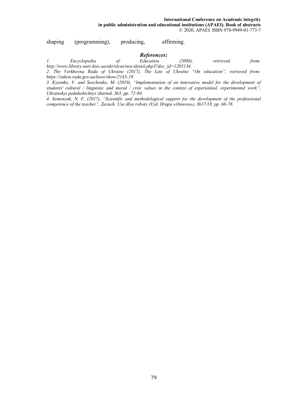shaping (programming), producing, affirming.

# *References:*

*1. Encyclopedia of Education (2008), retrieved from: http://www.library.univ.kiev.ua/ukr/elcat/new/detail.php3?doc\_id=1205134.* 

*2. The Verkhovna Rada of Ukraine (2017), The Law of Ukraine "On education", retrieved from: https://zakon.rada.gov.ua/laws/show/2145-19.* 

*3. Kyzenko, V. and Savchenko, M. (2019), "Implementation of an innovative model for the development of students' cultural / linguistic and moral / civic values in the context of experiential, experimental work", Ukrainskyi pedahohichnyi zhurnal, №3, pp. 72-84.* 

*4. Semenyuk, N. F. (2017), "Scientific and methodological support for the development of the professional competence of the teacher", Zavuch. Use dlya roboty (Vyd. Hrupa «Osnova»), №17/18, рр. 66-78.*